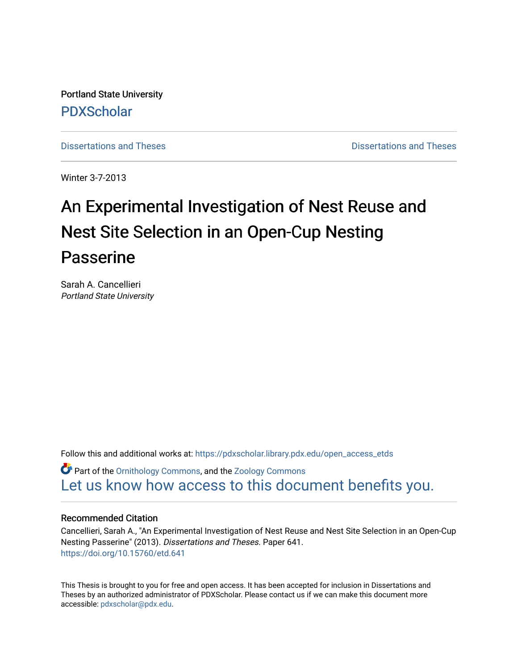Portland State University [PDXScholar](https://pdxscholar.library.pdx.edu/)

[Dissertations and Theses](https://pdxscholar.library.pdx.edu/open_access_etds) **Distributions** and Theses **Distributions** and Theses

Winter 3-7-2013

# An Experimental Investigation of Nest Reuse and Nest Site Selection in an Open-Cup Nesting Passerine

Sarah A. Cancellieri Portland State University

Follow this and additional works at: [https://pdxscholar.library.pdx.edu/open\\_access\\_etds](https://pdxscholar.library.pdx.edu/open_access_etds?utm_source=pdxscholar.library.pdx.edu%2Fopen_access_etds%2F641&utm_medium=PDF&utm_campaign=PDFCoverPages)

**C** Part of the [Ornithology Commons,](http://network.bepress.com/hgg/discipline/1190?utm_source=pdxscholar.library.pdx.edu%2Fopen_access_etds%2F641&utm_medium=PDF&utm_campaign=PDFCoverPages) and the [Zoology Commons](http://network.bepress.com/hgg/discipline/81?utm_source=pdxscholar.library.pdx.edu%2Fopen_access_etds%2F641&utm_medium=PDF&utm_campaign=PDFCoverPages) [Let us know how access to this document benefits you.](http://library.pdx.edu/services/pdxscholar-services/pdxscholar-feedback/) 

#### Recommended Citation

Cancellieri, Sarah A., "An Experimental Investigation of Nest Reuse and Nest Site Selection in an Open-Cup Nesting Passerine" (2013). Dissertations and Theses. Paper 641. <https://doi.org/10.15760/etd.641>

This Thesis is brought to you for free and open access. It has been accepted for inclusion in Dissertations and Theses by an authorized administrator of PDXScholar. Please contact us if we can make this document more accessible: [pdxscholar@pdx.edu.](mailto:pdxscholar@pdx.edu)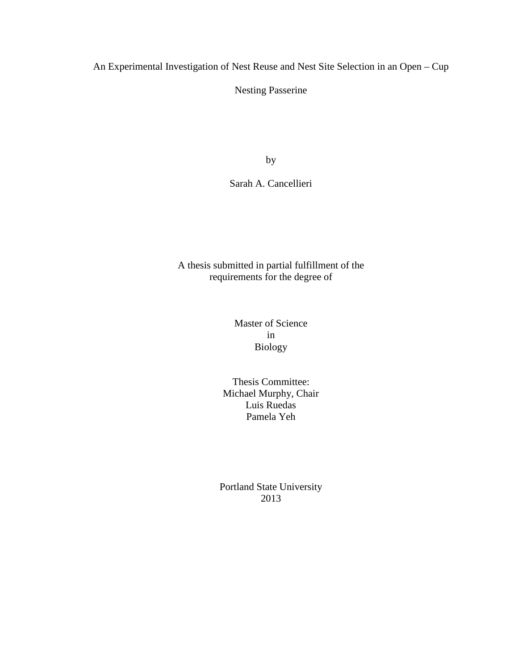An Experimental Investigation of Nest Reuse and Nest Site Selection in an Open – Cup

Nesting Passerine

by

Sarah A. Cancellieri

A thesis submitted in partial fulfillment of the requirements for the degree of

> Master of Science in Biology

Thesis Committee: Michael Murphy, Chair Luis Ruedas Pamela Yeh

Portland State University 2013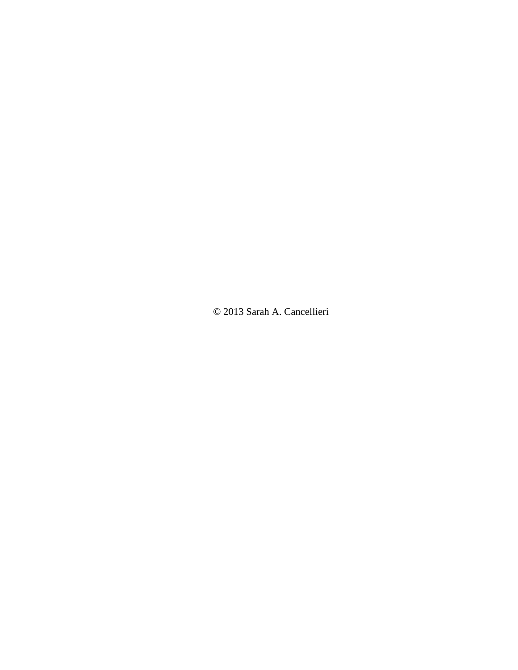© 2013 Sarah A. Cancellieri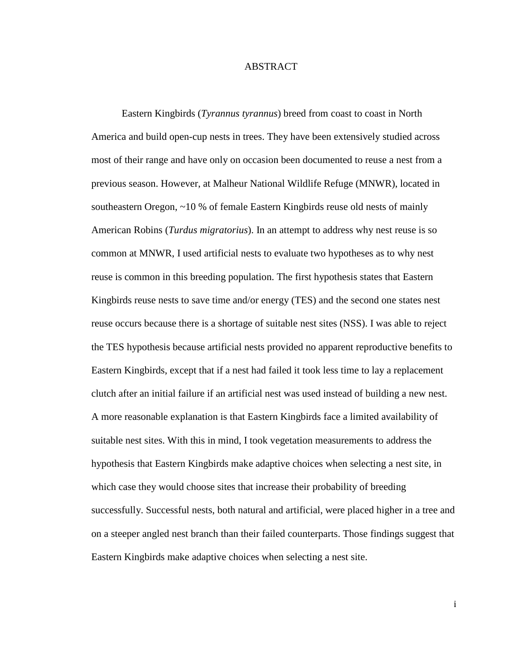#### ABSTRACT

Eastern Kingbirds (*Tyrannus tyrannus*) breed from coast to coast in North America and build open-cup nests in trees. They have been extensively studied across most of their range and have only on occasion been documented to reuse a nest from a previous season. However, at Malheur National Wildlife Refuge (MNWR), located in southeastern Oregon, ~10 % of female Eastern Kingbirds reuse old nests of mainly American Robins (*Turdus migratorius*). In an attempt to address why nest reuse is so common at MNWR, I used artificial nests to evaluate two hypotheses as to why nest reuse is common in this breeding population. The first hypothesis states that Eastern Kingbirds reuse nests to save time and/or energy (TES) and the second one states nest reuse occurs because there is a shortage of suitable nest sites (NSS). I was able to reject the TES hypothesis because artificial nests provided no apparent reproductive benefits to Eastern Kingbirds, except that if a nest had failed it took less time to lay a replacement clutch after an initial failure if an artificial nest was used instead of building a new nest. A more reasonable explanation is that Eastern Kingbirds face a limited availability of suitable nest sites. With this in mind, I took vegetation measurements to address the hypothesis that Eastern Kingbirds make adaptive choices when selecting a nest site, in which case they would choose sites that increase their probability of breeding successfully. Successful nests, both natural and artificial, were placed higher in a tree and on a steeper angled nest branch than their failed counterparts. Those findings suggest that Eastern Kingbirds make adaptive choices when selecting a nest site.

i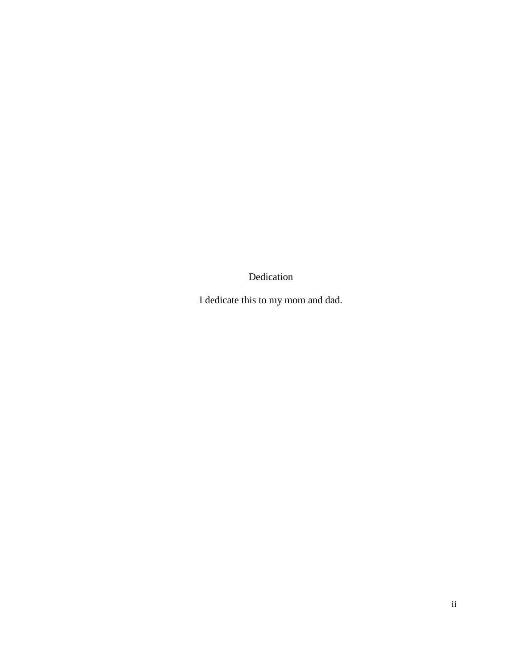Dedication

I dedicate this to my mom and dad.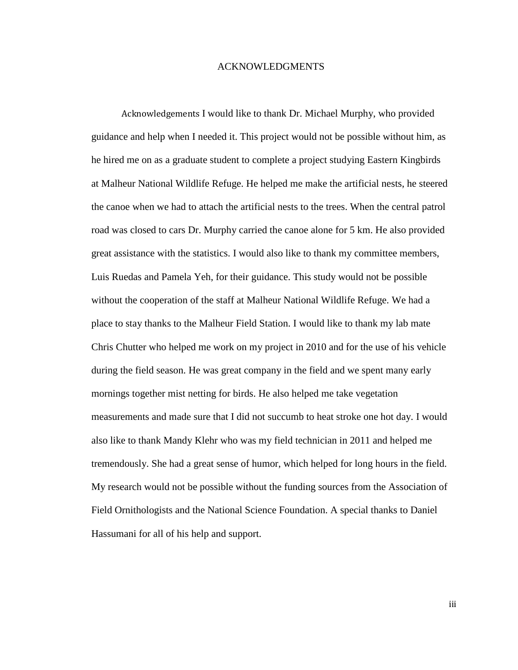#### ACKNOWLEDGMENTS

Acknowledgements I would like to thank Dr. Michael Murphy, who provided guidance and help when I needed it. This project would not be possible without him, as he hired me on as a graduate student to complete a project studying Eastern Kingbirds at Malheur National Wildlife Refuge. He helped me make the artificial nests, he steered the canoe when we had to attach the artificial nests to the trees. When the central patrol road was closed to cars Dr. Murphy carried the canoe alone for 5 km. He also provided great assistance with the statistics. I would also like to thank my committee members, Luis Ruedas and Pamela Yeh, for their guidance. This study would not be possible without the cooperation of the staff at Malheur National Wildlife Refuge. We had a place to stay thanks to the Malheur Field Station. I would like to thank my lab mate Chris Chutter who helped me work on my project in 2010 and for the use of his vehicle during the field season. He was great company in the field and we spent many early mornings together mist netting for birds. He also helped me take vegetation measurements and made sure that I did not succumb to heat stroke one hot day. I would also like to thank Mandy Klehr who was my field technician in 2011 and helped me tremendously. She had a great sense of humor, which helped for long hours in the field. My research would not be possible without the funding sources from the Association of Field Ornithologists and the National Science Foundation. A special thanks to Daniel Hassumani for all of his help and support.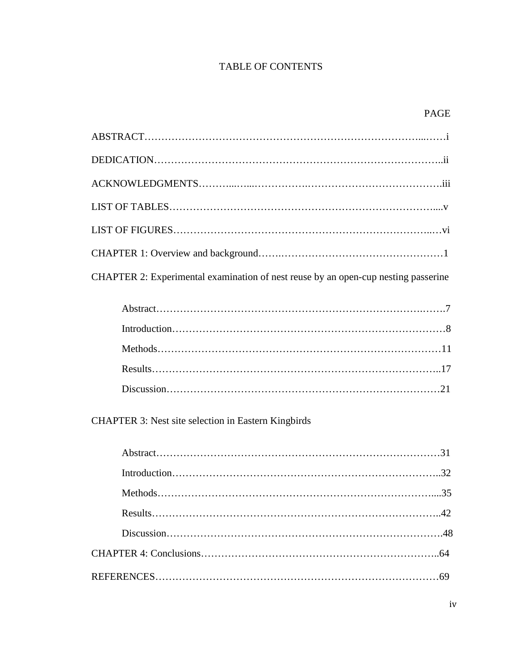## TABLE OF CONTENTS

## PAGE

| CHAPTER 2: Experimental examination of nest reuse by an open-cup nesting passerine |
|------------------------------------------------------------------------------------|
|                                                                                    |

CHAPTER 3: Nest site selection in Eastern Kingbirds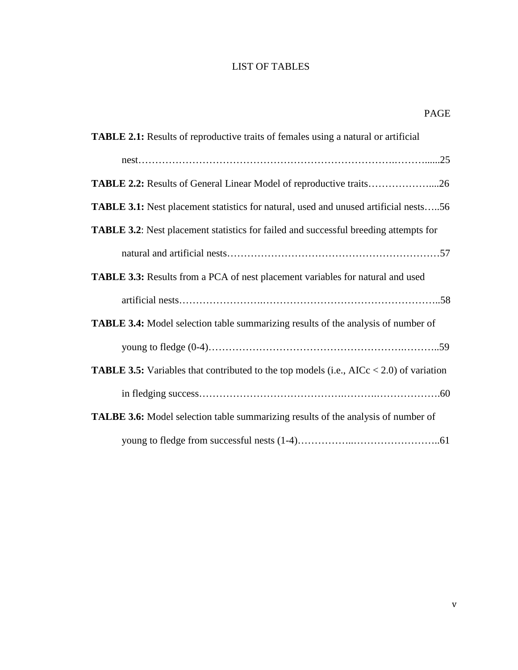## LIST OF TABLES

| <b>TABLE 2.1:</b> Results of reproductive traits of females using a natural or artificial         |
|---------------------------------------------------------------------------------------------------|
|                                                                                                   |
| <b>TABLE 2.2:</b> Results of General Linear Model of reproductive traits26                        |
| <b>TABLE 3.1:</b> Nest placement statistics for natural, used and unused artificial nests56       |
| <b>TABLE 3.2:</b> Nest placement statistics for failed and successful breeding attempts for       |
|                                                                                                   |
| <b>TABLE 3.3:</b> Results from a PCA of nest placement variables for natural and used             |
|                                                                                                   |
| <b>TABLE 3.4:</b> Model selection table summarizing results of the analysis of number of          |
|                                                                                                   |
| <b>TABLE 3.5:</b> Variables that contributed to the top models (i.e., $AICc < 2.0$ ) of variation |
|                                                                                                   |
| <b>TALBE 3.6:</b> Model selection table summarizing results of the analysis of number of          |
|                                                                                                   |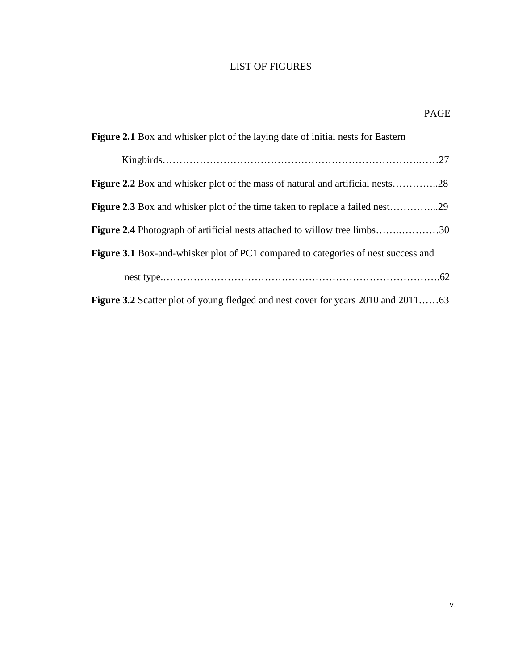## LIST OF FIGURES

| <b>Figure 2.1</b> Box and whisker plot of the laying date of initial nests for Eastern   |
|------------------------------------------------------------------------------------------|
|                                                                                          |
| <b>Figure 2.2</b> Box and whisker plot of the mass of natural and artificial nests28     |
| <b>Figure 2.3</b> Box and whisker plot of the time taken to replace a failed nest29      |
| <b>Figure 2.4</b> Photograph of artificial nests attached to willow tree limbs30         |
| <b>Figure 3.1</b> Box-and-whisker plot of PC1 compared to categories of nest success and |
|                                                                                          |
| <b>Figure 3.2</b> Scatter plot of young fledged and nest cover for years 2010 and 201163 |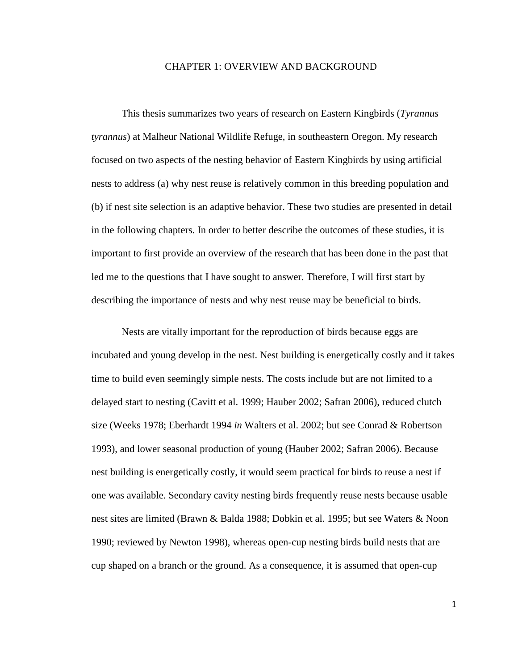#### CHAPTER 1: OVERVIEW AND BACKGROUND

This thesis summarizes two years of research on Eastern Kingbirds (*Tyrannus tyrannus*) at Malheur National Wildlife Refuge, in southeastern Oregon. My research focused on two aspects of the nesting behavior of Eastern Kingbirds by using artificial nests to address (a) why nest reuse is relatively common in this breeding population and (b) if nest site selection is an adaptive behavior. These two studies are presented in detail in the following chapters. In order to better describe the outcomes of these studies, it is important to first provide an overview of the research that has been done in the past that led me to the questions that I have sought to answer. Therefore, I will first start by describing the importance of nests and why nest reuse may be beneficial to birds.

Nests are vitally important for the reproduction of birds because eggs are incubated and young develop in the nest. Nest building is energetically costly and it takes time to build even seemingly simple nests. The costs include but are not limited to a delayed start to nesting (Cavitt et al. 1999; Hauber 2002; Safran 2006), reduced clutch size (Weeks 1978; Eberhardt 1994 *in* Walters et al. 2002; but see Conrad & Robertson 1993), and lower seasonal production of young (Hauber 2002; Safran 2006). Because nest building is energetically costly, it would seem practical for birds to reuse a nest if one was available. Secondary cavity nesting birds frequently reuse nests because usable nest sites are limited (Brawn & Balda 1988; Dobkin et al. 1995; but see Waters & Noon 1990; reviewed by Newton 1998), whereas open-cup nesting birds build nests that are cup shaped on a branch or the ground. As a consequence, it is assumed that open-cup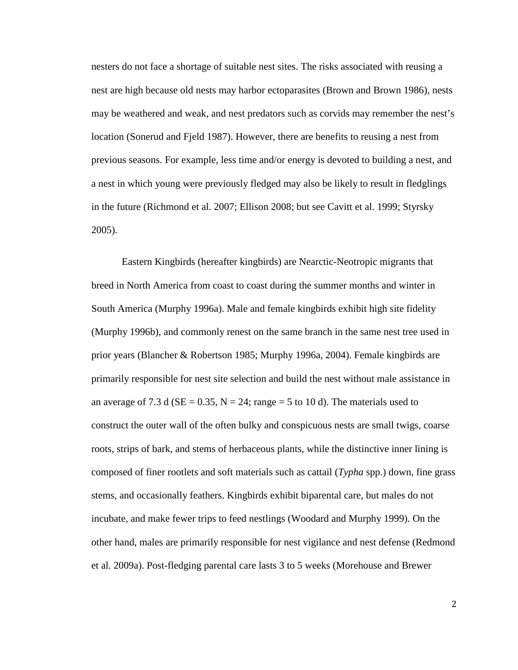nesters do not face a shortage of suitable nest sites. The risks associated with reusing a nest are high because old nests may harbor ectoparasites (Brown and Brown 1986), nests may be weathered and weak, and nest predators such as corvids may remember the nest's location (Sonerud and Fjeld 1987). However, there are benefits to reusing a nest from previous seasons. For example, less time and/or energy is devoted to building a nest, and a nest in which young were previously fledged may also be likely to result in fledglings in the future (Richmond et al. 2007; Ellison 2008; but see Cavitt et al. 1999; Styrsky 2005).

Eastern Kingbirds (hereafter kingbirds) are Nearctic-Neotropic migrants that breed in North America from coast to coast during the summer months and winter in South America (Murphy 1996a). Male and female kingbirds exhibit high site fidelity (Murphy 1996b), and commonly renest on the same branch in the same nest tree used in prior years (Blancher & Robertson 1985; Murphy 1996a, 2004). Female kingbirds are primarily responsible for nest site selection and build the nest without male assistance in an average of 7.3 d ( $SE = 0.35$ ,  $N = 24$ ; range = 5 to 10 d). The materials used to construct the outer wall of the often bulky and conspicuous nests are small twigs, coarse roots, strips of bark, and stems of herbaceous plants, while the distinctive inner lining is composed of finer rootlets and soft materials such as cattail (*Typha* spp.) down, fine grass stems, and occasionally feathers. Kingbirds exhibit biparental care, but males do not incubate, and make fewer trips to feed nestlings (Woodard and Murphy 1999). On the other hand, males are primarily responsible for nest vigilance and nest defense (Redmond et al. 2009a). Post-fledging parental care lasts 3 to 5 weeks (Morehouse and Brewer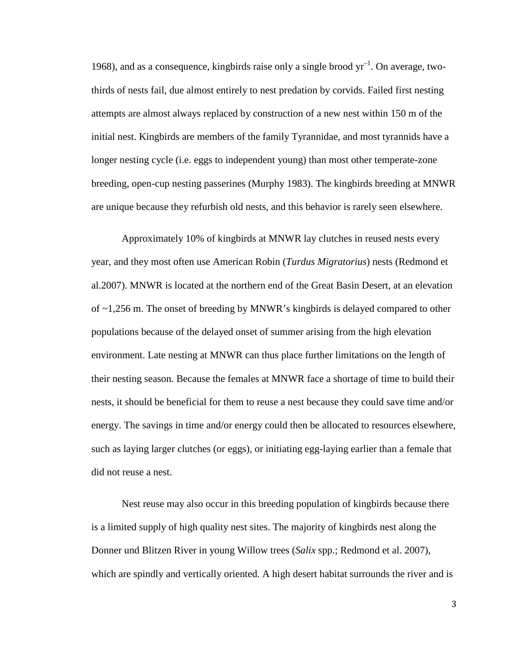1968), and as a consequence, kingbirds raise only a single brood  $yr^{-1}$ . On average, twothirds of nests fail, due almost entirely to nest predation by corvids. Failed first nesting attempts are almost always replaced by construction of a new nest within 150 m of the initial nest. Kingbirds are members of the family Tyrannidae, and most tyrannids have a longer nesting cycle (i.e. eggs to independent young) than most other temperate-zone breeding, open-cup nesting passerines (Murphy 1983). The kingbirds breeding at MNWR are unique because they refurbish old nests, and this behavior is rarely seen elsewhere.

Approximately 10% of kingbirds at MNWR lay clutches in reused nests every year, and they most often use American Robin (*Turdus Migratorius*) nests (Redmond et al.2007). MNWR is located at the northern end of the Great Basin Desert, at an elevation of ~1,256 m. The onset of breeding by MNWR's kingbirds is delayed compared to other populations because of the delayed onset of summer arising from the high elevation environment. Late nesting at MNWR can thus place further limitations on the length of their nesting season. Because the females at MNWR face a shortage of time to build their nests, it should be beneficial for them to reuse a nest because they could save time and/or energy. The savings in time and/or energy could then be allocated to resources elsewhere, such as laying larger clutches (or eggs), or initiating egg-laying earlier than a female that did not reuse a nest.

Nest reuse may also occur in this breeding population of kingbirds because there is a limited supply of high quality nest sites. The majority of kingbirds nest along the Donner und Blitzen River in young Willow trees (*Salix* spp.; Redmond et al. 2007), which are spindly and vertically oriented. A high desert habitat surrounds the river and is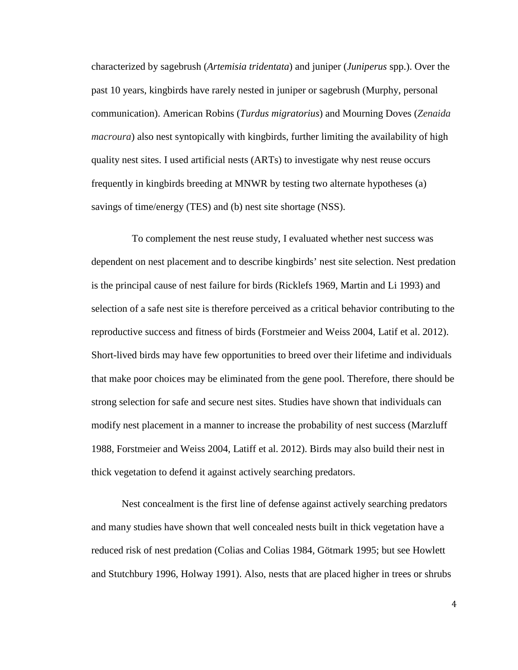characterized by sagebrush (*Artemisia tridentata*) and juniper (*Juniperus* spp.). Over the past 10 years, kingbirds have rarely nested in juniper or sagebrush (Murphy, personal communication). American Robins (*Turdus migratorius*) and Mourning Doves (*Zenaida macroura*) also nest syntopically with kingbirds, further limiting the availability of high quality nest sites. I used artificial nests (ARTs) to investigate why nest reuse occurs frequently in kingbirds breeding at MNWR by testing two alternate hypotheses (a) savings of time/energy (TES) and (b) nest site shortage (NSS).

 To complement the nest reuse study, I evaluated whether nest success was dependent on nest placement and to describe kingbirds' nest site selection. Nest predation is the principal cause of nest failure for birds (Ricklefs 1969, Martin and Li 1993) and selection of a safe nest site is therefore perceived as a critical behavior contributing to the reproductive success and fitness of birds (Forstmeier and Weiss 2004, Latif et al. 2012). Short-lived birds may have few opportunities to breed over their lifetime and individuals that make poor choices may be eliminated from the gene pool. Therefore, there should be strong selection for safe and secure nest sites. Studies have shown that individuals can modify nest placement in a manner to increase the probability of nest success (Marzluff 1988, Forstmeier and Weiss 2004, Latiff et al. 2012). Birds may also build their nest in thick vegetation to defend it against actively searching predators.

Nest concealment is the first line of defense against actively searching predators and many studies have shown that well concealed nests built in thick vegetation have a reduced risk of nest predation (Colias and Colias 1984, Götmark 1995; but see Howlett and Stutchbury 1996, Holway 1991). Also, nests that are placed higher in trees or shrubs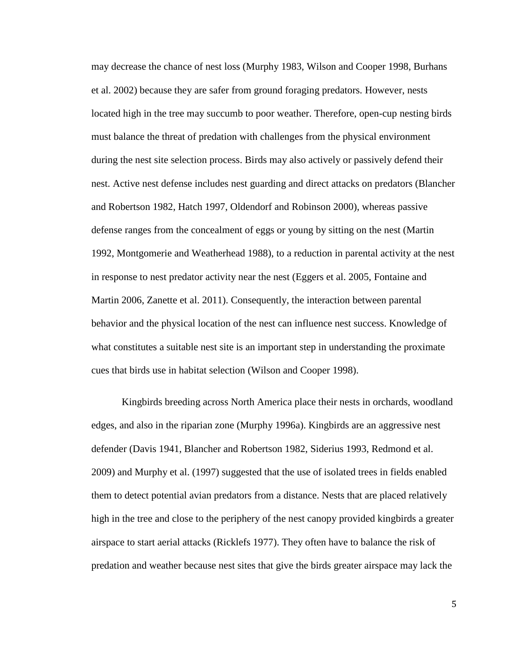may decrease the chance of nest loss (Murphy 1983, Wilson and Cooper 1998, Burhans et al. 2002) because they are safer from ground foraging predators. However, nests located high in the tree may succumb to poor weather. Therefore, open-cup nesting birds must balance the threat of predation with challenges from the physical environment during the nest site selection process. Birds may also actively or passively defend their nest. Active nest defense includes nest guarding and direct attacks on predators (Blancher and Robertson 1982, Hatch 1997, Oldendorf and Robinson 2000), whereas passive defense ranges from the concealment of eggs or young by sitting on the nest (Martin 1992, Montgomerie and Weatherhead 1988), to a reduction in parental activity at the nest in response to nest predator activity near the nest (Eggers et al. 2005, Fontaine and Martin 2006, Zanette et al. 2011). Consequently, the interaction between parental behavior and the physical location of the nest can influence nest success. Knowledge of what constitutes a suitable nest site is an important step in understanding the proximate cues that birds use in habitat selection (Wilson and Cooper 1998).

Kingbirds breeding across North America place their nests in orchards, woodland edges, and also in the riparian zone (Murphy 1996a). Kingbirds are an aggressive nest defender (Davis 1941, Blancher and Robertson 1982, Siderius 1993, Redmond et al. 2009) and Murphy et al. (1997) suggested that the use of isolated trees in fields enabled them to detect potential avian predators from a distance. Nests that are placed relatively high in the tree and close to the periphery of the nest canopy provided kingbirds a greater airspace to start aerial attacks (Ricklefs 1977). They often have to balance the risk of predation and weather because nest sites that give the birds greater airspace may lack the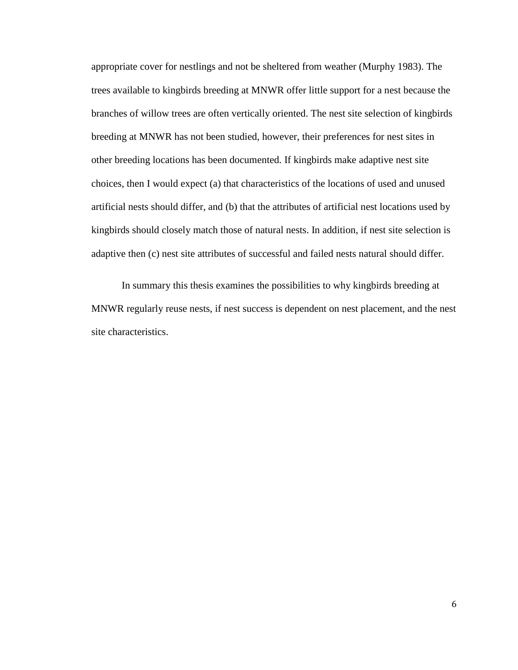appropriate cover for nestlings and not be sheltered from weather (Murphy 1983). The trees available to kingbirds breeding at MNWR offer little support for a nest because the branches of willow trees are often vertically oriented. The nest site selection of kingbirds breeding at MNWR has not been studied, however, their preferences for nest sites in other breeding locations has been documented. If kingbirds make adaptive nest site choices, then I would expect (a) that characteristics of the locations of used and unused artificial nests should differ, and (b) that the attributes of artificial nest locations used by kingbirds should closely match those of natural nests. In addition, if nest site selection is adaptive then (c) nest site attributes of successful and failed nests natural should differ.

In summary this thesis examines the possibilities to why kingbirds breeding at MNWR regularly reuse nests, if nest success is dependent on nest placement, and the nest site characteristics.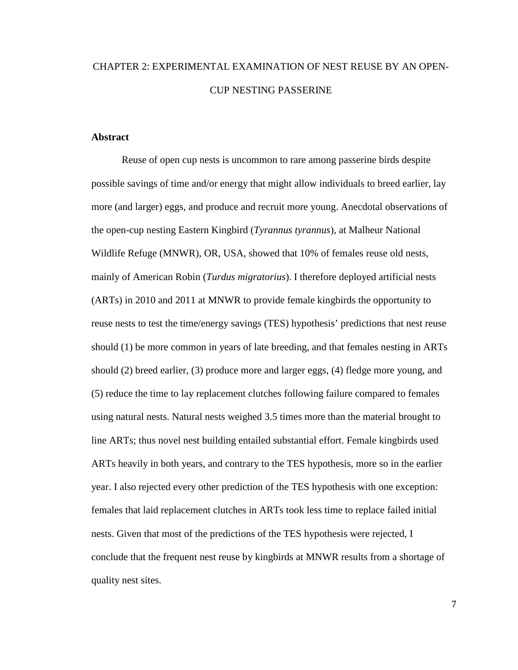## CHAPTER 2: EXPERIMENTAL EXAMINATION OF NEST REUSE BY AN OPEN-CUP NESTING PASSERINE

#### **Abstract**

Reuse of open cup nests is uncommon to rare among passerine birds despite possible savings of time and/or energy that might allow individuals to breed earlier, lay more (and larger) eggs, and produce and recruit more young. Anecdotal observations of the open-cup nesting Eastern Kingbird (*Tyrannus tyrannus*)*,* at Malheur National Wildlife Refuge (MNWR), OR, USA, showed that 10% of females reuse old nests, mainly of American Robin (*Turdus migratorius*). I therefore deployed artificial nests (ARTs) in 2010 and 2011 at MNWR to provide female kingbirds the opportunity to reuse nests to test the time/energy savings (TES) hypothesis' predictions that nest reuse should (1) be more common in years of late breeding, and that females nesting in ARTs should (2) breed earlier, (3) produce more and larger eggs, (4) fledge more young, and (5) reduce the time to lay replacement clutches following failure compared to females using natural nests. Natural nests weighed 3.5 times more than the material brought to line ARTs; thus novel nest building entailed substantial effort. Female kingbirds used ARTs heavily in both years, and contrary to the TES hypothesis, more so in the earlier year. I also rejected every other prediction of the TES hypothesis with one exception: females that laid replacement clutches in ARTs took less time to replace failed initial nests. Given that most of the predictions of the TES hypothesis were rejected, I conclude that the frequent nest reuse by kingbirds at MNWR results from a shortage of quality nest sites.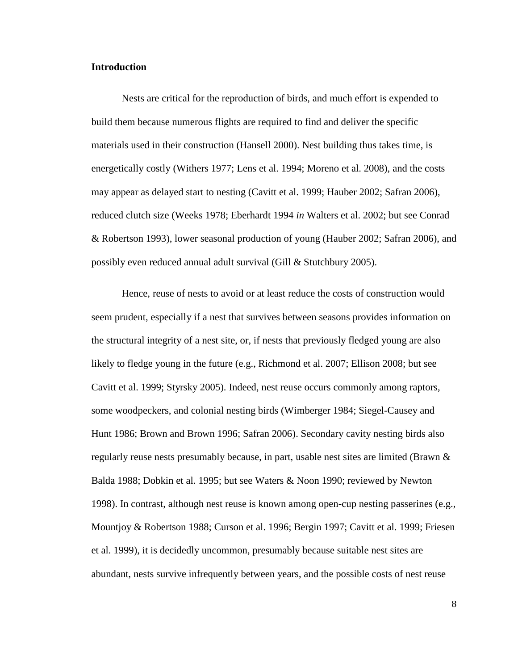#### **Introduction**

Nests are critical for the reproduction of birds, and much effort is expended to build them because numerous flights are required to find and deliver the specific materials used in their construction (Hansell 2000). Nest building thus takes time, is energetically costly (Withers 1977; Lens et al. 1994; Moreno et al. 2008), and the costs may appear as delayed start to nesting (Cavitt et al. 1999; Hauber 2002; Safran 2006), reduced clutch size (Weeks 1978; Eberhardt 1994 *in* Walters et al. 2002; but see Conrad & Robertson 1993), lower seasonal production of young (Hauber 2002; Safran 2006), and possibly even reduced annual adult survival (Gill & Stutchbury 2005).

 Hence, reuse of nests to avoid or at least reduce the costs of construction would seem prudent, especially if a nest that survives between seasons provides information on the structural integrity of a nest site, or, if nests that previously fledged young are also likely to fledge young in the future (e.g., Richmond et al. 2007; Ellison 2008; but see Cavitt et al. 1999; Styrsky 2005). Indeed, nest reuse occurs commonly among raptors, some woodpeckers, and colonial nesting birds (Wimberger 1984; Siegel-Causey and Hunt 1986; Brown and Brown 1996; Safran 2006). Secondary cavity nesting birds also regularly reuse nests presumably because, in part, usable nest sites are limited (Brawn & Balda 1988; Dobkin et al. 1995; but see Waters & Noon 1990; reviewed by Newton 1998). In contrast, although nest reuse is known among open-cup nesting passerines (e.g., Mountjoy & Robertson 1988; Curson et al. 1996; Bergin 1997; Cavitt et al. 1999; Friesen et al. 1999), it is decidedly uncommon, presumably because suitable nest sites are abundant, nests survive infrequently between years, and the possible costs of nest reuse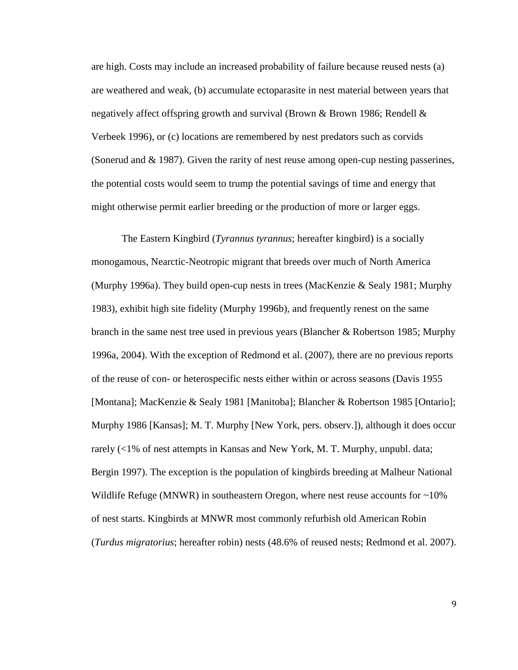are high. Costs may include an increased probability of failure because reused nests (a) are weathered and weak, (b) accumulate ectoparasite in nest material between years that negatively affect offspring growth and survival (Brown  $\&$  Brown 1986; Rendell  $\&$ Verbeek 1996), or (c) locations are remembered by nest predators such as corvids (Sonerud and & 1987). Given the rarity of nest reuse among open-cup nesting passerines, the potential costs would seem to trump the potential savings of time and energy that might otherwise permit earlier breeding or the production of more or larger eggs.

The Eastern Kingbird (*Tyrannus tyrannus*; hereafter kingbird) is a socially monogamous, Nearctic-Neotropic migrant that breeds over much of North America (Murphy 1996a). They build open-cup nests in trees (MacKenzie & Sealy 1981; Murphy 1983), exhibit high site fidelity (Murphy 1996b), and frequently renest on the same branch in the same nest tree used in previous years (Blancher & Robertson 1985; Murphy 1996a, 2004). With the exception of Redmond et al. (2007), there are no previous reports of the reuse of con- or heterospecific nests either within or across seasons (Davis 1955 [Montana]; MacKenzie & Sealy 1981 [Manitoba]; Blancher & Robertson 1985 [Ontario]; Murphy 1986 [Kansas]; M. T. Murphy [New York, pers. observ.]), although it does occur rarely (<1% of nest attempts in Kansas and New York, M. T. Murphy, unpubl. data; Bergin 1997). The exception is the population of kingbirds breeding at Malheur National Wildlife Refuge (MNWR) in southeastern Oregon, where nest reuse accounts for  $\sim$ 10% of nest starts. Kingbirds at MNWR most commonly refurbish old American Robin (*Turdus migratorius*; hereafter robin) nests (48.6% of reused nests; Redmond et al. 2007).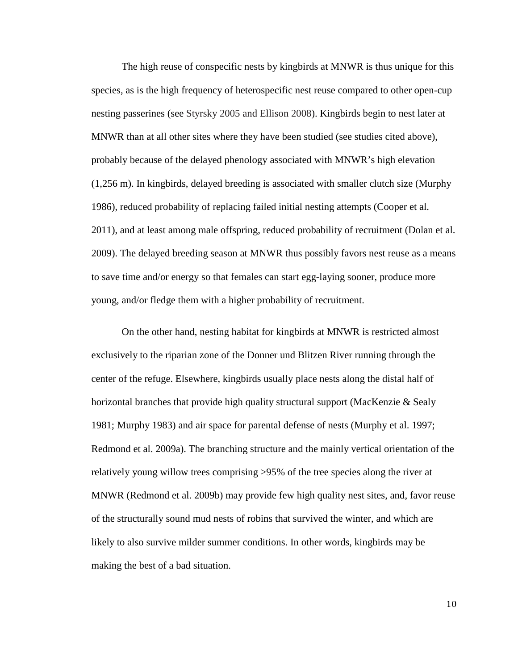The high reuse of conspecific nests by kingbirds at MNWR is thus unique for this species, as is the high frequency of heterospecific nest reuse compared to other open-cup nesting passerines (see Styrsky 2005 and Ellison 2008). Kingbirds begin to nest later at MNWR than at all other sites where they have been studied (see studies cited above), probably because of the delayed phenology associated with MNWR's high elevation (1,256 m). In kingbirds, delayed breeding is associated with smaller clutch size (Murphy 1986), reduced probability of replacing failed initial nesting attempts (Cooper et al. 2011), and at least among male offspring, reduced probability of recruitment (Dolan et al. 2009). The delayed breeding season at MNWR thus possibly favors nest reuse as a means to save time and/or energy so that females can start egg-laying sooner, produce more young, and/or fledge them with a higher probability of recruitment.

On the other hand, nesting habitat for kingbirds at MNWR is restricted almost exclusively to the riparian zone of the Donner und Blitzen River running through the center of the refuge. Elsewhere, kingbirds usually place nests along the distal half of horizontal branches that provide high quality structural support (MacKenzie & Sealy 1981; Murphy 1983) and air space for parental defense of nests (Murphy et al. 1997; Redmond et al. 2009a). The branching structure and the mainly vertical orientation of the relatively young willow trees comprising >95% of the tree species along the river at MNWR (Redmond et al. 2009b) may provide few high quality nest sites, and, favor reuse of the structurally sound mud nests of robins that survived the winter, and which are likely to also survive milder summer conditions. In other words, kingbirds may be making the best of a bad situation.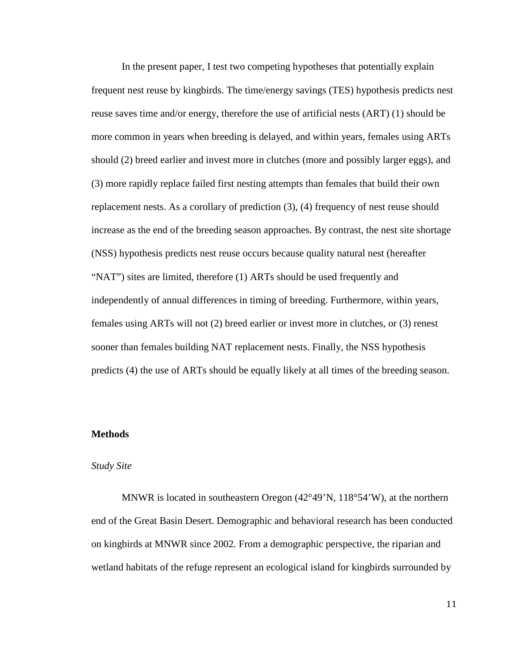In the present paper, I test two competing hypotheses that potentially explain frequent nest reuse by kingbirds. The time/energy savings (TES) hypothesis predicts nest reuse saves time and/or energy, therefore the use of artificial nests (ART) (1) should be more common in years when breeding is delayed, and within years, females using ARTs should (2) breed earlier and invest more in clutches (more and possibly larger eggs), and (3) more rapidly replace failed first nesting attempts than females that build their own replacement nests. As a corollary of prediction (3), (4) frequency of nest reuse should increase as the end of the breeding season approaches. By contrast, the nest site shortage (NSS) hypothesis predicts nest reuse occurs because quality natural nest (hereafter "NAT") sites are limited, therefore (1) ARTs should be used frequently and independently of annual differences in timing of breeding. Furthermore, within years, females using ARTs will not (2) breed earlier or invest more in clutches, or (3) renest sooner than females building NAT replacement nests. Finally, the NSS hypothesis predicts (4) the use of ARTs should be equally likely at all times of the breeding season.

#### **Methods**

#### *Study Site*

MNWR is located in southeastern Oregon (42°49'N, 118°54'W), at the northern end of the Great Basin Desert. Demographic and behavioral research has been conducted on kingbirds at MNWR since 2002. From a demographic perspective, the riparian and wetland habitats of the refuge represent an ecological island for kingbirds surrounded by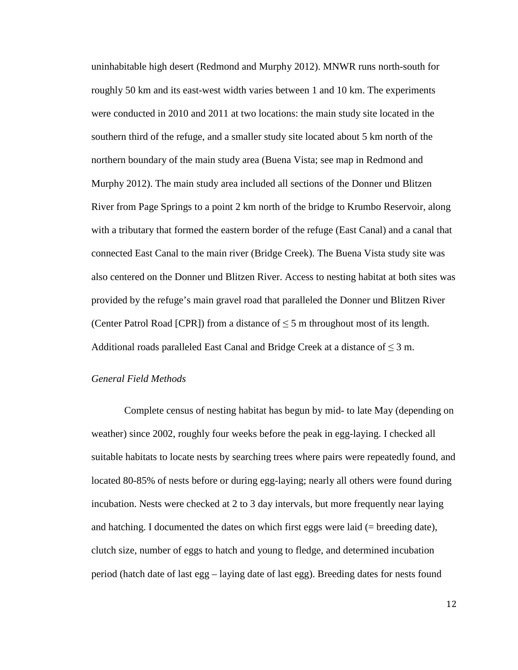uninhabitable high desert (Redmond and Murphy 2012). MNWR runs north-south for roughly 50 km and its east-west width varies between 1 and 10 km. The experiments were conducted in 2010 and 2011 at two locations: the main study site located in the southern third of the refuge, and a smaller study site located about 5 km north of the northern boundary of the main study area (Buena Vista; see map in Redmond and Murphy 2012). The main study area included all sections of the Donner und Blitzen River from Page Springs to a point 2 km north of the bridge to Krumbo Reservoir, along with a tributary that formed the eastern border of the refuge (East Canal) and a canal that connected East Canal to the main river (Bridge Creek). The Buena Vista study site was also centered on the Donner und Blitzen River. Access to nesting habitat at both sites was provided by the refuge's main gravel road that paralleled the Donner und Blitzen River (Center Patrol Road [CPR]) from a distance of  $\leq$  5 m throughout most of its length. Additional roads paralleled East Canal and Bridge Creek at a distance of  $\leq 3$  m.

### *General Field Methods*

Complete census of nesting habitat has begun by mid- to late May (depending on weather) since 2002, roughly four weeks before the peak in egg-laying. I checked all suitable habitats to locate nests by searching trees where pairs were repeatedly found, and located 80-85% of nests before or during egg-laying; nearly all others were found during incubation. Nests were checked at 2 to 3 day intervals, but more frequently near laying and hatching. I documented the dates on which first eggs were laid (= breeding date), clutch size, number of eggs to hatch and young to fledge, and determined incubation period (hatch date of last egg – laying date of last egg). Breeding dates for nests found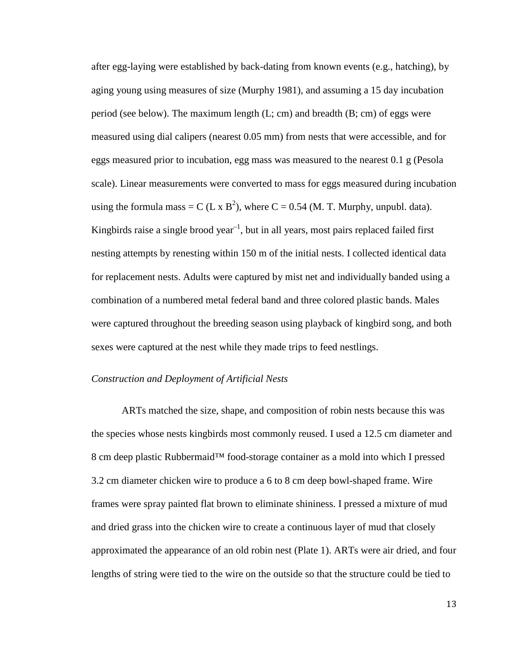after egg-laying were established by back-dating from known events (e.g., hatching), by aging young using measures of size (Murphy 1981), and assuming a 15 day incubation period (see below). The maximum length  $(L; cm)$  and breadth  $(B; cm)$  of eggs were measured using dial calipers (nearest 0.05 mm) from nests that were accessible, and for eggs measured prior to incubation, egg mass was measured to the nearest 0.1 g (Pesola scale). Linear measurements were converted to mass for eggs measured during incubation using the formula mass = C (L x  $B^2$ ), where C = 0.54 (M. T. Murphy, unpubl. data). Kingbirds raise a single brood year<sup>-1</sup>, but in all years, most pairs replaced failed first nesting attempts by renesting within 150 m of the initial nests. I collected identical data for replacement nests. Adults were captured by mist net and individually banded using a combination of a numbered metal federal band and three colored plastic bands. Males were captured throughout the breeding season using playback of kingbird song, and both sexes were captured at the nest while they made trips to feed nestlings.

#### *Construction and Deployment of Artificial Nests*

ARTs matched the size, shape, and composition of robin nests because this was the species whose nests kingbirds most commonly reused. I used a 12.5 cm diameter and 8 cm deep plastic Rubbermaid™ food-storage container as a mold into which I pressed 3.2 cm diameter chicken wire to produce a 6 to 8 cm deep bowl-shaped frame. Wire frames were spray painted flat brown to eliminate shininess. I pressed a mixture of mud and dried grass into the chicken wire to create a continuous layer of mud that closely approximated the appearance of an old robin nest (Plate 1). ARTs were air dried, and four lengths of string were tied to the wire on the outside so that the structure could be tied to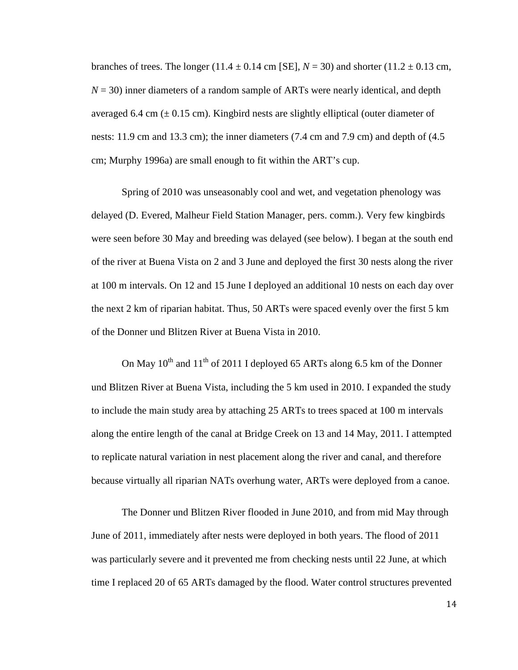branches of trees. The longer (11.4  $\pm$  0.14 cm [SE],  $N = 30$ ) and shorter (11.2  $\pm$  0.13 cm,  $N = 30$ ) inner diameters of a random sample of ARTs were nearly identical, and depth averaged 6.4 cm  $(\pm 0.15 \text{ cm})$ . Kingbird nests are slightly elliptical (outer diameter of nests: 11.9 cm and 13.3 cm); the inner diameters (7.4 cm and 7.9 cm) and depth of (4.5 cm; Murphy 1996a) are small enough to fit within the ART's cup.

Spring of 2010 was unseasonably cool and wet, and vegetation phenology was delayed (D. Evered, Malheur Field Station Manager, pers. comm.). Very few kingbirds were seen before 30 May and breeding was delayed (see below). I began at the south end of the river at Buena Vista on 2 and 3 June and deployed the first 30 nests along the river at 100 m intervals. On 12 and 15 June I deployed an additional 10 nests on each day over the next 2 km of riparian habitat. Thus, 50 ARTs were spaced evenly over the first 5 km of the Donner und Blitzen River at Buena Vista in 2010.

On May  $10^{th}$  and  $11^{th}$  of 2011 I deployed 65 ARTs along 6.5 km of the Donner und Blitzen River at Buena Vista, including the 5 km used in 2010. I expanded the study to include the main study area by attaching 25 ARTs to trees spaced at 100 m intervals along the entire length of the canal at Bridge Creek on 13 and 14 May, 2011. I attempted to replicate natural variation in nest placement along the river and canal, and therefore because virtually all riparian NATs overhung water, ARTs were deployed from a canoe.

The Donner und Blitzen River flooded in June 2010, and from mid May through June of 2011, immediately after nests were deployed in both years. The flood of 2011 was particularly severe and it prevented me from checking nests until 22 June, at which time I replaced 20 of 65 ARTs damaged by the flood. Water control structures prevented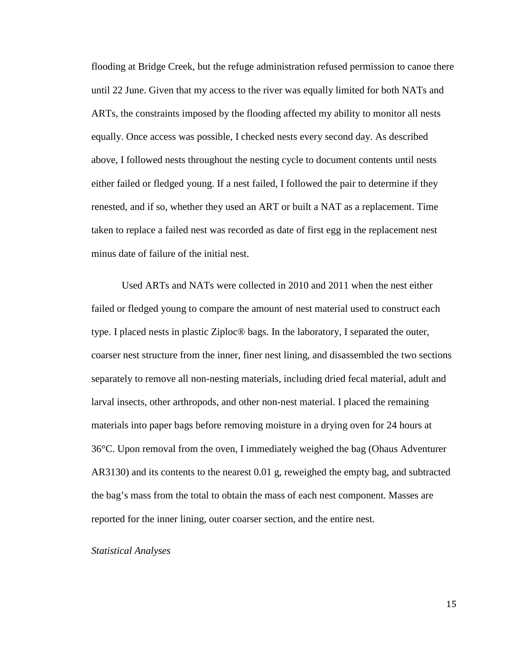flooding at Bridge Creek, but the refuge administration refused permission to canoe there until 22 June. Given that my access to the river was equally limited for both NATs and ARTs, the constraints imposed by the flooding affected my ability to monitor all nests equally. Once access was possible, I checked nests every second day. As described above, I followed nests throughout the nesting cycle to document contents until nests either failed or fledged young. If a nest failed, I followed the pair to determine if they renested, and if so, whether they used an ART or built a NAT as a replacement. Time taken to replace a failed nest was recorded as date of first egg in the replacement nest minus date of failure of the initial nest.

Used ARTs and NATs were collected in 2010 and 2011 when the nest either failed or fledged young to compare the amount of nest material used to construct each type. I placed nests in plastic Ziploc® bags. In the laboratory, I separated the outer, coarser nest structure from the inner, finer nest lining, and disassembled the two sections separately to remove all non-nesting materials, including dried fecal material, adult and larval insects, other arthropods, and other non-nest material. I placed the remaining materials into paper bags before removing moisture in a drying oven for 24 hours at 36°C. Upon removal from the oven, I immediately weighed the bag (Ohaus Adventurer AR3130) and its contents to the nearest 0.01 g, reweighed the empty bag, and subtracted the bag's mass from the total to obtain the mass of each nest component. Masses are reported for the inner lining, outer coarser section, and the entire nest.

#### *Statistical Analyses*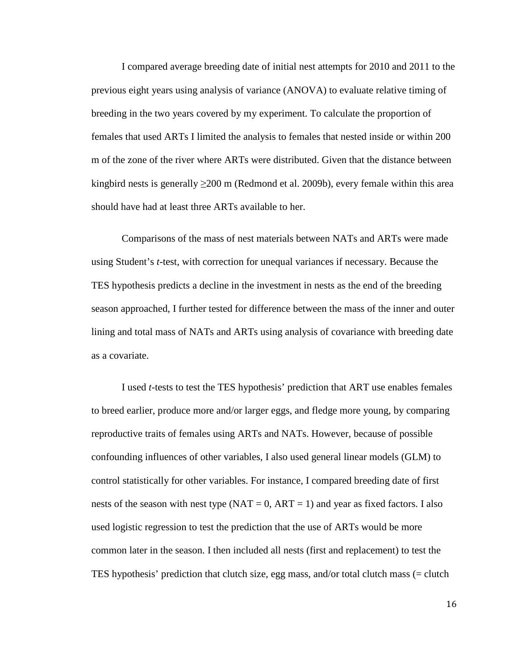I compared average breeding date of initial nest attempts for 2010 and 2011 to the previous eight years using analysis of variance (ANOVA) to evaluate relative timing of breeding in the two years covered by my experiment. To calculate the proportion of females that used ARTs I limited the analysis to females that nested inside or within 200 m of the zone of the river where ARTs were distributed. Given that the distance between kingbird nests is generally  $\geq$ 200 m (Redmond et al. 2009b), every female within this area should have had at least three ARTs available to her.

Comparisons of the mass of nest materials between NATs and ARTs were made using Student's *t*-test, with correction for unequal variances if necessary. Because the TES hypothesis predicts a decline in the investment in nests as the end of the breeding season approached, I further tested for difference between the mass of the inner and outer lining and total mass of NATs and ARTs using analysis of covariance with breeding date as a covariate.

I used *t*-tests to test the TES hypothesis' prediction that ART use enables females to breed earlier, produce more and/or larger eggs, and fledge more young, by comparing reproductive traits of females using ARTs and NATs. However, because of possible confounding influences of other variables, I also used general linear models (GLM) to control statistically for other variables. For instance, I compared breeding date of first nests of the season with nest type  $(NAT = 0, ART = 1)$  and year as fixed factors. I also used logistic regression to test the prediction that the use of ARTs would be more common later in the season. I then included all nests (first and replacement) to test the TES hypothesis' prediction that clutch size, egg mass, and/or total clutch mass (= clutch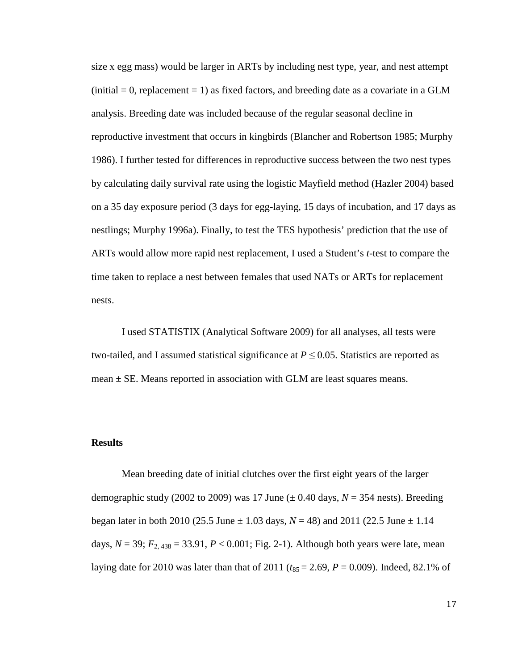size x egg mass) would be larger in ARTs by including nest type, year, and nest attempt  $(i\nu$ nitial = 0, replacement = 1) as fixed factors, and breeding date as a covariate in a GLM analysis. Breeding date was included because of the regular seasonal decline in reproductive investment that occurs in kingbirds (Blancher and Robertson 1985; Murphy 1986). I further tested for differences in reproductive success between the two nest types by calculating daily survival rate using the logistic Mayfield method (Hazler 2004) based on a 35 day exposure period (3 days for egg-laying, 15 days of incubation, and 17 days as nestlings; Murphy 1996a). Finally, to test the TES hypothesis' prediction that the use of ARTs would allow more rapid nest replacement, I used a Student's *t*-test to compare the time taken to replace a nest between females that used NATs or ARTs for replacement nests.

I used STATISTIX (Analytical Software 2009) for all analyses, all tests were two-tailed, and I assumed statistical significance at  $P \le 0.05$ . Statistics are reported as mean  $\pm$  SE. Means reported in association with GLM are least squares means.

#### **Results**

Mean breeding date of initial clutches over the first eight years of the larger demographic study (2002 to 2009) was 17 June ( $\pm$  0.40 days,  $N = 354$  nests). Breeding began later in both 2010 (25.5 June  $\pm$  1.03 days,  $N = 48$ ) and 2011 (22.5 June  $\pm$  1.14 days,  $N = 39$ ;  $F_{2,438} = 33.91$ ,  $P < 0.001$ ; Fig. 2-1). Although both years were late, mean laying date for 2010 was later than that of 2011 ( $t_{85} = 2.69$ ,  $P = 0.009$ ). Indeed, 82.1% of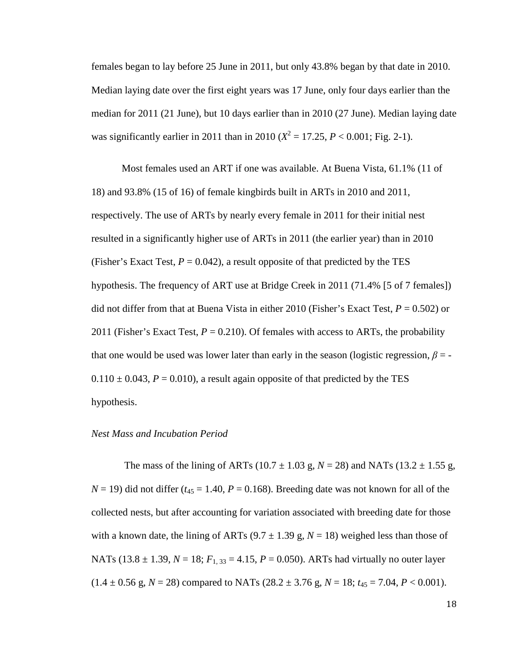females began to lay before 25 June in 2011, but only 43.8% began by that date in 2010. Median laying date over the first eight years was 17 June, only four days earlier than the median for 2011 (21 June), but 10 days earlier than in 2010 (27 June). Median laying date was significantly earlier in 2011 than in 2010 ( $X^2 = 17.25$ ,  $P < 0.001$ ; Fig. 2-1).

 Most females used an ART if one was available. At Buena Vista, 61.1% (11 of 18) and 93.8% (15 of 16) of female kingbirds built in ARTs in 2010 and 2011, respectively. The use of ARTs by nearly every female in 2011 for their initial nest resulted in a significantly higher use of ARTs in 2011 (the earlier year) than in 2010 (Fisher's Exact Test,  $P = 0.042$ ), a result opposite of that predicted by the TES hypothesis. The frequency of ART use at Bridge Creek in 2011 (71.4% [5 of 7 females]) did not differ from that at Buena Vista in either 2010 (Fisher's Exact Test, *P* = 0.502) or 2011 (Fisher's Exact Test,  $P = 0.210$ ). Of females with access to ARTs, the probability that one would be used was lower later than early in the season (logistic regression,  $\beta$  = - $0.110 \pm 0.043$ ,  $P = 0.010$ ), a result again opposite of that predicted by the TES hypothesis.

#### *Nest Mass and Incubation Period*

The mass of the lining of ARTs (10.7  $\pm$  1.03 g, *N* = 28) and NATs (13.2  $\pm$  1.55 g,  $N = 19$ ) did not differ ( $t_{45} = 1.40$ ,  $P = 0.168$ ). Breeding date was not known for all of the collected nests, but after accounting for variation associated with breeding date for those with a known date, the lining of ARTs  $(9.7 \pm 1.39 \text{ g}, N = 18)$  weighed less than those of NATs (13.8  $\pm$  1.39, *N* = 18;  $F_{1,33}$  = 4.15, *P* = 0.050). ARTs had virtually no outer layer  $(1.4 \pm 0.56 \text{ g}, N = 28)$  compared to NATs  $(28.2 \pm 3.76 \text{ g}, N = 18; t_{45} = 7.04, P < 0.001)$ .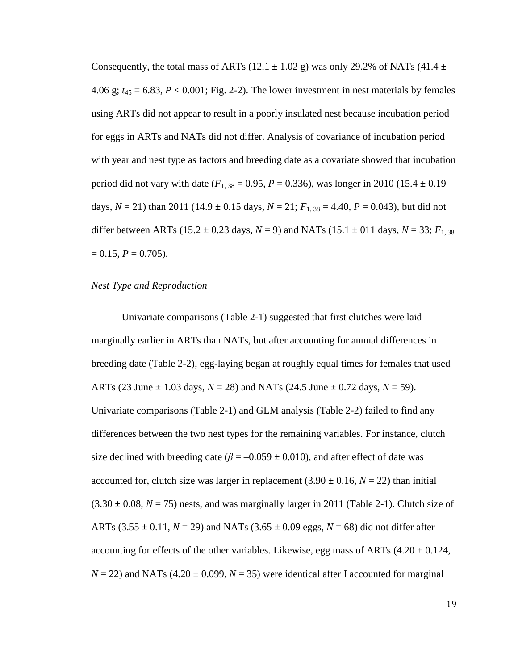Consequently, the total mass of ARTs (12.1  $\pm$  1.02 g) was only 29.2% of NATs (41.4  $\pm$ 4.06 g;  $t_{45} = 6.83$ ,  $P < 0.001$ ; Fig. 2-2). The lower investment in nest materials by females using ARTs did not appear to result in a poorly insulated nest because incubation period for eggs in ARTs and NATs did not differ. Analysis of covariance of incubation period with year and nest type as factors and breeding date as a covariate showed that incubation period did not vary with date ( $F_{1, 38} = 0.95$ ,  $P = 0.336$ ), was longer in 2010 (15.4  $\pm$  0.19 days,  $N = 21$ ) than 2011 (14.9  $\pm$  0.15 days,  $N = 21$ ;  $F_{1,38} = 4.40$ ,  $P = 0.043$ ), but did not differ between ARTs (15.2  $\pm$  0.23 days, *N* = 9) and NATs (15.1  $\pm$  011 days, *N* = 33; *F*<sub>1,38</sub>  $= 0.15, P = 0.705$ .

#### *Nest Type and Reproduction*

Univariate comparisons (Table 2-1) suggested that first clutches were laid marginally earlier in ARTs than NATs, but after accounting for annual differences in breeding date (Table 2-2), egg-laying began at roughly equal times for females that used ARTs (23 June  $\pm$  1.03 days,  $N = 28$ ) and NATs (24.5 June  $\pm$  0.72 days,  $N = 59$ ). Univariate comparisons (Table 2-1) and GLM analysis (Table 2-2) failed to find any differences between the two nest types for the remaining variables. For instance, clutch size declined with breeding date ( $\beta = -0.059 \pm 0.010$ ), and after effect of date was accounted for, clutch size was larger in replacement  $(3.90 \pm 0.16, N = 22)$  than initial  $(3.30 \pm 0.08, N = 75)$  nests, and was marginally larger in 2011 (Table 2-1). Clutch size of ARTs  $(3.55 \pm 0.11, N = 29)$  and NATs  $(3.65 \pm 0.09$  eggs,  $N = 68)$  did not differ after accounting for effects of the other variables. Likewise, egg mass of ARTs  $(4.20 \pm 0.124,$  $N = 22$ ) and NATs (4.20  $\pm$  0.099,  $N = 35$ ) were identical after I accounted for marginal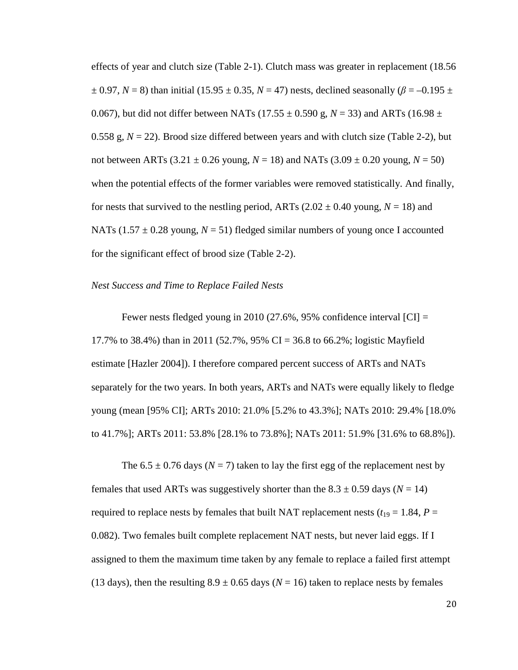effects of year and clutch size (Table 2-1). Clutch mass was greater in replacement (18.56  $\pm$  0.97, *N* = 8) than initial (15.95  $\pm$  0.35, *N* = 47) nests, declined seasonally ( $\beta$  = –0.195  $\pm$ 0.067), but did not differ between NATs (17.55  $\pm$  0.590 g, *N* = 33) and ARTs (16.98  $\pm$ 0.558 g,  $N = 22$ ). Brood size differed between years and with clutch size (Table 2-2), but not between ARTs  $(3.21 \pm 0.26 \text{ young}, N = 18)$  and NATs  $(3.09 \pm 0.20 \text{ young}, N = 50)$ when the potential effects of the former variables were removed statistically. And finally, for nests that survived to the nestling period, ARTs  $(2.02 \pm 0.40$  young,  $N = 18$ ) and NATs (1.57  $\pm$  0.28 young, *N* = 51) fledged similar numbers of young once I accounted for the significant effect of brood size (Table 2-2).

#### *Nest Success and Time to Replace Failed Nests*

Fewer nests fledged young in 2010 (27.6%, 95% confidence interval [CI] = 17.7% to 38.4%) than in 2011 (52.7%, 95% CI = 36.8 to 66.2%; logistic Mayfield estimate [Hazler 2004]). I therefore compared percent success of ARTs and NATs separately for the two years. In both years, ARTs and NATs were equally likely to fledge young (mean [95% CI]; ARTs 2010: 21.0% [5.2% to 43.3%]; NATs 2010: 29.4% [18.0% to 41.7%]; ARTs 2011: 53.8% [28.1% to 73.8%]; NATs 2011: 51.9% [31.6% to 68.8%]).

The  $6.5 \pm 0.76$  days ( $N = 7$ ) taken to lay the first egg of the replacement nest by females that used ARTs was suggestively shorter than the  $8.3 \pm 0.59$  days ( $N = 14$ ) required to replace nests by females that built NAT replacement nests ( $t_{19} = 1.84$ ,  $P =$ 0.082). Two females built complete replacement NAT nests, but never laid eggs. If I assigned to them the maximum time taken by any female to replace a failed first attempt (13 days), then the resulting  $8.9 \pm 0.65$  days ( $N = 16$ ) taken to replace nests by females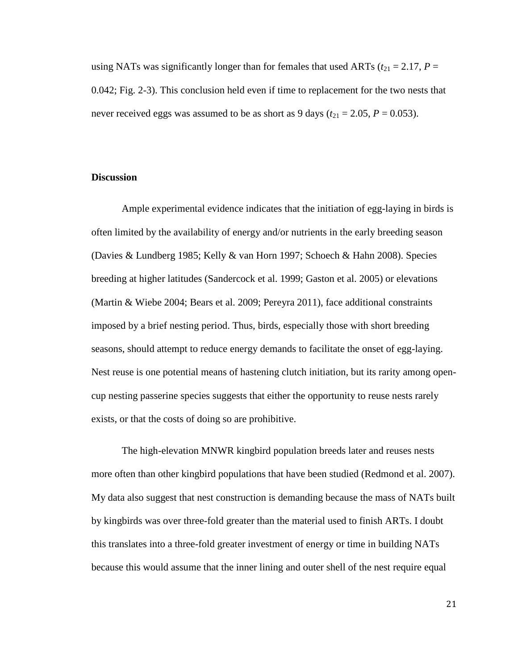using NATs was significantly longer than for females that used ARTs ( $t_{21} = 2.17$ ,  $P =$ 0.042; Fig. 2-3). This conclusion held even if time to replacement for the two nests that never received eggs was assumed to be as short as 9 days ( $t_{21} = 2.05$ ,  $P = 0.053$ ).

#### **Discussion**

Ample experimental evidence indicates that the initiation of egg-laying in birds is often limited by the availability of energy and/or nutrients in the early breeding season (Davies & Lundberg 1985; Kelly & van Horn 1997; Schoech & Hahn 2008). Species breeding at higher latitudes (Sandercock et al. 1999; Gaston et al. 2005) or elevations (Martin & Wiebe 2004; Bears et al. 2009; Pereyra 2011), face additional constraints imposed by a brief nesting period. Thus, birds, especially those with short breeding seasons, should attempt to reduce energy demands to facilitate the onset of egg-laying. Nest reuse is one potential means of hastening clutch initiation, but its rarity among opencup nesting passerine species suggests that either the opportunity to reuse nests rarely exists, or that the costs of doing so are prohibitive.

The high-elevation MNWR kingbird population breeds later and reuses nests more often than other kingbird populations that have been studied (Redmond et al. 2007). My data also suggest that nest construction is demanding because the mass of NATs built by kingbirds was over three-fold greater than the material used to finish ARTs. I doubt this translates into a three-fold greater investment of energy or time in building NATs because this would assume that the inner lining and outer shell of the nest require equal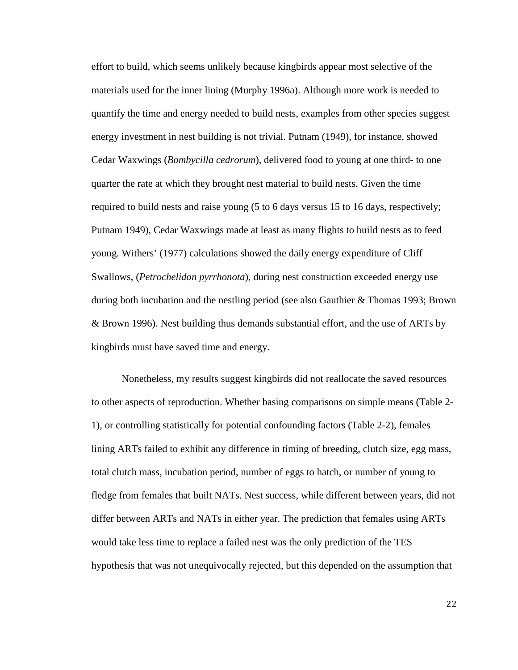effort to build, which seems unlikely because kingbirds appear most selective of the materials used for the inner lining (Murphy 1996a). Although more work is needed to quantify the time and energy needed to build nests, examples from other species suggest energy investment in nest building is not trivial. Putnam (1949), for instance, showed Cedar Waxwings (*Bombycilla cedrorum*), delivered food to young at one third- to one quarter the rate at which they brought nest material to build nests. Given the time required to build nests and raise young (5 to 6 days versus 15 to 16 days, respectively; Putnam 1949), Cedar Waxwings made at least as many flights to build nests as to feed young. Withers' (1977) calculations showed the daily energy expenditure of Cliff Swallows, (*Petrochelidon pyrrhonota*), during nest construction exceeded energy use during both incubation and the nestling period (see also Gauthier & Thomas 1993; Brown & Brown 1996). Nest building thus demands substantial effort, and the use of ARTs by kingbirds must have saved time and energy.

Nonetheless, my results suggest kingbirds did not reallocate the saved resources to other aspects of reproduction. Whether basing comparisons on simple means (Table 2- 1), or controlling statistically for potential confounding factors (Table 2-2), females lining ARTs failed to exhibit any difference in timing of breeding, clutch size, egg mass, total clutch mass, incubation period, number of eggs to hatch, or number of young to fledge from females that built NATs. Nest success, while different between years, did not differ between ARTs and NATs in either year. The prediction that females using ARTs would take less time to replace a failed nest was the only prediction of the TES hypothesis that was not unequivocally rejected, but this depended on the assumption that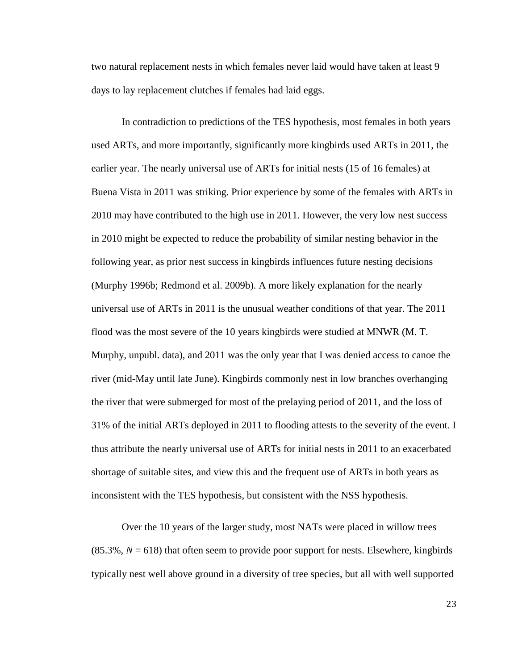two natural replacement nests in which females never laid would have taken at least 9 days to lay replacement clutches if females had laid eggs.

 In contradiction to predictions of the TES hypothesis, most females in both years used ARTs, and more importantly, significantly more kingbirds used ARTs in 2011, the earlier year. The nearly universal use of ARTs for initial nests (15 of 16 females) at Buena Vista in 2011 was striking. Prior experience by some of the females with ARTs in 2010 may have contributed to the high use in 2011. However, the very low nest success in 2010 might be expected to reduce the probability of similar nesting behavior in the following year, as prior nest success in kingbirds influences future nesting decisions (Murphy 1996b; Redmond et al. 2009b). A more likely explanation for the nearly universal use of ARTs in 2011 is the unusual weather conditions of that year. The 2011 flood was the most severe of the 10 years kingbirds were studied at MNWR (M. T. Murphy, unpubl. data), and 2011 was the only year that I was denied access to canoe the river (mid-May until late June). Kingbirds commonly nest in low branches overhanging the river that were submerged for most of the prelaying period of 2011, and the loss of 31% of the initial ARTs deployed in 2011 to flooding attests to the severity of the event. I thus attribute the nearly universal use of ARTs for initial nests in 2011 to an exacerbated shortage of suitable sites, and view this and the frequent use of ARTs in both years as inconsistent with the TES hypothesis, but consistent with the NSS hypothesis.

Over the 10 years of the larger study, most NATs were placed in willow trees  $(85.3\%, N = 618)$  that often seem to provide poor support for nests. Elsewhere, kingbirds typically nest well above ground in a diversity of tree species, but all with well supported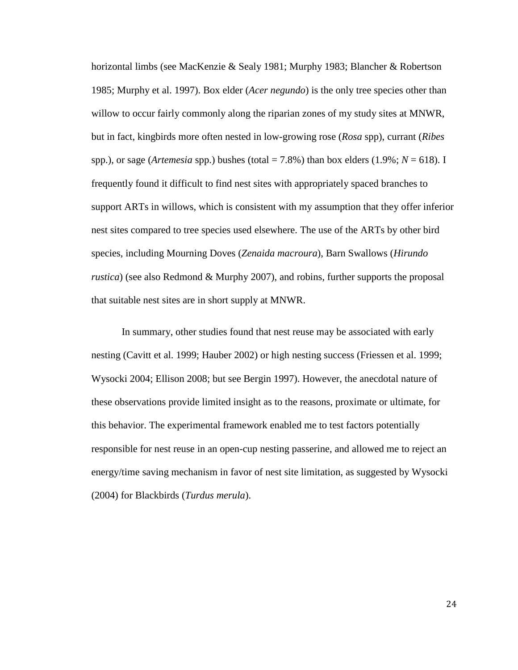horizontal limbs (see MacKenzie & Sealy 1981; Murphy 1983; Blancher & Robertson 1985; Murphy et al. 1997). Box elder (*Acer negundo*) is the only tree species other than willow to occur fairly commonly along the riparian zones of my study sites at MNWR, but in fact, kingbirds more often nested in low-growing rose (*Rosa* spp), currant (*Ribes* spp.), or sage (*Artemesia* spp.) bushes (total  $= 7.8\%$ ) than box elders (1.9%;  $N = 618$ ). I frequently found it difficult to find nest sites with appropriately spaced branches to support ARTs in willows, which is consistent with my assumption that they offer inferior nest sites compared to tree species used elsewhere. The use of the ARTs by other bird species, including Mourning Doves (*Zenaida macroura*), Barn Swallows (*Hirundo rustica*) (see also Redmond & Murphy 2007), and robins, further supports the proposal that suitable nest sites are in short supply at MNWR.

In summary, other studies found that nest reuse may be associated with early nesting (Cavitt et al. 1999; Hauber 2002) or high nesting success (Friessen et al. 1999; Wysocki 2004; Ellison 2008; but see Bergin 1997). However, the anecdotal nature of these observations provide limited insight as to the reasons, proximate or ultimate, for this behavior. The experimental framework enabled me to test factors potentially responsible for nest reuse in an open-cup nesting passerine, and allowed me to reject an energy/time saving mechanism in favor of nest site limitation, as suggested by Wysocki (2004) for Blackbirds (*Turdus merula*).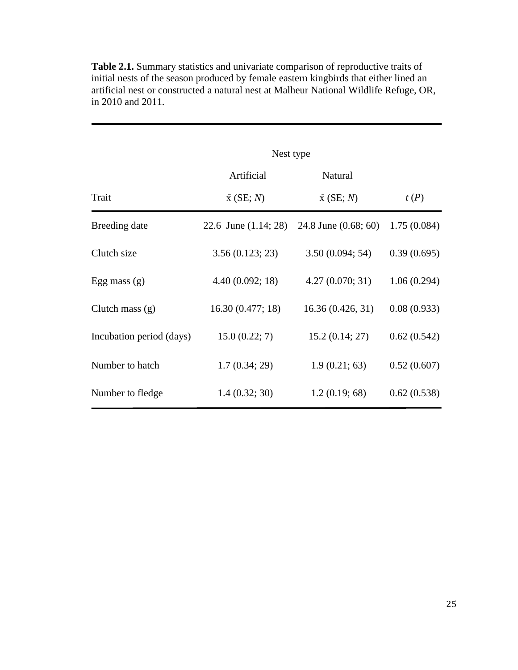|                          | Nest type              |                        |             |
|--------------------------|------------------------|------------------------|-------------|
|                          | Artificial             | Natural                |             |
| Trait                    | $\bar{x}$ (SE; N)      | $\bar{x}$ (SE; N)      | t(P)        |
| Breeding date            | 22.6 June $(1.14; 28)$ | 24.8 June $(0.68; 60)$ | 1.75(0.084) |
| Clutch size              | 3.56(0.123; 23)        | 3.50(0.094; 54)        | 0.39(0.695) |
| Egg mass $(g)$           | 4.40(0.092; 18)        | 4.27(0.070; 31)        | 1.06(0.294) |
| Clutch mass $(g)$        | 16.30(0.477; 18)       | 16.36(0.426, 31)       | 0.08(0.933) |
| Incubation period (days) | 15.0(0.22; 7)          | 15.2(0.14; 27)         | 0.62(0.542) |
| Number to hatch          | 1.7(0.34; 29)          | 1.9(0.21; 63)          | 0.52(0.607) |
| Number to fledge         | 1.4(0.32; 30)          | 1.2(0.19; 68)          | 0.62(0.538) |

**Table 2.1.** Summary statistics and univariate comparison of reproductive traits of initial nests of the season produced by female eastern kingbirds that either lined an artificial nest or constructed a natural nest at Malheur National Wildlife Refuge, OR, in 2010 and 2011.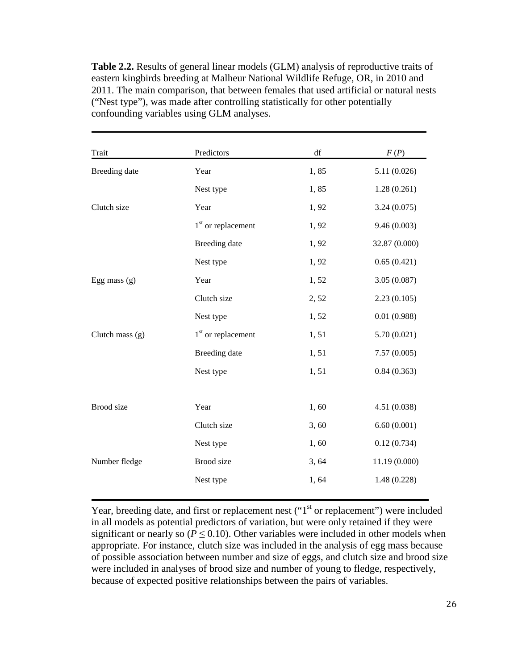**Table 2.2.** Results of general linear models (GLM) analysis of reproductive traits of eastern kingbirds breeding at Malheur National Wildlife Refuge, OR, in 2010 and 2011. The main comparison, that between females that used artificial or natural nests ("Nest type"), was made after controlling statistically for other potentially confounding variables using GLM analyses.

| Trait           | Predictors           | df    | F(P)          |
|-----------------|----------------------|-------|---------------|
| Breeding date   | Year                 | 1,85  | 5.11(0.026)   |
|                 | Nest type            | 1,85  | 1.28(0.261)   |
| Clutch size     | Year                 | 1,92  | 3.24(0.075)   |
|                 | $1st$ or replacement | 1,92  | 9.46(0.003)   |
|                 | Breeding date        | 1,92  | 32.87 (0.000) |
|                 | Nest type            | 1,92  | 0.65(0.421)   |
| Egg mass $(g)$  | Year                 | 1,52  | 3.05(0.087)   |
|                 | Clutch size          | 2,52  | 2.23(0.105)   |
|                 | Nest type            | 1,52  | 0.01(0.988)   |
| Clutch mass (g) | $1st$ or replacement | 1,51  | 5.70(0.021)   |
|                 | Breeding date        | 1,51  | 7.57(0.005)   |
|                 | Nest type            | 1,51  | 0.84(0.363)   |
|                 |                      |       |               |
| Brood size      | Year                 | 1,60  | 4.51(0.038)   |
|                 | Clutch size          | 3,60  | 6.60(0.001)   |
|                 | Nest type            | 1,60  | 0.12(0.734)   |
| Number fledge   | Brood size           | 3, 64 | 11.19 (0.000) |
|                 | Nest type            | 1,64  | 1.48(0.228)   |

Year, breeding date, and first or replacement nest  $("1<sup>st</sup>]$  or replacement") were included in all models as potential predictors of variation, but were only retained if they were significant or nearly so ( $P \le 0.10$ ). Other variables were included in other models when appropriate. For instance, clutch size was included in the analysis of egg mass because of possible association between number and size of eggs, and clutch size and brood size were included in analyses of brood size and number of young to fledge, respectively, because of expected positive relationships between the pairs of variables.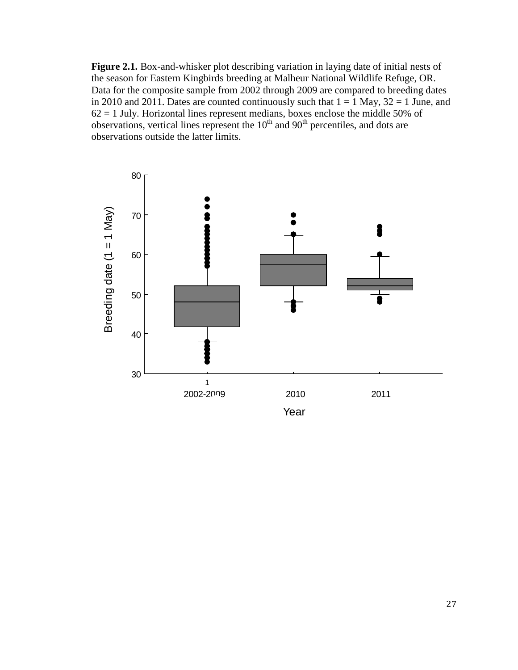**Figure 2.1.** Box-and-whisker plot describing variation in laying date of initial nests of the season for Eastern Kingbirds breeding at Malheur National Wildlife Refuge, OR. Data for the composite sample from 2002 through 2009 are compared to breeding dates in 2010 and 2011. Dates are counted continuously such that  $1 = 1$  May,  $32 = 1$  June, and  $62 = 1$  July. Horizontal lines represent medians, boxes enclose the middle 50% of observations, vertical lines represent the  $10<sup>th</sup>$  and  $90<sup>th</sup>$  percentiles, and dots are observations outside the latter limits.

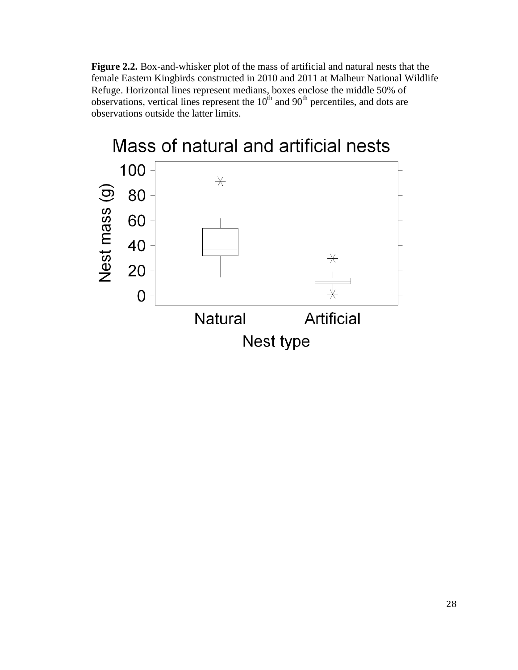**Figure 2.2.** Box-and-whisker plot of the mass of artificial and natural nests that the female Eastern Kingbirds constructed in 2010 and 2011 at Malheur National Wildlife Refuge. Horizontal lines represent medians, boxes enclose the middle 50% of observations, vertical lines represent the  $10<sup>th</sup>$  and  $90<sup>th</sup>$  percentiles, and dots are observations outside the latter limits.

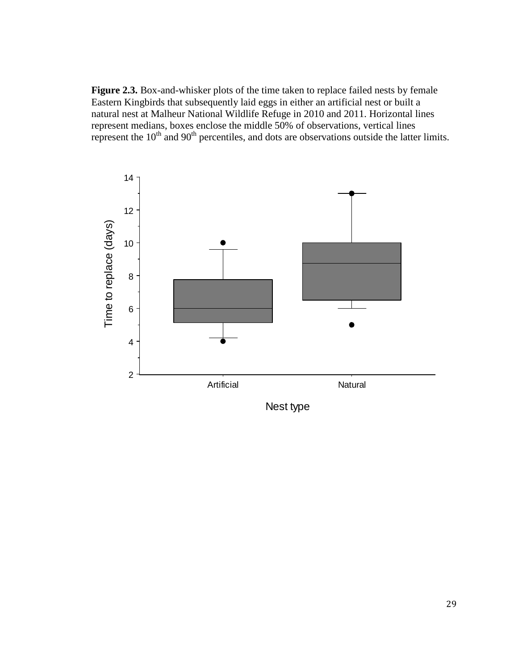**Figure 2.3.** Box-and-whisker plots of the time taken to replace failed nests by female Eastern Kingbirds that subsequently laid eggs in either an artificial nest or built a natural nest at Malheur National Wildlife Refuge in 2010 and 2011. Horizontal lines represent medians, boxes enclose the middle 50% of observations, vertical lines represent the  $10<sup>th</sup>$  and  $90<sup>th</sup>$  percentiles, and dots are observations outside the latter limits.



Nest type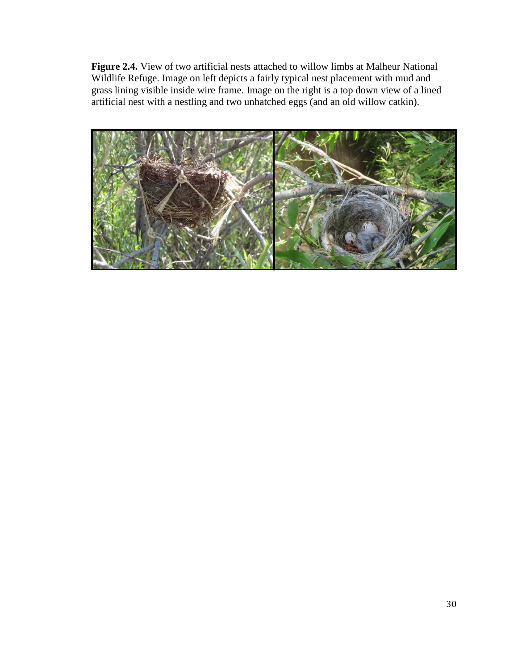**Figure 2.4.** View of two artificial nests attached to willow limbs at Malheur National Wildlife Refuge. Image on left depicts a fairly typical nest placement with mud and grass lining visible inside wire frame. Image on the right is a top down view of a lined artificial nest with a nestling and two unhatched eggs (and an old willow catkin).

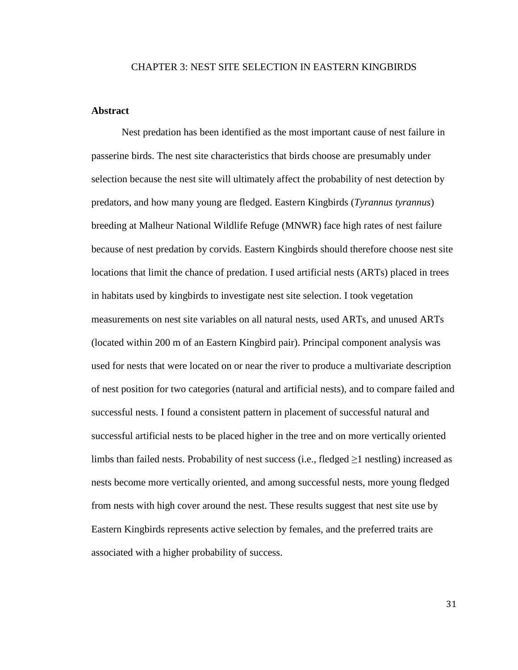### CHAPTER 3: NEST SITE SELECTION IN EASTERN KINGBIRDS

## **Abstract**

Nest predation has been identified as the most important cause of nest failure in passerine birds. The nest site characteristics that birds choose are presumably under selection because the nest site will ultimately affect the probability of nest detection by predators, and how many young are fledged. Eastern Kingbirds (*Tyrannus tyrannus*) breeding at Malheur National Wildlife Refuge (MNWR) face high rates of nest failure because of nest predation by corvids. Eastern Kingbirds should therefore choose nest site locations that limit the chance of predation. I used artificial nests (ARTs) placed in trees in habitats used by kingbirds to investigate nest site selection. I took vegetation measurements on nest site variables on all natural nests, used ARTs, and unused ARTs (located within 200 m of an Eastern Kingbird pair). Principal component analysis was used for nests that were located on or near the river to produce a multivariate description of nest position for two categories (natural and artificial nests), and to compare failed and successful nests. I found a consistent pattern in placement of successful natural and successful artificial nests to be placed higher in the tree and on more vertically oriented limbs than failed nests. Probability of nest success (i.e., fledged  $\geq 1$  nestling) increased as nests become more vertically oriented, and among successful nests, more young fledged from nests with high cover around the nest. These results suggest that nest site use by Eastern Kingbirds represents active selection by females, and the preferred traits are associated with a higher probability of success.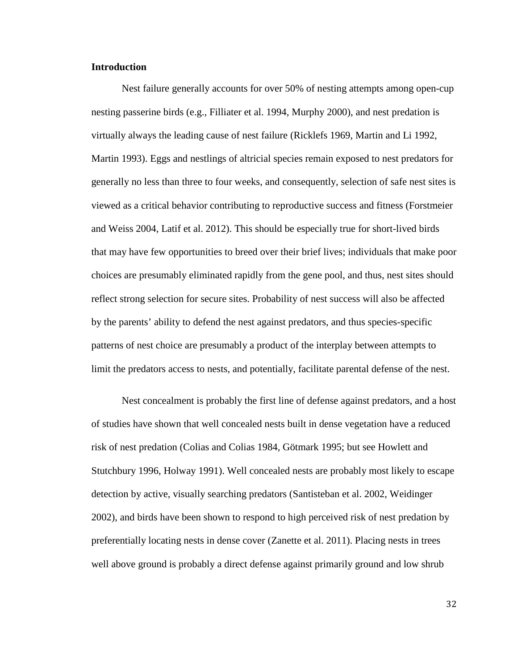# **Introduction**

Nest failure generally accounts for over 50% of nesting attempts among open-cup nesting passerine birds (e.g., Filliater et al. 1994, Murphy 2000), and nest predation is virtually always the leading cause of nest failure (Ricklefs 1969, Martin and Li 1992, Martin 1993). Eggs and nestlings of altricial species remain exposed to nest predators for generally no less than three to four weeks, and consequently, selection of safe nest sites is viewed as a critical behavior contributing to reproductive success and fitness (Forstmeier and Weiss 2004, Latif et al. 2012). This should be especially true for short-lived birds that may have few opportunities to breed over their brief lives; individuals that make poor choices are presumably eliminated rapidly from the gene pool, and thus, nest sites should reflect strong selection for secure sites. Probability of nest success will also be affected by the parents' ability to defend the nest against predators, and thus species-specific patterns of nest choice are presumably a product of the interplay between attempts to limit the predators access to nests, and potentially, facilitate parental defense of the nest.

Nest concealment is probably the first line of defense against predators, and a host of studies have shown that well concealed nests built in dense vegetation have a reduced risk of nest predation (Colias and Colias 1984, Götmark 1995; but see Howlett and Stutchbury 1996, Holway 1991). Well concealed nests are probably most likely to escape detection by active, visually searching predators (Santisteban et al. 2002, Weidinger 2002), and birds have been shown to respond to high perceived risk of nest predation by preferentially locating nests in dense cover (Zanette et al. 2011). Placing nests in trees well above ground is probably a direct defense against primarily ground and low shrub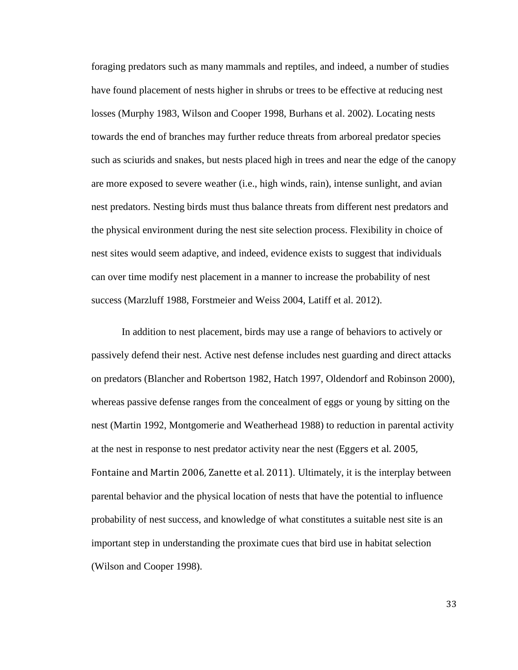foraging predators such as many mammals and reptiles, and indeed, a number of studies have found placement of nests higher in shrubs or trees to be effective at reducing nest losses (Murphy 1983, Wilson and Cooper 1998, Burhans et al. 2002). Locating nests towards the end of branches may further reduce threats from arboreal predator species such as sciurids and snakes, but nests placed high in trees and near the edge of the canopy are more exposed to severe weather (i.e., high winds, rain), intense sunlight, and avian nest predators. Nesting birds must thus balance threats from different nest predators and the physical environment during the nest site selection process. Flexibility in choice of nest sites would seem adaptive, and indeed, evidence exists to suggest that individuals can over time modify nest placement in a manner to increase the probability of nest success (Marzluff 1988, Forstmeier and Weiss 2004, Latiff et al. 2012).

In addition to nest placement, birds may use a range of behaviors to actively or passively defend their nest. Active nest defense includes nest guarding and direct attacks on predators (Blancher and Robertson 1982, Hatch 1997, Oldendorf and Robinson 2000), whereas passive defense ranges from the concealment of eggs or young by sitting on the nest (Martin 1992, Montgomerie and Weatherhead 1988) to reduction in parental activity at the nest in response to nest predator activity near the nest (Eggers et al. 2005, Fontaine and Martin 2006, Zanette et al. 2011). Ultimately, it is the interplay between parental behavior and the physical location of nests that have the potential to influence probability of nest success, and knowledge of what constitutes a suitable nest site is an important step in understanding the proximate cues that bird use in habitat selection (Wilson and Cooper 1998).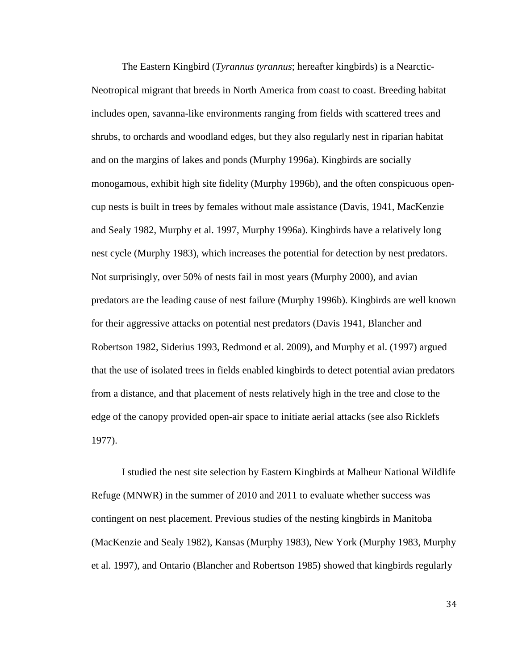The Eastern Kingbird (*Tyrannus tyrannus*; hereafter kingbirds) is a Nearctic-Neotropical migrant that breeds in North America from coast to coast. Breeding habitat includes open, savanna-like environments ranging from fields with scattered trees and shrubs, to orchards and woodland edges, but they also regularly nest in riparian habitat and on the margins of lakes and ponds (Murphy 1996a). Kingbirds are socially monogamous, exhibit high site fidelity (Murphy 1996b), and the often conspicuous opencup nests is built in trees by females without male assistance (Davis, 1941, MacKenzie and Sealy 1982, Murphy et al. 1997, Murphy 1996a). Kingbirds have a relatively long nest cycle (Murphy 1983), which increases the potential for detection by nest predators. Not surprisingly, over 50% of nests fail in most years (Murphy 2000), and avian predators are the leading cause of nest failure (Murphy 1996b). Kingbirds are well known for their aggressive attacks on potential nest predators (Davis 1941, Blancher and Robertson 1982, Siderius 1993, Redmond et al. 2009), and Murphy et al. (1997) argued that the use of isolated trees in fields enabled kingbirds to detect potential avian predators from a distance, and that placement of nests relatively high in the tree and close to the edge of the canopy provided open-air space to initiate aerial attacks (see also Ricklefs 1977).

I studied the nest site selection by Eastern Kingbirds at Malheur National Wildlife Refuge (MNWR) in the summer of 2010 and 2011 to evaluate whether success was contingent on nest placement. Previous studies of the nesting kingbirds in Manitoba (MacKenzie and Sealy 1982), Kansas (Murphy 1983), New York (Murphy 1983, Murphy et al. 1997), and Ontario (Blancher and Robertson 1985) showed that kingbirds regularly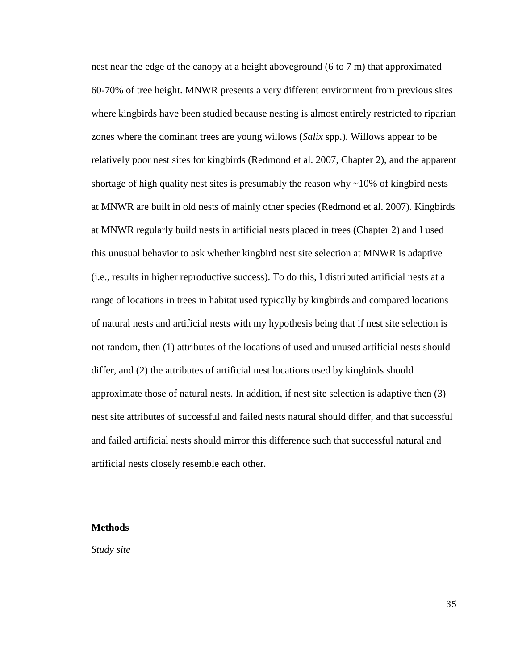nest near the edge of the canopy at a height aboveground (6 to 7 m) that approximated 60-70% of tree height. MNWR presents a very different environment from previous sites where kingbirds have been studied because nesting is almost entirely restricted to riparian zones where the dominant trees are young willows (*Salix* spp.). Willows appear to be relatively poor nest sites for kingbirds (Redmond et al. 2007, Chapter 2), and the apparent shortage of high quality nest sites is presumably the reason why  $\sim$ 10% of kingbird nests at MNWR are built in old nests of mainly other species (Redmond et al. 2007). Kingbirds at MNWR regularly build nests in artificial nests placed in trees (Chapter 2) and I used this unusual behavior to ask whether kingbird nest site selection at MNWR is adaptive (i.e., results in higher reproductive success). To do this, I distributed artificial nests at a range of locations in trees in habitat used typically by kingbirds and compared locations of natural nests and artificial nests with my hypothesis being that if nest site selection is not random, then (1) attributes of the locations of used and unused artificial nests should differ, and (2) the attributes of artificial nest locations used by kingbirds should approximate those of natural nests. In addition, if nest site selection is adaptive then (3) nest site attributes of successful and failed nests natural should differ, and that successful and failed artificial nests should mirror this difference such that successful natural and artificial nests closely resemble each other.

# **Methods**

*Study site*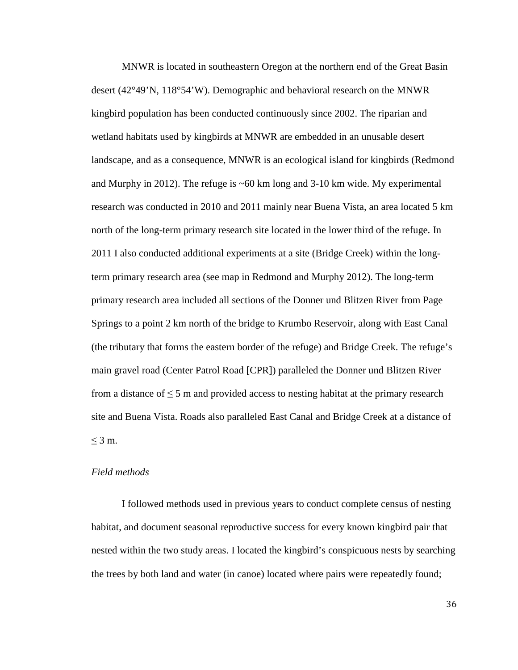MNWR is located in southeastern Oregon at the northern end of the Great Basin desert (42°49'N, 118°54'W). Demographic and behavioral research on the MNWR kingbird population has been conducted continuously since 2002. The riparian and wetland habitats used by kingbirds at MNWR are embedded in an unusable desert landscape, and as a consequence, MNWR is an ecological island for kingbirds (Redmond and Murphy in 2012). The refuge is  $~60 \text{ km}$  long and 3-10 km wide. My experimental research was conducted in 2010 and 2011 mainly near Buena Vista, an area located 5 km north of the long-term primary research site located in the lower third of the refuge. In 2011 I also conducted additional experiments at a site (Bridge Creek) within the longterm primary research area (see map in Redmond and Murphy 2012). The long-term primary research area included all sections of the Donner und Blitzen River from Page Springs to a point 2 km north of the bridge to Krumbo Reservoir, along with East Canal (the tributary that forms the eastern border of the refuge) and Bridge Creek. The refuge's main gravel road (Center Patrol Road [CPR]) paralleled the Donner und Blitzen River from a distance of  $\leq$  5 m and provided access to nesting habitat at the primary research site and Buena Vista. Roads also paralleled East Canal and Bridge Creek at a distance of  $\leq 3$  m.

## *Field methods*

I followed methods used in previous years to conduct complete census of nesting habitat, and document seasonal reproductive success for every known kingbird pair that nested within the two study areas. I located the kingbird's conspicuous nests by searching the trees by both land and water (in canoe) located where pairs were repeatedly found;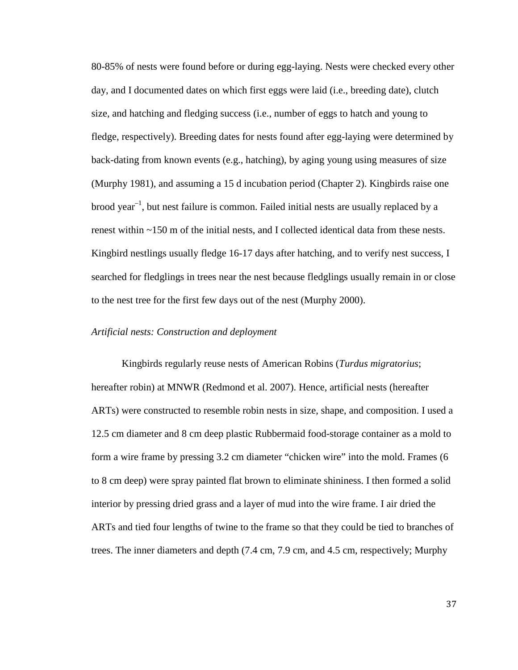80-85% of nests were found before or during egg-laying. Nests were checked every other day, and I documented dates on which first eggs were laid (i.e., breeding date), clutch size, and hatching and fledging success (i.e., number of eggs to hatch and young to fledge, respectively). Breeding dates for nests found after egg-laying were determined by back-dating from known events (e.g., hatching), by aging young using measures of size (Murphy 1981), and assuming a 15 d incubation period (Chapter 2). Kingbirds raise one  $b$ rood year<sup>-1</sup>, but nest failure is common. Failed initial nests are usually replaced by a renest within ~150 m of the initial nests, and I collected identical data from these nests. Kingbird nestlings usually fledge 16-17 days after hatching, and to verify nest success, I searched for fledglings in trees near the nest because fledglings usually remain in or close to the nest tree for the first few days out of the nest (Murphy 2000).

### *Artificial nests: Construction and deployment*

Kingbirds regularly reuse nests of American Robins (*Turdus migratorius*; hereafter robin) at MNWR (Redmond et al. 2007). Hence, artificial nests (hereafter ARTs) were constructed to resemble robin nests in size, shape, and composition. I used a 12.5 cm diameter and 8 cm deep plastic Rubbermaid food-storage container as a mold to form a wire frame by pressing 3.2 cm diameter "chicken wire" into the mold. Frames (6 to 8 cm deep) were spray painted flat brown to eliminate shininess. I then formed a solid interior by pressing dried grass and a layer of mud into the wire frame. I air dried the ARTs and tied four lengths of twine to the frame so that they could be tied to branches of trees. The inner diameters and depth (7.4 cm, 7.9 cm, and 4.5 cm, respectively; Murphy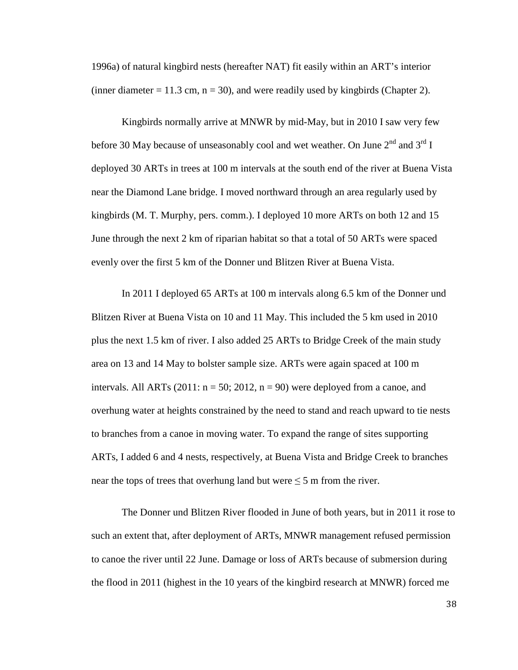1996a) of natural kingbird nests (hereafter NAT) fit easily within an ART's interior (inner diameter  $= 11.3$  cm,  $n = 30$ ), and were readily used by kingbirds (Chapter 2).

Kingbirds normally arrive at MNWR by mid-May, but in 2010 I saw very few before 30 May because of unseasonably cool and wet weather. On June  $2^{nd}$  and  $3^{rd}$  I deployed 30 ARTs in trees at 100 m intervals at the south end of the river at Buena Vista near the Diamond Lane bridge. I moved northward through an area regularly used by kingbirds (M. T. Murphy, pers. comm.). I deployed 10 more ARTs on both 12 and 15 June through the next 2 km of riparian habitat so that a total of 50 ARTs were spaced evenly over the first 5 km of the Donner und Blitzen River at Buena Vista.

In 2011 I deployed 65 ARTs at 100 m intervals along 6.5 km of the Donner und Blitzen River at Buena Vista on 10 and 11 May. This included the 5 km used in 2010 plus the next 1.5 km of river. I also added 25 ARTs to Bridge Creek of the main study area on 13 and 14 May to bolster sample size. ARTs were again spaced at 100 m intervals. All ARTs (2011:  $n = 50$ ; 2012,  $n = 90$ ) were deployed from a canoe, and overhung water at heights constrained by the need to stand and reach upward to tie nests to branches from a canoe in moving water. To expand the range of sites supporting ARTs, I added 6 and 4 nests, respectively, at Buena Vista and Bridge Creek to branches near the tops of trees that overhung land but were  $\leq$  5 m from the river.

The Donner und Blitzen River flooded in June of both years, but in 2011 it rose to such an extent that, after deployment of ARTs, MNWR management refused permission to canoe the river until 22 June. Damage or loss of ARTs because of submersion during the flood in 2011 (highest in the 10 years of the kingbird research at MNWR) forced me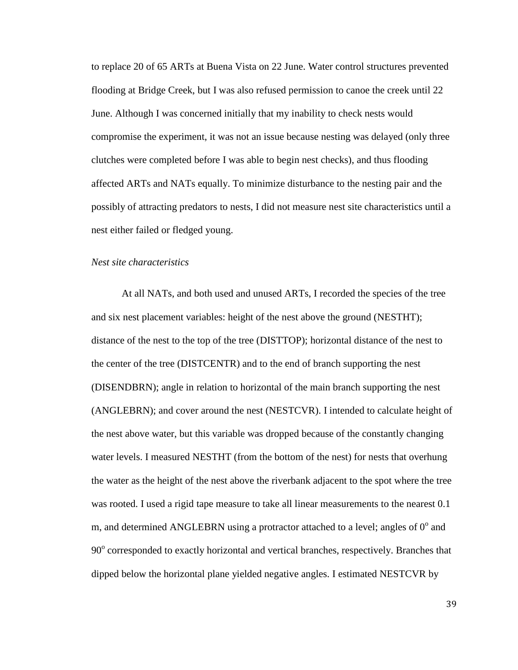to replace 20 of 65 ARTs at Buena Vista on 22 June. Water control structures prevented flooding at Bridge Creek, but I was also refused permission to canoe the creek until 22 June. Although I was concerned initially that my inability to check nests would compromise the experiment, it was not an issue because nesting was delayed (only three clutches were completed before I was able to begin nest checks), and thus flooding affected ARTs and NATs equally. To minimize disturbance to the nesting pair and the possibly of attracting predators to nests, I did not measure nest site characteristics until a nest either failed or fledged young.

### *Nest site characteristics*

At all NATs, and both used and unused ARTs, I recorded the species of the tree and six nest placement variables: height of the nest above the ground (NESTHT); distance of the nest to the top of the tree (DISTTOP); horizontal distance of the nest to the center of the tree (DISTCENTR) and to the end of branch supporting the nest (DISENDBRN); angle in relation to horizontal of the main branch supporting the nest (ANGLEBRN); and cover around the nest (NESTCVR). I intended to calculate height of the nest above water, but this variable was dropped because of the constantly changing water levels. I measured NESTHT (from the bottom of the nest) for nests that overhung the water as the height of the nest above the riverbank adjacent to the spot where the tree was rooted. I used a rigid tape measure to take all linear measurements to the nearest 0.1 m, and determined ANGLEBRN using a protractor attached to a level; angles of  $0^{\circ}$  and 90° corresponded to exactly horizontal and vertical branches, respectively. Branches that dipped below the horizontal plane yielded negative angles. I estimated NESTCVR by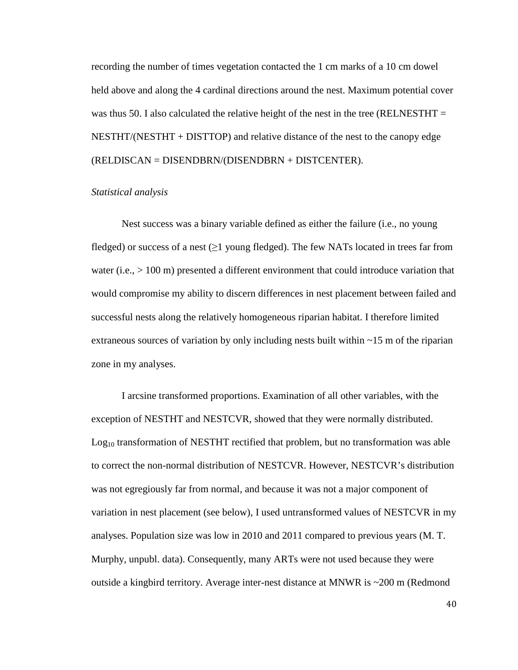recording the number of times vegetation contacted the 1 cm marks of a 10 cm dowel held above and along the 4 cardinal directions around the nest. Maximum potential cover was thus 50. I also calculated the relative height of the nest in the tree (RELNESTHT  $=$ NESTHT/(NESTHT + DISTTOP) and relative distance of the nest to the canopy edge (RELDISCAN = DISENDBRN/(DISENDBRN + DISTCENTER).

#### *Statistical analysis*

Nest success was a binary variable defined as either the failure (i.e., no young fledged) or success of a nest ( $\geq 1$  young fledged). The few NATs located in trees far from water (i.e.,  $> 100 \text{ m}$ ) presented a different environment that could introduce variation that would compromise my ability to discern differences in nest placement between failed and successful nests along the relatively homogeneous riparian habitat. I therefore limited extraneous sources of variation by only including nests built within ~15 m of the riparian zone in my analyses.

I arcsine transformed proportions. Examination of all other variables, with the exception of NESTHT and NESTCVR, showed that they were normally distributed.  $Log<sub>10</sub>$  transformation of NESTHT rectified that problem, but no transformation was able to correct the non-normal distribution of NESTCVR. However, NESTCVR's distribution was not egregiously far from normal, and because it was not a major component of variation in nest placement (see below), I used untransformed values of NESTCVR in my analyses. Population size was low in 2010 and 2011 compared to previous years (M. T. Murphy, unpubl. data). Consequently, many ARTs were not used because they were outside a kingbird territory. Average inter-nest distance at MNWR is ~200 m (Redmond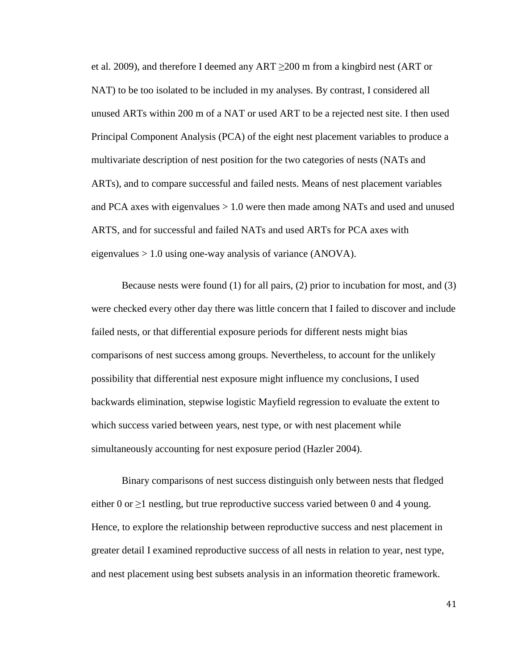et al. 2009), and therefore I deemed any ART  $\geq$ 200 m from a kingbird nest (ART or NAT) to be too isolated to be included in my analyses. By contrast, I considered all unused ARTs within 200 m of a NAT or used ART to be a rejected nest site. I then used Principal Component Analysis (PCA) of the eight nest placement variables to produce a multivariate description of nest position for the two categories of nests (NATs and ARTs), and to compare successful and failed nests. Means of nest placement variables and PCA axes with eigenvalues  $> 1.0$  were then made among NATs and used and unused ARTS, and for successful and failed NATs and used ARTs for PCA axes with eigenvalues  $> 1.0$  using one-way analysis of variance (ANOVA).

Because nests were found (1) for all pairs, (2) prior to incubation for most, and (3) were checked every other day there was little concern that I failed to discover and include failed nests, or that differential exposure periods for different nests might bias comparisons of nest success among groups. Nevertheless, to account for the unlikely possibility that differential nest exposure might influence my conclusions, I used backwards elimination, stepwise logistic Mayfield regression to evaluate the extent to which success varied between years, nest type, or with nest placement while simultaneously accounting for nest exposure period (Hazler 2004).

Binary comparisons of nest success distinguish only between nests that fledged either 0 or  $\geq$ 1 nestling, but true reproductive success varied between 0 and 4 young. Hence, to explore the relationship between reproductive success and nest placement in greater detail I examined reproductive success of all nests in relation to year, nest type, and nest placement using best subsets analysis in an information theoretic framework.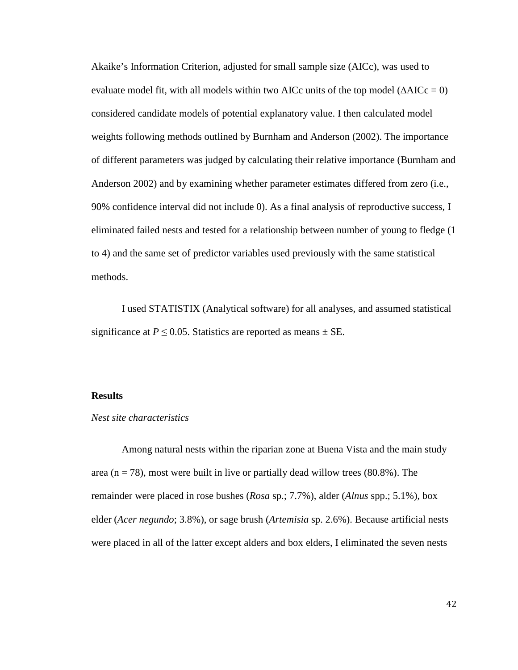Akaike's Information Criterion, adjusted for small sample size (AICc), was used to evaluate model fit, with all models within two AICc units of the top model ( $\triangle AICc = 0$ ) considered candidate models of potential explanatory value. I then calculated model weights following methods outlined by Burnham and Anderson (2002). The importance of different parameters was judged by calculating their relative importance (Burnham and Anderson 2002) and by examining whether parameter estimates differed from zero (i.e., 90% confidence interval did not include 0). As a final analysis of reproductive success, I eliminated failed nests and tested for a relationship between number of young to fledge (1 to 4) and the same set of predictor variables used previously with the same statistical methods.

I used STATISTIX (Analytical software) for all analyses, and assumed statistical significance at  $P \le 0.05$ . Statistics are reported as means  $\pm$  SE.

# **Results**

#### *Nest site characteristics*

Among natural nests within the riparian zone at Buena Vista and the main study area ( $n = 78$ ), most were built in live or partially dead willow trees (80.8%). The remainder were placed in rose bushes (*Rosa* sp.; 7.7%), alder (*Alnus* spp.; 5.1%), box elder (*Acer negundo*; 3.8%), or sage brush (*Artemisia* sp. 2.6%). Because artificial nests were placed in all of the latter except alders and box elders, I eliminated the seven nests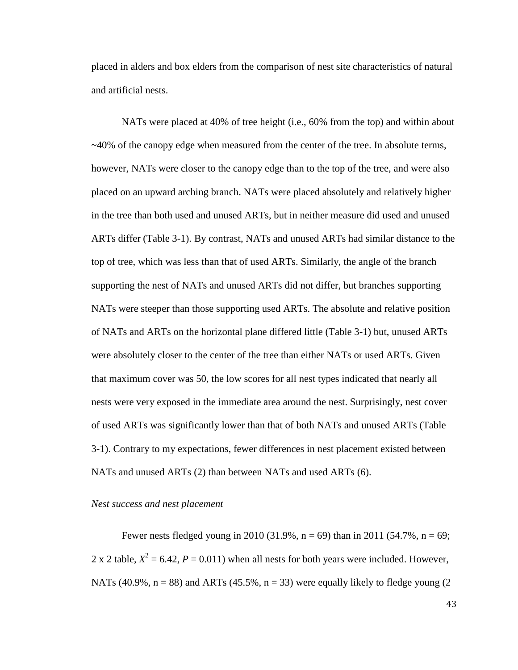placed in alders and box elders from the comparison of nest site characteristics of natural and artificial nests.

 NATs were placed at 40% of tree height (i.e., 60% from the top) and within about  $\sim$ 40% of the canopy edge when measured from the center of the tree. In absolute terms, however, NATs were closer to the canopy edge than to the top of the tree, and were also placed on an upward arching branch. NATs were placed absolutely and relatively higher in the tree than both used and unused ARTs, but in neither measure did used and unused ARTs differ (Table 3-1). By contrast, NATs and unused ARTs had similar distance to the top of tree, which was less than that of used ARTs. Similarly, the angle of the branch supporting the nest of NATs and unused ARTs did not differ, but branches supporting NATs were steeper than those supporting used ARTs. The absolute and relative position of NATs and ARTs on the horizontal plane differed little (Table 3-1) but, unused ARTs were absolutely closer to the center of the tree than either NATs or used ARTs. Given that maximum cover was 50, the low scores for all nest types indicated that nearly all nests were very exposed in the immediate area around the nest. Surprisingly, nest cover of used ARTs was significantly lower than that of both NATs and unused ARTs (Table 3-1). Contrary to my expectations, fewer differences in nest placement existed between NATs and unused ARTs (2) than between NATs and used ARTs (6).

*Nest success and nest placement*

Fewer nests fledged young in 2010 (31.9%,  $n = 69$ ) than in 2011 (54.7%,  $n = 69$ ; 2 x 2 table,  $X^2 = 6.42$ ,  $P = 0.011$ ) when all nests for both years were included. However, NATs (40.9%,  $n = 88$ ) and ARTs (45.5%,  $n = 33$ ) were equally likely to fledge young (2)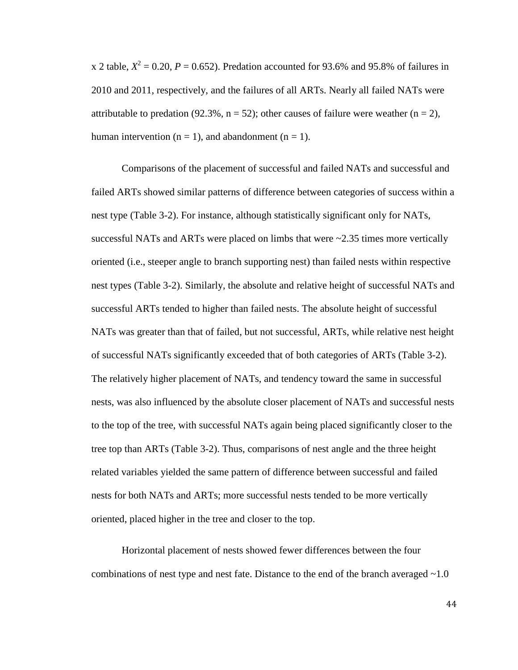x 2 table,  $X^2 = 0.20$ ,  $P = 0.652$ ). Predation accounted for 93.6% and 95.8% of failures in 2010 and 2011, respectively, and the failures of all ARTs. Nearly all failed NATs were attributable to predation (92.3%,  $n = 52$ ); other causes of failure were weather ( $n = 2$ ), human intervention ( $n = 1$ ), and abandonment ( $n = 1$ ).

Comparisons of the placement of successful and failed NATs and successful and failed ARTs showed similar patterns of difference between categories of success within a nest type (Table 3-2). For instance, although statistically significant only for NATs, successful NATs and ARTs were placed on limbs that were  $\approx$  2.35 times more vertically oriented (i.e., steeper angle to branch supporting nest) than failed nests within respective nest types (Table 3-2). Similarly, the absolute and relative height of successful NATs and successful ARTs tended to higher than failed nests. The absolute height of successful NATs was greater than that of failed, but not successful, ARTs, while relative nest height of successful NATs significantly exceeded that of both categories of ARTs (Table 3-2). The relatively higher placement of NATs, and tendency toward the same in successful nests, was also influenced by the absolute closer placement of NATs and successful nests to the top of the tree, with successful NATs again being placed significantly closer to the tree top than ARTs (Table 3-2). Thus, comparisons of nest angle and the three height related variables yielded the same pattern of difference between successful and failed nests for both NATs and ARTs; more successful nests tended to be more vertically oriented, placed higher in the tree and closer to the top.

Horizontal placement of nests showed fewer differences between the four combinations of nest type and nest fate. Distance to the end of the branch averaged  $\sim 1.0$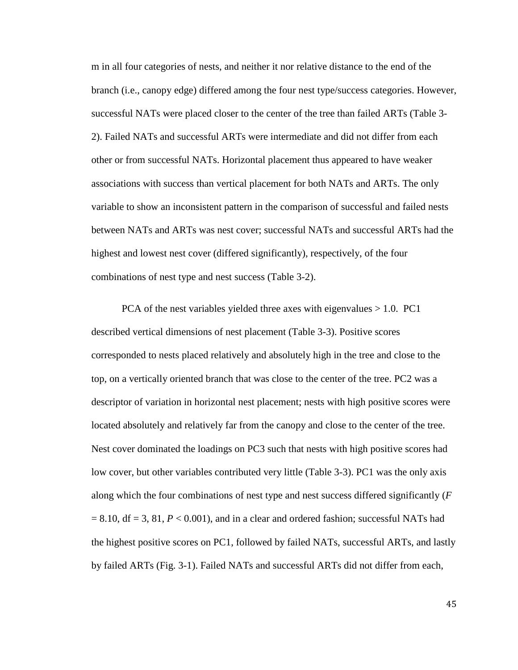m in all four categories of nests, and neither it nor relative distance to the end of the branch (i.e., canopy edge) differed among the four nest type/success categories. However, successful NATs were placed closer to the center of the tree than failed ARTs (Table 3- 2). Failed NATs and successful ARTs were intermediate and did not differ from each other or from successful NATs. Horizontal placement thus appeared to have weaker associations with success than vertical placement for both NATs and ARTs. The only variable to show an inconsistent pattern in the comparison of successful and failed nests between NATs and ARTs was nest cover; successful NATs and successful ARTs had the highest and lowest nest cover (differed significantly), respectively, of the four combinations of nest type and nest success (Table 3-2).

PCA of the nest variables yielded three axes with eigenvalues  $> 1.0$ . PC1 described vertical dimensions of nest placement (Table 3-3). Positive scores corresponded to nests placed relatively and absolutely high in the tree and close to the top, on a vertically oriented branch that was close to the center of the tree. PC2 was a descriptor of variation in horizontal nest placement; nests with high positive scores were located absolutely and relatively far from the canopy and close to the center of the tree. Nest cover dominated the loadings on PC3 such that nests with high positive scores had low cover, but other variables contributed very little (Table 3-3). PC1 was the only axis along which the four combinations of nest type and nest success differed significantly (*F*  $= 8.10$ , df  $= 3, 81$ ,  $P < 0.001$ ), and in a clear and ordered fashion; successful NATs had the highest positive scores on PC1, followed by failed NATs, successful ARTs, and lastly by failed ARTs (Fig. 3-1). Failed NATs and successful ARTs did not differ from each,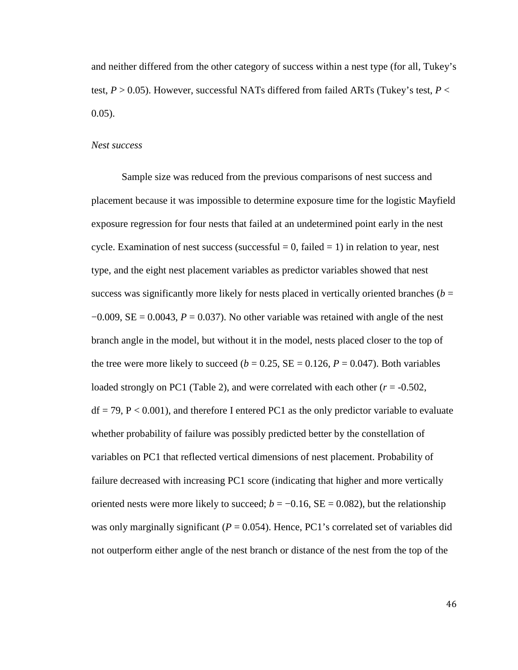and neither differed from the other category of success within a nest type (for all, Tukey's test,  $P > 0.05$ ). However, successful NATs differed from failed ARTs (Tukey's test,  $P <$ 0.05).

#### *Nest success*

Sample size was reduced from the previous comparisons of nest success and placement because it was impossible to determine exposure time for the logistic Mayfield exposure regression for four nests that failed at an undetermined point early in the nest cycle. Examination of nest success (successful  $= 0$ , failed  $= 1$ ) in relation to year, nest type, and the eight nest placement variables as predictor variables showed that nest success was significantly more likely for nests placed in vertically oriented branches ( $b =$  $-0.009$ , SE = 0.0043,  $P = 0.037$ ). No other variable was retained with angle of the nest branch angle in the model, but without it in the model, nests placed closer to the top of the tree were more likely to succeed  $(b = 0.25, SE = 0.126, P = 0.047)$ . Both variables loaded strongly on PC1 (Table 2), and were correlated with each other  $(r = -0.502,$  $df = 79$ ,  $P < 0.001$ ), and therefore I entered PC1 as the only predictor variable to evaluate whether probability of failure was possibly predicted better by the constellation of variables on PC1 that reflected vertical dimensions of nest placement. Probability of failure decreased with increasing PC1 score (indicating that higher and more vertically oriented nests were more likely to succeed;  $b = -0.16$ , SE = 0.082), but the relationship was only marginally significant ( $P = 0.054$ ). Hence, PC1's correlated set of variables did not outperform either angle of the nest branch or distance of the nest from the top of the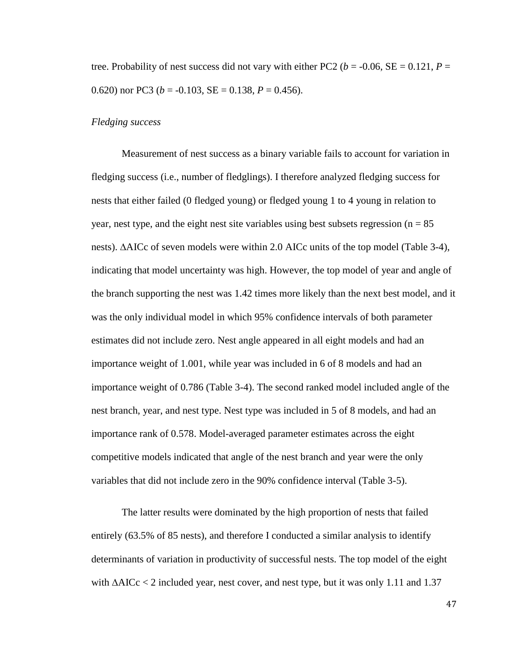tree. Probability of nest success did not vary with either PC2 ( $b = -0.06$ , SE = 0.121, P = 0.620) nor PC3 ( $b = -0.103$ , SE = 0.138,  $P = 0.456$ ).

### *Fledging success*

Measurement of nest success as a binary variable fails to account for variation in fledging success (i.e., number of fledglings). I therefore analyzed fledging success for nests that either failed (0 fledged young) or fledged young 1 to 4 young in relation to year, nest type, and the eight nest site variables using best subsets regression ( $n = 85$ ) nests). ∆AICc of seven models were within 2.0 AICc units of the top model (Table 3-4), indicating that model uncertainty was high. However, the top model of year and angle of the branch supporting the nest was 1.42 times more likely than the next best model, and it was the only individual model in which 95% confidence intervals of both parameter estimates did not include zero. Nest angle appeared in all eight models and had an importance weight of 1.001, while year was included in 6 of 8 models and had an importance weight of 0.786 (Table 3-4). The second ranked model included angle of the nest branch, year, and nest type. Nest type was included in 5 of 8 models, and had an importance rank of 0.578. Model-averaged parameter estimates across the eight competitive models indicated that angle of the nest branch and year were the only variables that did not include zero in the 90% confidence interval (Table 3-5).

 The latter results were dominated by the high proportion of nests that failed entirely (63.5% of 85 nests), and therefore I conducted a similar analysis to identify determinants of variation in productivity of successful nests. The top model of the eight with ∆AICc < 2 included year, nest cover, and nest type, but it was only 1.11 and 1.37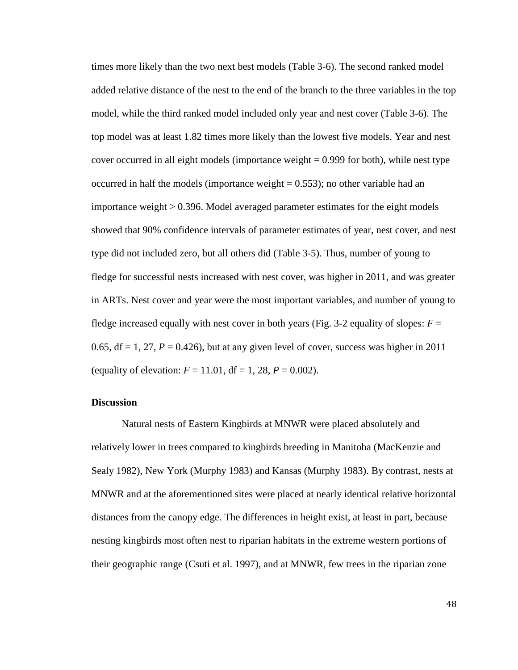times more likely than the two next best models (Table 3-6). The second ranked model added relative distance of the nest to the end of the branch to the three variables in the top model, while the third ranked model included only year and nest cover (Table 3-6). The top model was at least 1.82 times more likely than the lowest five models. Year and nest cover occurred in all eight models (importance weight  $= 0.999$  for both), while nest type occurred in half the models (importance weight  $= 0.553$ ); no other variable had an importance weight > 0.396. Model averaged parameter estimates for the eight models showed that 90% confidence intervals of parameter estimates of year, nest cover, and nest type did not included zero, but all others did (Table 3-5). Thus, number of young to fledge for successful nests increased with nest cover, was higher in 2011, and was greater in ARTs. Nest cover and year were the most important variables, and number of young to fledge increased equally with nest cover in both years (Fig. 3-2 equality of slopes:  $F =$ 0.65,  $df = 1$ , 27,  $P = 0.426$ ), but at any given level of cover, success was higher in 2011 (equality of elevation:  $F = 11.01$ ,  $df = 1$ , 28,  $P = 0.002$ ).

#### **Discussion**

Natural nests of Eastern Kingbirds at MNWR were placed absolutely and relatively lower in trees compared to kingbirds breeding in Manitoba (MacKenzie and Sealy 1982), New York (Murphy 1983) and Kansas (Murphy 1983). By contrast, nests at MNWR and at the aforementioned sites were placed at nearly identical relative horizontal distances from the canopy edge. The differences in height exist, at least in part, because nesting kingbirds most often nest to riparian habitats in the extreme western portions of their geographic range (Csuti et al. 1997), and at MNWR, few trees in the riparian zone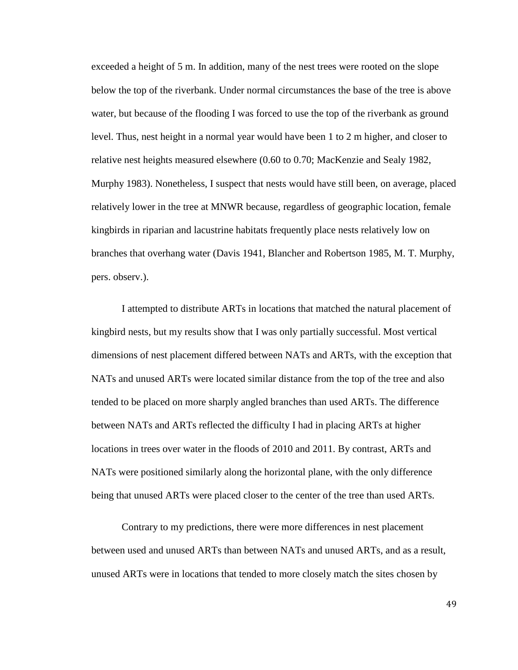exceeded a height of 5 m. In addition, many of the nest trees were rooted on the slope below the top of the riverbank. Under normal circumstances the base of the tree is above water, but because of the flooding I was forced to use the top of the riverbank as ground level. Thus, nest height in a normal year would have been 1 to 2 m higher, and closer to relative nest heights measured elsewhere (0.60 to 0.70; MacKenzie and Sealy 1982, Murphy 1983). Nonetheless, I suspect that nests would have still been, on average, placed relatively lower in the tree at MNWR because, regardless of geographic location, female kingbirds in riparian and lacustrine habitats frequently place nests relatively low on branches that overhang water (Davis 1941, Blancher and Robertson 1985, M. T. Murphy, pers. observ.).

I attempted to distribute ARTs in locations that matched the natural placement of kingbird nests, but my results show that I was only partially successful. Most vertical dimensions of nest placement differed between NATs and ARTs, with the exception that NATs and unused ARTs were located similar distance from the top of the tree and also tended to be placed on more sharply angled branches than used ARTs. The difference between NATs and ARTs reflected the difficulty I had in placing ARTs at higher locations in trees over water in the floods of 2010 and 2011. By contrast, ARTs and NATs were positioned similarly along the horizontal plane, with the only difference being that unused ARTs were placed closer to the center of the tree than used ARTs.

Contrary to my predictions, there were more differences in nest placement between used and unused ARTs than between NATs and unused ARTs, and as a result, unused ARTs were in locations that tended to more closely match the sites chosen by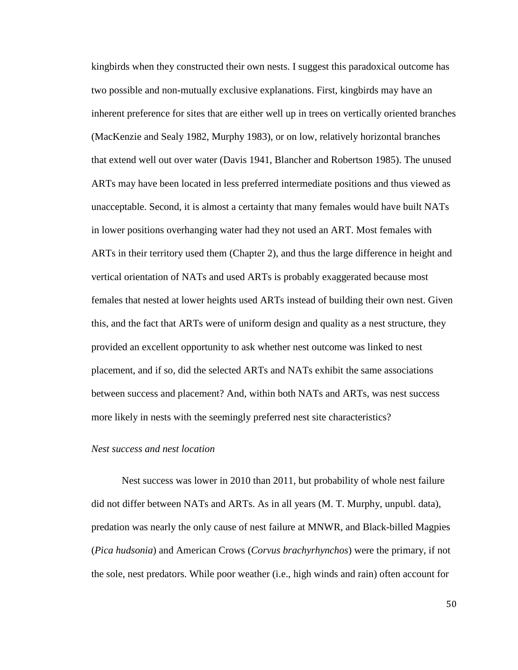kingbirds when they constructed their own nests. I suggest this paradoxical outcome has two possible and non-mutually exclusive explanations. First, kingbirds may have an inherent preference for sites that are either well up in trees on vertically oriented branches (MacKenzie and Sealy 1982, Murphy 1983), or on low, relatively horizontal branches that extend well out over water (Davis 1941, Blancher and Robertson 1985). The unused ARTs may have been located in less preferred intermediate positions and thus viewed as unacceptable. Second, it is almost a certainty that many females would have built NATs in lower positions overhanging water had they not used an ART. Most females with ARTs in their territory used them (Chapter 2), and thus the large difference in height and vertical orientation of NATs and used ARTs is probably exaggerated because most females that nested at lower heights used ARTs instead of building their own nest. Given this, and the fact that ARTs were of uniform design and quality as a nest structure, they provided an excellent opportunity to ask whether nest outcome was linked to nest placement, and if so, did the selected ARTs and NATs exhibit the same associations between success and placement? And, within both NATs and ARTs, was nest success more likely in nests with the seemingly preferred nest site characteristics?

# *Nest success and nest location*

Nest success was lower in 2010 than 2011, but probability of whole nest failure did not differ between NATs and ARTs. As in all years (M. T. Murphy, unpubl. data), predation was nearly the only cause of nest failure at MNWR, and Black-billed Magpies (*Pica hudsonia*) and American Crows (*Corvus brachyrhynchos*) were the primary, if not the sole, nest predators. While poor weather (i.e., high winds and rain) often account for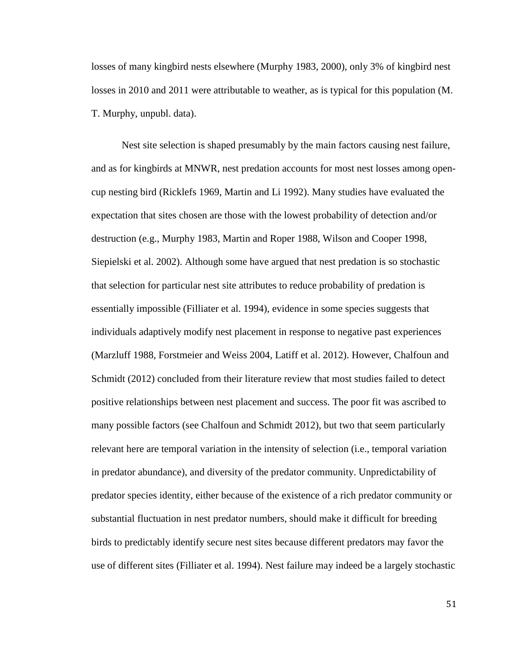losses of many kingbird nests elsewhere (Murphy 1983, 2000), only 3% of kingbird nest losses in 2010 and 2011 were attributable to weather, as is typical for this population (M. T. Murphy, unpubl. data).

Nest site selection is shaped presumably by the main factors causing nest failure, and as for kingbirds at MNWR, nest predation accounts for most nest losses among opencup nesting bird (Ricklefs 1969, Martin and Li 1992). Many studies have evaluated the expectation that sites chosen are those with the lowest probability of detection and/or destruction (e.g., Murphy 1983, Martin and Roper 1988, Wilson and Cooper 1998, Siepielski et al. 2002). Although some have argued that nest predation is so stochastic that selection for particular nest site attributes to reduce probability of predation is essentially impossible (Filliater et al. 1994), evidence in some species suggests that individuals adaptively modify nest placement in response to negative past experiences (Marzluff 1988, Forstmeier and Weiss 2004, Latiff et al. 2012). However, Chalfoun and Schmidt (2012) concluded from their literature review that most studies failed to detect positive relationships between nest placement and success. The poor fit was ascribed to many possible factors (see Chalfoun and Schmidt 2012), but two that seem particularly relevant here are temporal variation in the intensity of selection (i.e., temporal variation in predator abundance), and diversity of the predator community. Unpredictability of predator species identity, either because of the existence of a rich predator community or substantial fluctuation in nest predator numbers, should make it difficult for breeding birds to predictably identify secure nest sites because different predators may favor the use of different sites (Filliater et al. 1994). Nest failure may indeed be a largely stochastic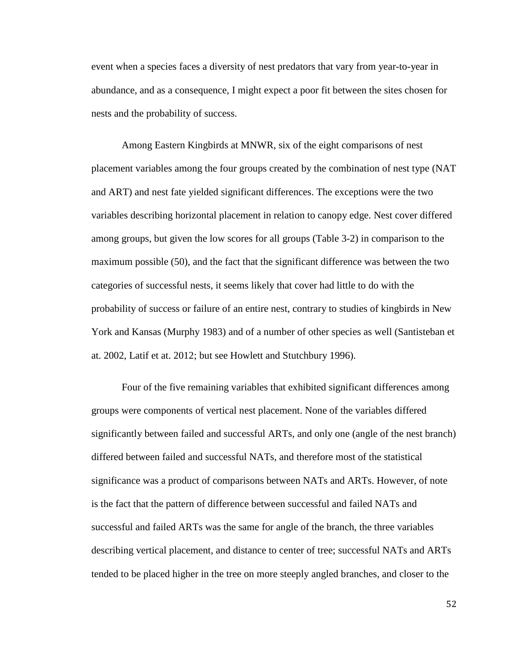event when a species faces a diversity of nest predators that vary from year-to-year in abundance, and as a consequence, I might expect a poor fit between the sites chosen for nests and the probability of success.

Among Eastern Kingbirds at MNWR, six of the eight comparisons of nest placement variables among the four groups created by the combination of nest type (NAT and ART) and nest fate yielded significant differences. The exceptions were the two variables describing horizontal placement in relation to canopy edge. Nest cover differed among groups, but given the low scores for all groups (Table 3-2) in comparison to the maximum possible (50), and the fact that the significant difference was between the two categories of successful nests, it seems likely that cover had little to do with the probability of success or failure of an entire nest, contrary to studies of kingbirds in New York and Kansas (Murphy 1983) and of a number of other species as well (Santisteban et at. 2002, Latif et at. 2012; but see Howlett and Stutchbury 1996).

Four of the five remaining variables that exhibited significant differences among groups were components of vertical nest placement. None of the variables differed significantly between failed and successful ARTs, and only one (angle of the nest branch) differed between failed and successful NATs, and therefore most of the statistical significance was a product of comparisons between NATs and ARTs. However, of note is the fact that the pattern of difference between successful and failed NATs and successful and failed ARTs was the same for angle of the branch, the three variables describing vertical placement, and distance to center of tree; successful NATs and ARTs tended to be placed higher in the tree on more steeply angled branches, and closer to the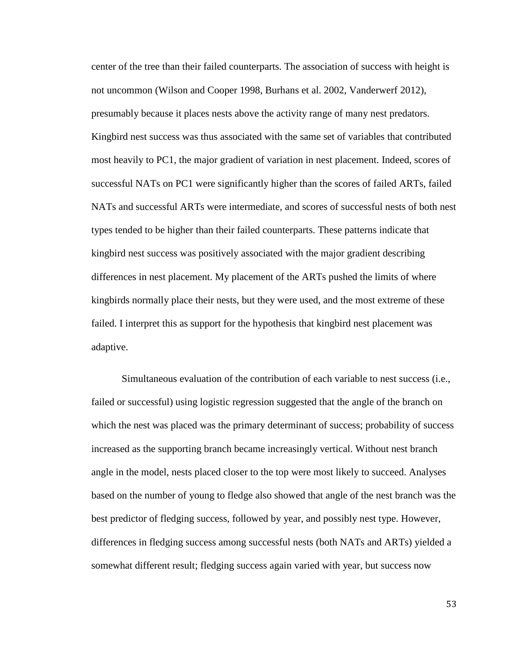center of the tree than their failed counterparts. The association of success with height is not uncommon (Wilson and Cooper 1998, Burhans et al. 2002, Vanderwerf 2012), presumably because it places nests above the activity range of many nest predators. Kingbird nest success was thus associated with the same set of variables that contributed most heavily to PC1, the major gradient of variation in nest placement. Indeed, scores of successful NATs on PC1 were significantly higher than the scores of failed ARTs, failed NATs and successful ARTs were intermediate, and scores of successful nests of both nest types tended to be higher than their failed counterparts. These patterns indicate that kingbird nest success was positively associated with the major gradient describing differences in nest placement. My placement of the ARTs pushed the limits of where kingbirds normally place their nests, but they were used, and the most extreme of these failed. I interpret this as support for the hypothesis that kingbird nest placement was adaptive.

Simultaneous evaluation of the contribution of each variable to nest success (i.e., failed or successful) using logistic regression suggested that the angle of the branch on which the nest was placed was the primary determinant of success; probability of success increased as the supporting branch became increasingly vertical. Without nest branch angle in the model, nests placed closer to the top were most likely to succeed. Analyses based on the number of young to fledge also showed that angle of the nest branch was the best predictor of fledging success, followed by year, and possibly nest type. However, differences in fledging success among successful nests (both NATs and ARTs) yielded a somewhat different result; fledging success again varied with year, but success now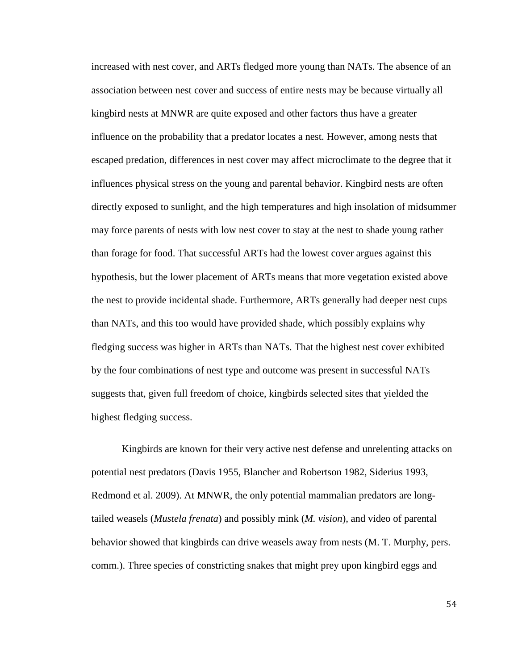increased with nest cover, and ARTs fledged more young than NATs. The absence of an association between nest cover and success of entire nests may be because virtually all kingbird nests at MNWR are quite exposed and other factors thus have a greater influence on the probability that a predator locates a nest. However, among nests that escaped predation, differences in nest cover may affect microclimate to the degree that it influences physical stress on the young and parental behavior. Kingbird nests are often directly exposed to sunlight, and the high temperatures and high insolation of midsummer may force parents of nests with low nest cover to stay at the nest to shade young rather than forage for food. That successful ARTs had the lowest cover argues against this hypothesis, but the lower placement of ARTs means that more vegetation existed above the nest to provide incidental shade. Furthermore, ARTs generally had deeper nest cups than NATs, and this too would have provided shade, which possibly explains why fledging success was higher in ARTs than NATs. That the highest nest cover exhibited by the four combinations of nest type and outcome was present in successful NATs suggests that, given full freedom of choice, kingbirds selected sites that yielded the highest fledging success.

Kingbirds are known for their very active nest defense and unrelenting attacks on potential nest predators (Davis 1955, Blancher and Robertson 1982, Siderius 1993, Redmond et al. 2009). At MNWR, the only potential mammalian predators are longtailed weasels (*Mustela frenata*) and possibly mink (*M. vision*), and video of parental behavior showed that kingbirds can drive weasels away from nests (M. T. Murphy, pers. comm.). Three species of constricting snakes that might prey upon kingbird eggs and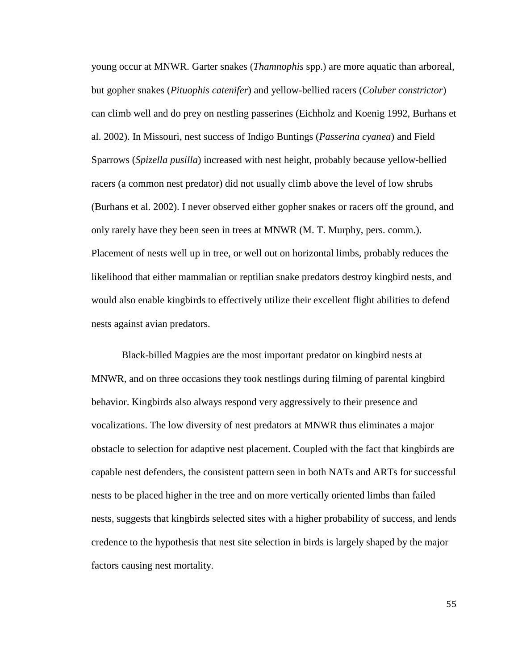young occur at MNWR. Garter snakes (*Thamnophis* spp.) are more aquatic than arboreal, but gopher snakes (*Pituophis catenifer*) and yellow-bellied racers (*Coluber constrictor*) can climb well and do prey on nestling passerines (Eichholz and Koenig 1992, Burhans et al. 2002). In Missouri, nest success of Indigo Buntings (*Passerina cyanea*) and Field Sparrows (*Spizella pusilla*) increased with nest height, probably because yellow-bellied racers (a common nest predator) did not usually climb above the level of low shrubs (Burhans et al. 2002). I never observed either gopher snakes or racers off the ground, and only rarely have they been seen in trees at MNWR (M. T. Murphy, pers. comm.). Placement of nests well up in tree, or well out on horizontal limbs, probably reduces the likelihood that either mammalian or reptilian snake predators destroy kingbird nests, and would also enable kingbirds to effectively utilize their excellent flight abilities to defend nests against avian predators.

Black-billed Magpies are the most important predator on kingbird nests at MNWR, and on three occasions they took nestlings during filming of parental kingbird behavior. Kingbirds also always respond very aggressively to their presence and vocalizations. The low diversity of nest predators at MNWR thus eliminates a major obstacle to selection for adaptive nest placement. Coupled with the fact that kingbirds are capable nest defenders, the consistent pattern seen in both NATs and ARTs for successful nests to be placed higher in the tree and on more vertically oriented limbs than failed nests, suggests that kingbirds selected sites with a higher probability of success, and lends credence to the hypothesis that nest site selection in birds is largely shaped by the major factors causing nest mortality.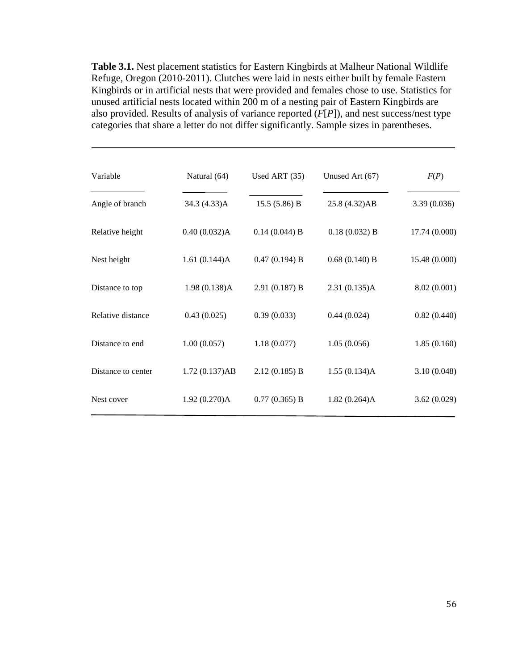**Table 3.1.** Nest placement statistics for Eastern Kingbirds at Malheur National Wildlife Refuge, Oregon (2010-2011). Clutches were laid in nests either built by female Eastern Kingbirds or in artificial nests that were provided and females chose to use. Statistics for unused artificial nests located within 200 m of a nesting pair of Eastern Kingbirds are also provided. Results of analysis of variance reported (*F*[*P*]), and nest success/nest type categories that share a letter do not differ significantly. Sample sizes in parentheses.

.

| Variable           | Natural (64)  | Used ART $(35)$ | Unused Art (67) | F(P)          |
|--------------------|---------------|-----------------|-----------------|---------------|
| Angle of branch    | 34.3 (4.33)A  | 15.5(5.86) B    | 25.8 (4.32)AB   | 3.39(0.036)   |
| Relative height    | 0.40(0.032)A  | $0.14(0.044)$ B | 0.18(0.032) B   | 17.74 (0.000) |
| Nest height        | 1.61(0.144)A  | 0.47(0.194) B   | $0.68(0.140)$ B | 15.48 (0.000) |
| Distance to top    | 1.98(0.138)A  | 2.91(0.187) B   | 2.31(0.135)A    | 8.02(0.001)   |
| Relative distance  | 0.43(0.025)   | 0.39(0.033)     | 0.44(0.024)     | 0.82(0.440)   |
| Distance to end    | 1.00(0.057)   | 1.18(0.077)     | 1.05(0.056)     | 1.85(0.160)   |
| Distance to center | 1.72(0.137)AB | 2.12(0.185) B   | 1.55(0.134)A    | 3.10(0.048)   |
| Nest cover         | 1.92(0.270)A  | $0.77(0.365)$ B | 1.82(0.264)A    | 3.62(0.029)   |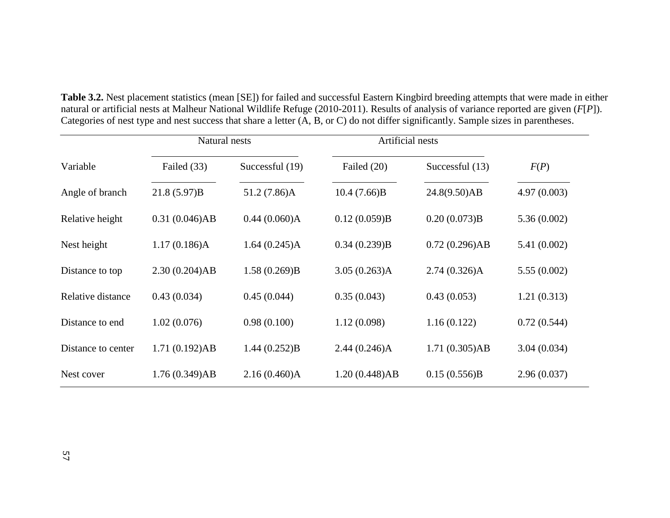|                    | Natural nests |                 | Artificial nests |                 |             |
|--------------------|---------------|-----------------|------------------|-----------------|-------------|
| Variable           | Failed (33)   | Successful (19) | Failed (20)      | Successful (13) | F(P)        |
| Angle of branch    | 21.8(5.97)B   | 51.2 (7.86)A    | 10.4(7.66)B      | 24.8(9.50)AB    | 4.97(0.003) |
| Relative height    | 0.31(0.046)AB | 0.44(0.060)A    | 0.12(0.059)B     | 0.20(0.073)B    | 5.36(0.002) |
| Nest height        | 1.17(0.186)A  | 1.64(0.245)A    | 0.34(0.239)B     | 0.72(0.296)AB   | 5.41(0.002) |
| Distance to top    | 2.30(0.204)AB | 1.58(0.269)B    | 3.05(0.263)A     | $2.74(0.326)$ A | 5.55(0.002) |
| Relative distance  | 0.43(0.034)   | 0.45(0.044)     | 0.35(0.043)      | 0.43(0.053)     | 1.21(0.313) |
| Distance to end    | 1.02(0.076)   | 0.98(0.100)     | 1.12(0.098)      | 1.16(0.122)     | 0.72(0.544) |
| Distance to center | 1.71(0.192)AB | 1.44(0.252)B    | 2.44(0.246)A     | 1.71(0.305)AB   | 3.04(0.034) |
| Nest cover         | 1.76(0.349)AB | 2.16(0.460)A    | 1.20(0.448)AB    | 0.15(0.556)B    | 2.96(0.037) |

**Table 3.2.** Nest placement statistics (mean [SE]) for failed and successful Eastern Kingbird breeding attempts that were made in either natural or artificial nests at Malheur National Wildlife Refuge (2010-2011). Results of analysis of variance reported are given (*F*[*P*]). Categories of nest type and nest success that share a letter (A, B, or C) do not differ significantly. Sample sizes in parentheses.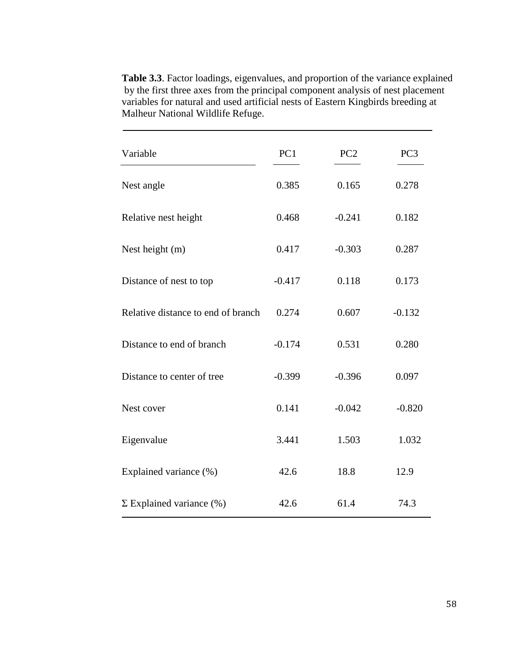| Variable                           | PC1      | PC <sub>2</sub> | PC <sub>3</sub> |
|------------------------------------|----------|-----------------|-----------------|
| Nest angle                         | 0.385    | 0.165           | 0.278           |
| Relative nest height               | 0.468    | $-0.241$        | 0.182           |
| Nest height (m)                    | 0.417    | $-0.303$        | 0.287           |
| Distance of nest to top            | $-0.417$ | 0.118           | 0.173           |
| Relative distance to end of branch | 0.274    | 0.607           | $-0.132$        |
| Distance to end of branch          | $-0.174$ | 0.531           | 0.280           |
| Distance to center of tree         | $-0.399$ | $-0.396$        | 0.097           |
| Nest cover                         | 0.141    | $-0.042$        | $-0.820$        |
| Eigenvalue                         | 3.441    | 1.503           | 1.032           |
| Explained variance (%)             | 42.6     | 18.8            | 12.9            |
| $\Sigma$ Explained variance $(\%)$ | 42.6     | 61.4            | 74.3            |

**Table 3.3**. Factor loadings, eigenvalues, and proportion of the variance explained by the first three axes from the principal component analysis of nest placement variables for natural and used artificial nests of Eastern Kingbirds breeding at Malheur National Wildlife Refuge.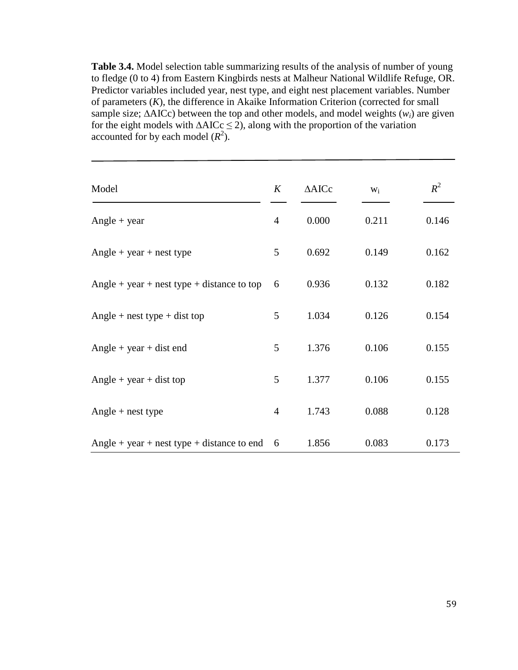**Table 3.4.** Model selection table summarizing results of the analysis of number of young to fledge (0 to 4) from Eastern Kingbirds nests at Malheur National Wildlife Refuge, OR. Predictor variables included year, nest type, and eight nest placement variables. Number of parameters (*K*), the difference in Akaike Information Criterion (corrected for small sample size;  $\triangle$ AICc) between the top and other models, and model weights ( $w_i$ ) are given for the eight models with  $\triangle AICc \leq 2$ ), along with the proportion of the variation accounted for by each model  $(R^2)$ .

| Model                                      | K              | $\triangle AICc$ | $W_i$ | $R^2$ |
|--------------------------------------------|----------------|------------------|-------|-------|
| $Angle + year$                             | $\overline{4}$ | 0.000            | 0.211 | 0.146 |
| $Angle + year + nest type$                 | 5              | 0.692            | 0.149 | 0.162 |
| Angle + year + nest type + distance to top | 6              | 0.936            | 0.132 | 0.182 |
| Angle + nest type + dist top               | 5              | 1.034            | 0.126 | 0.154 |
| $Angle + year + dist$ end                  | 5              | 1.376            | 0.106 | 0.155 |
| $Angle + year + dist top$                  | 5              | 1.377            | 0.106 | 0.155 |
| $Angle + nest type$                        | $\overline{4}$ | 1.743            | 0.088 | 0.128 |
| Angle + year + nest type + distance to end | 6              | 1.856            | 0.083 | 0.173 |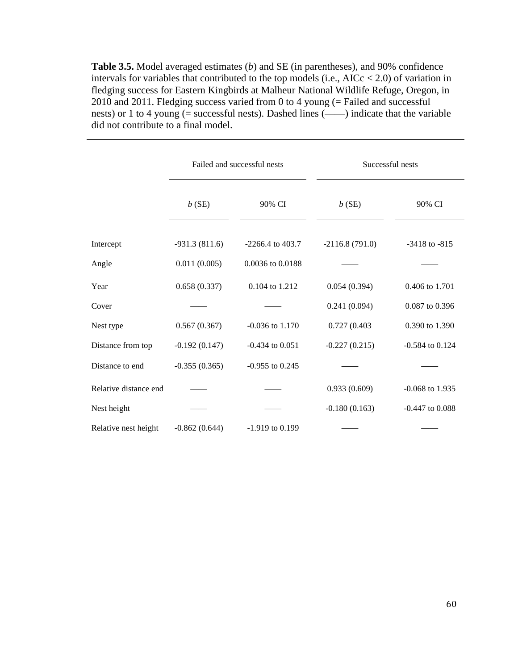**Table 3.5.** Model averaged estimates (*b*) and SE (in parentheses), and 90% confidence intervals for variables that contributed to the top models (i.e.,  $AICc < 2.0$ ) of variation in fledging success for Eastern Kingbirds at Malheur National Wildlife Refuge, Oregon, in 2010 and 2011. Fledging success varied from 0 to 4 young (= Failed and successful nests) or 1 to 4 young (= successful nests). Dashed lines (——) indicate that the variable did not contribute to a final model.

|                       | Failed and successful nests |                     | Successful nests |                     |  |
|-----------------------|-----------------------------|---------------------|------------------|---------------------|--|
|                       | b(SE)                       | 90% CI              | b(SE)            | 90% CI              |  |
| Intercept             | $-931.3(811.6)$             | $-2266.4$ to 403.7  | $-2116.8(791.0)$ | $-3418$ to $-815$   |  |
| Angle                 | 0.011(0.005)                | 0.0036 to 0.0188    |                  |                     |  |
| Year                  | 0.658(0.337)                | 0.104 to 1.212      | 0.054(0.394)     | 0.406 to 1.701      |  |
| Cover                 |                             |                     | 0.241(0.094)     | 0.087 to 0.396      |  |
| Nest type             | 0.567(0.367)                | $-0.036$ to $1.170$ | 0.727 (0.403)    | 0.390 to 1.390      |  |
| Distance from top     | $-0.192(0.147)$             | $-0.434$ to $0.051$ | $-0.227(0.215)$  | $-0.584$ to $0.124$ |  |
| Distance to end       | $-0.355(0.365)$             | $-0.955$ to 0.245   |                  |                     |  |
| Relative distance end |                             |                     | 0.933(0.609)     | $-0.068$ to 1.935   |  |
| Nest height           |                             |                     | $-0.180(0.163)$  | $-0.447$ to $0.088$ |  |
| Relative nest height  | $-0.862(0.644)$             | $-1.919$ to 0.199   |                  |                     |  |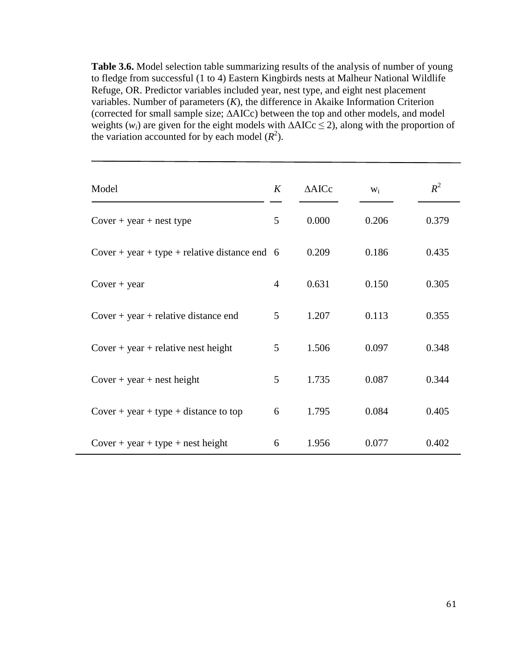**Table 3.6.** Model selection table summarizing results of the analysis of number of young to fledge from successful (1 to 4) Eastern Kingbirds nests at Malheur National Wildlife Refuge, OR. Predictor variables included year, nest type, and eight nest placement variables. Number of parameters (*K*), the difference in Akaike Information Criterion (corrected for small sample size; ∆AICc) between the top and other models, and model weights  $(w_i)$  are given for the eight models with  $\triangle AICc \leq 2$ ), along with the proportion of the variation accounted for by each model  $(R^2)$ .

| Model                                         | K | $\triangle$ AICc | $W_i$ | $R^2$ |
|-----------------------------------------------|---|------------------|-------|-------|
| $Cover + year + nest type$                    | 5 | 0.000            | 0.206 | 0.379 |
| Cover + year + type + relative distance end 6 |   | 0.209            | 0.186 | 0.435 |
| $Cover + year$                                | 4 | 0.631            | 0.150 | 0.305 |
| $Cover + year + relative distance end$        | 5 | 1.207            | 0.113 | 0.355 |
| $Cover + year + relative nest height$         | 5 | 1.506            | 0.097 | 0.348 |
| $Cover + year + nest height$                  | 5 | 1.735            | 0.087 | 0.344 |
| $Cover + year + type + distance to top$       | 6 | 1.795            | 0.084 | 0.405 |
| $Cover + year + type + nest height$           | 6 | 1.956            | 0.077 | 0.402 |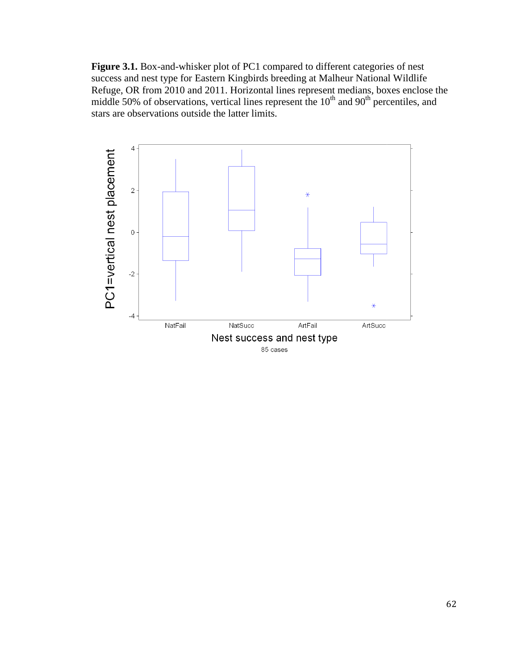Figure 3.1. Box-and-whisker plot of PC1 compared to different categories of nest success and nest type for Eastern Kingbirds breeding at Malheur National Wildlife Refuge, OR from 2010 and 2011. Horizontal lines represent medians, boxes success and nest type for Eastern Kingbirds breeding at Malheur National Wildlife<br>Refuge, OR from 2010 and 2011. Horizontal lines represent medians, boxes enclose th<br>middle 50% of observations, vertical lines represent the stars are observations outside the latter limits. enclose the

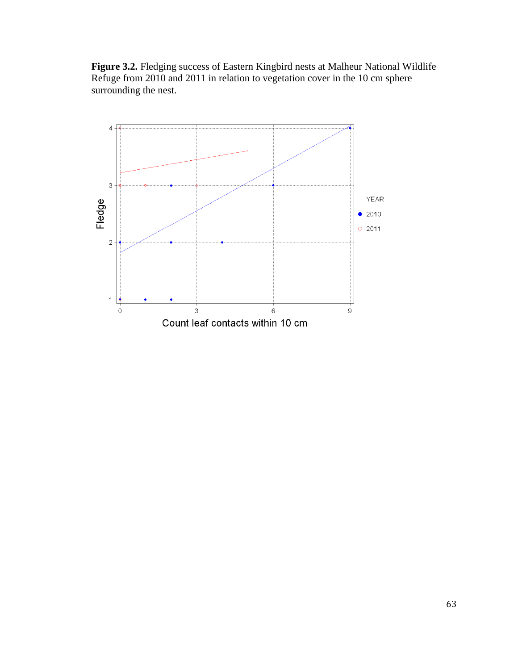**Figure 3.2.** Fledging success of Eastern Kingbird nests at Malheur National Wildlife Refuge from 2010 and 2011 in relation to vegetation cover in the 10 cm sphere surrounding the nest.

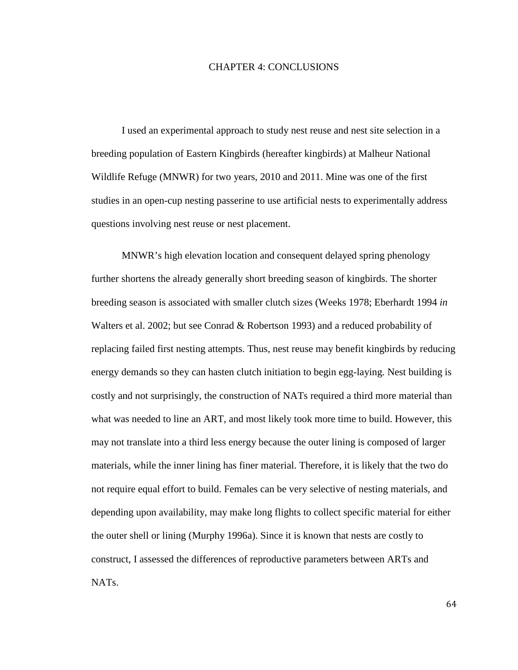## CHAPTER 4: CONCLUSIONS

I used an experimental approach to study nest reuse and nest site selection in a breeding population of Eastern Kingbirds (hereafter kingbirds) at Malheur National Wildlife Refuge (MNWR) for two years, 2010 and 2011. Mine was one of the first studies in an open-cup nesting passerine to use artificial nests to experimentally address questions involving nest reuse or nest placement.

MNWR's high elevation location and consequent delayed spring phenology further shortens the already generally short breeding season of kingbirds. The shorter breeding season is associated with smaller clutch sizes (Weeks 1978; Eberhardt 1994 *in* Walters et al. 2002; but see Conrad & Robertson 1993) and a reduced probability of replacing failed first nesting attempts. Thus, nest reuse may benefit kingbirds by reducing energy demands so they can hasten clutch initiation to begin egg-laying. Nest building is costly and not surprisingly, the construction of NATs required a third more material than what was needed to line an ART, and most likely took more time to build. However, this may not translate into a third less energy because the outer lining is composed of larger materials, while the inner lining has finer material. Therefore, it is likely that the two do not require equal effort to build. Females can be very selective of nesting materials, and depending upon availability, may make long flights to collect specific material for either the outer shell or lining (Murphy 1996a). Since it is known that nests are costly to construct, I assessed the differences of reproductive parameters between ARTs and NATs.

64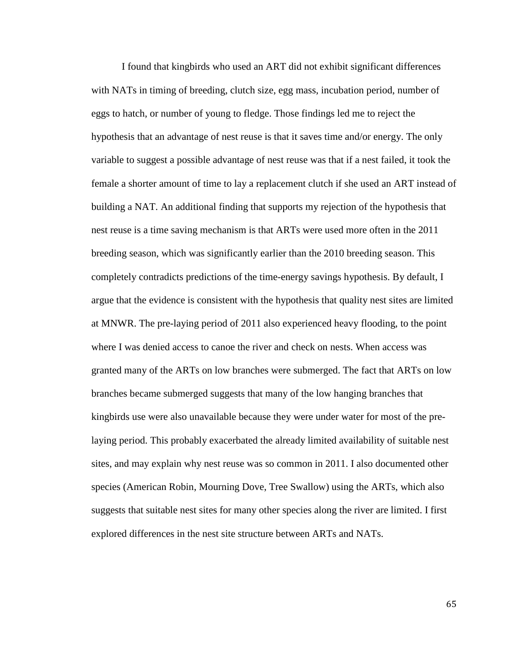I found that kingbirds who used an ART did not exhibit significant differences with NATs in timing of breeding, clutch size, egg mass, incubation period, number of eggs to hatch, or number of young to fledge. Those findings led me to reject the hypothesis that an advantage of nest reuse is that it saves time and/or energy. The only variable to suggest a possible advantage of nest reuse was that if a nest failed, it took the female a shorter amount of time to lay a replacement clutch if she used an ART instead of building a NAT. An additional finding that supports my rejection of the hypothesis that nest reuse is a time saving mechanism is that ARTs were used more often in the 2011 breeding season, which was significantly earlier than the 2010 breeding season. This completely contradicts predictions of the time-energy savings hypothesis. By default, I argue that the evidence is consistent with the hypothesis that quality nest sites are limited at MNWR. The pre-laying period of 2011 also experienced heavy flooding, to the point where I was denied access to canoe the river and check on nests. When access was granted many of the ARTs on low branches were submerged. The fact that ARTs on low branches became submerged suggests that many of the low hanging branches that kingbirds use were also unavailable because they were under water for most of the prelaying period. This probably exacerbated the already limited availability of suitable nest sites, and may explain why nest reuse was so common in 2011. I also documented other species (American Robin, Mourning Dove, Tree Swallow) using the ARTs, which also suggests that suitable nest sites for many other species along the river are limited. I first explored differences in the nest site structure between ARTs and NATs.

65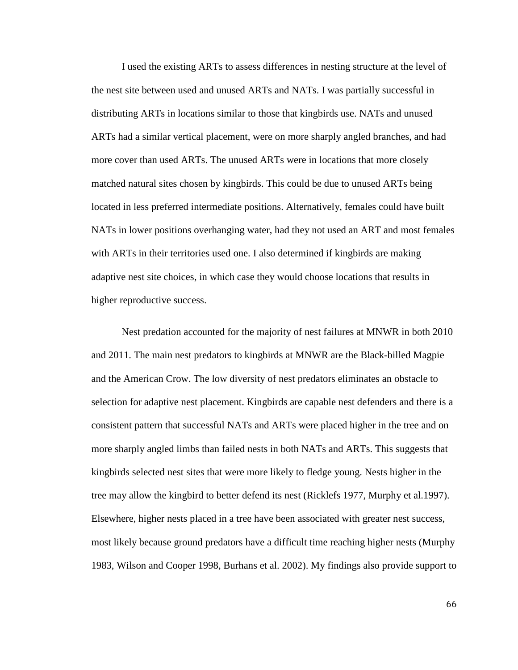I used the existing ARTs to assess differences in nesting structure at the level of the nest site between used and unused ARTs and NATs. I was partially successful in distributing ARTs in locations similar to those that kingbirds use. NATs and unused ARTs had a similar vertical placement, were on more sharply angled branches, and had more cover than used ARTs. The unused ARTs were in locations that more closely matched natural sites chosen by kingbirds. This could be due to unused ARTs being located in less preferred intermediate positions. Alternatively, females could have built NATs in lower positions overhanging water, had they not used an ART and most females with ARTs in their territories used one. I also determined if kingbirds are making adaptive nest site choices, in which case they would choose locations that results in higher reproductive success.

Nest predation accounted for the majority of nest failures at MNWR in both 2010 and 2011. The main nest predators to kingbirds at MNWR are the Black-billed Magpie and the American Crow. The low diversity of nest predators eliminates an obstacle to selection for adaptive nest placement. Kingbirds are capable nest defenders and there is a consistent pattern that successful NATs and ARTs were placed higher in the tree and on more sharply angled limbs than failed nests in both NATs and ARTs. This suggests that kingbirds selected nest sites that were more likely to fledge young. Nests higher in the tree may allow the kingbird to better defend its nest (Ricklefs 1977, Murphy et al.1997). Elsewhere, higher nests placed in a tree have been associated with greater nest success, most likely because ground predators have a difficult time reaching higher nests (Murphy 1983, Wilson and Cooper 1998, Burhans et al. 2002). My findings also provide support to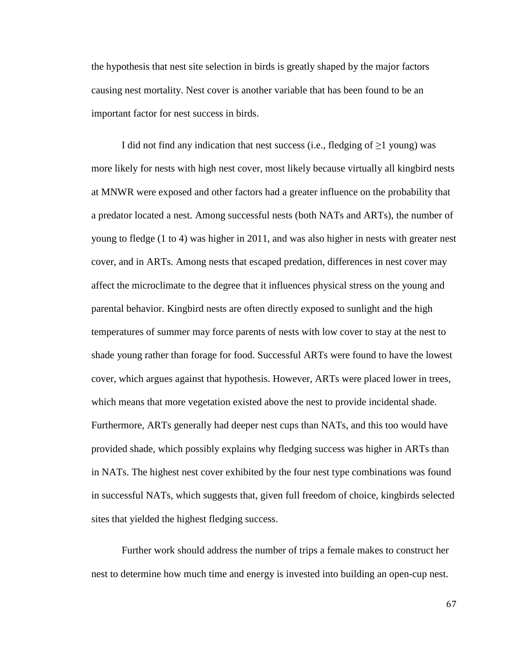the hypothesis that nest site selection in birds is greatly shaped by the major factors causing nest mortality. Nest cover is another variable that has been found to be an important factor for nest success in birds.

I did not find any indication that nest success (i.e., fledging of  $\geq$ 1 young) was more likely for nests with high nest cover, most likely because virtually all kingbird nests at MNWR were exposed and other factors had a greater influence on the probability that a predator located a nest. Among successful nests (both NATs and ARTs), the number of young to fledge (1 to 4) was higher in 2011, and was also higher in nests with greater nest cover, and in ARTs. Among nests that escaped predation, differences in nest cover may affect the microclimate to the degree that it influences physical stress on the young and parental behavior. Kingbird nests are often directly exposed to sunlight and the high temperatures of summer may force parents of nests with low cover to stay at the nest to shade young rather than forage for food. Successful ARTs were found to have the lowest cover, which argues against that hypothesis. However, ARTs were placed lower in trees, which means that more vegetation existed above the nest to provide incidental shade. Furthermore, ARTs generally had deeper nest cups than NATs, and this too would have provided shade, which possibly explains why fledging success was higher in ARTs than in NATs. The highest nest cover exhibited by the four nest type combinations was found in successful NATs, which suggests that, given full freedom of choice, kingbirds selected sites that yielded the highest fledging success.

Further work should address the number of trips a female makes to construct her nest to determine how much time and energy is invested into building an open-cup nest.

67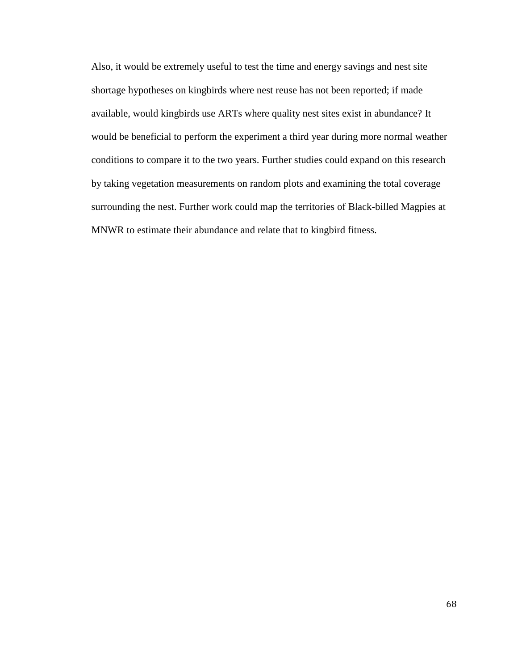Also, it would be extremely useful to test the time and energy savings and nest site shortage hypotheses on kingbirds where nest reuse has not been reported; if made available, would kingbirds use ARTs where quality nest sites exist in abundance? It would be beneficial to perform the experiment a third year during more normal weather conditions to compare it to the two years. Further studies could expand on this research by taking vegetation measurements on random plots and examining the total coverage surrounding the nest. Further work could map the territories of Black-billed Magpies at MNWR to estimate their abundance and relate that to kingbird fitness.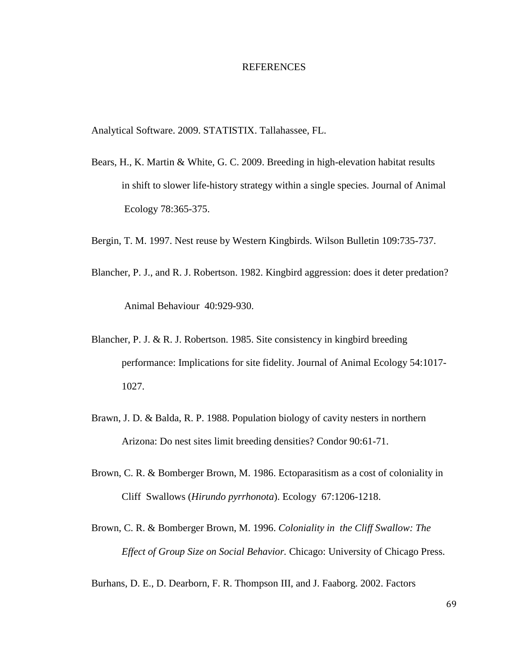## REFERENCES

Analytical Software. 2009. STATISTIX. Tallahassee, FL.

- Bears, H., K. Martin & White, G. C. 2009. Breeding in high-elevation habitat results in shift to slower life-history strategy within a single species. Journal of Animal Ecology 78:365-375.
- Bergin, T. M. 1997. Nest reuse by Western Kingbirds. Wilson Bulletin 109:735-737.
- Blancher, P. J., and R. J. Robertson. 1982. Kingbird aggression: does it deter predation? Animal Behaviour 40:929-930.
- Blancher, P. J. & R. J. Robertson. 1985. Site consistency in kingbird breeding performance: Implications for site fidelity. Journal of Animal Ecology 54:1017- 1027.
- Brawn, J. D. & Balda, R. P. 1988. Population biology of cavity nesters in northern Arizona: Do nest sites limit breeding densities? Condor 90:61-71.
- Brown, C. R. & Bomberger Brown, M. 1986. Ectoparasitism as a cost of coloniality in Cliff Swallows (*Hirundo pyrrhonota*). Ecology 67:1206-1218.
- Brown, C. R. & Bomberger Brown, M. 1996. *Coloniality in the Cliff Swallow: The Effect of Group Size on Social Behavior.* Chicago: University of Chicago Press.

Burhans, D. E., D. Dearborn, F. R. Thompson III, and J. Faaborg. 2002. Factors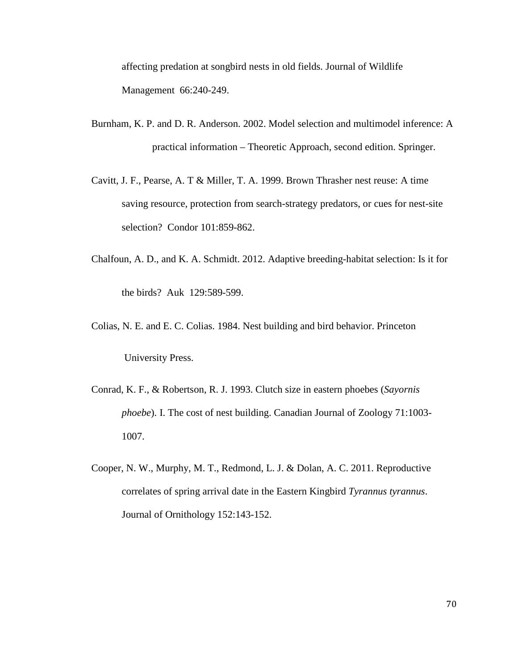affecting predation at songbird nests in old fields. Journal of Wildlife Management 66:240-249.

- Burnham, K. P. and D. R. Anderson. 2002. Model selection and multimodel inference: A practical information – Theoretic Approach, second edition. Springer.
- Cavitt, J. F., Pearse, A. T & Miller, T. A. 1999. Brown Thrasher nest reuse: A time saving resource, protection from search-strategy predators, or cues for nest-site selection? Condor 101:859-862.
- Chalfoun, A. D., and K. A. Schmidt. 2012. Adaptive breeding-habitat selection: Is it for the birds? Auk 129:589-599.
- Colias, N. E. and E. C. Colias. 1984. Nest building and bird behavior. Princeton University Press.
- Conrad, K. F., & Robertson, R. J. 1993. Clutch size in eastern phoebes (*Sayornis phoebe*). I. The cost of nest building. Canadian Journal of Zoology 71:1003- 1007.
- Cooper, N. W., Murphy, M. T., Redmond, L. J. & Dolan, A. C. 2011. Reproductive correlates of spring arrival date in the Eastern Kingbird *Tyrannus tyrannus*. Journal of Ornithology 152:143-152.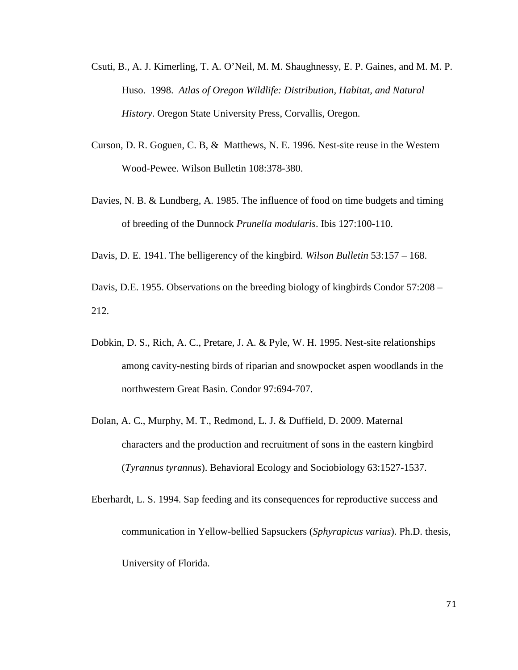- Csuti, B., A. J. Kimerling, T. A. O'Neil, M. M. Shaughnessy, E. P. Gaines, and M. M. P. Huso. 1998. *Atlas of Oregon Wildlife: Distribution, Habitat, and Natural History*. Oregon State University Press, Corvallis, Oregon.
- Curson, D. R. Goguen, C. B, & Matthews, N. E. 1996. Nest-site reuse in the Western Wood-Pewee. Wilson Bulletin 108:378-380.
- Davies, N. B. & Lundberg, A. 1985. The influence of food on time budgets and timing of breeding of the Dunnock *Prunella modularis*. Ibis 127:100-110.

Davis, D. E. 1941. The belligerency of the kingbird. *Wilson Bulletin* 53:157 – 168.

Davis, D.E. 1955. Observations on the breeding biology of kingbirds Condor 57:208 – 212.

- Dobkin, D. S., Rich, A. C., Pretare, J. A. & Pyle, W. H. 1995. Nest-site relationships among cavity-nesting birds of riparian and snowpocket aspen woodlands in the northwestern Great Basin. Condor 97:694-707.
- Dolan, A. C., Murphy, M. T., Redmond, L. J. & Duffield, D. 2009. Maternal characters and the production and recruitment of sons in the eastern kingbird (*Tyrannus tyrannus*). Behavioral Ecology and Sociobiology 63:1527-1537.

Eberhardt, L. S. 1994. Sap feeding and its consequences for reproductive success and communication in Yellow-bellied Sapsuckers (*Sphyrapicus varius*). Ph.D. thesis, University of Florida.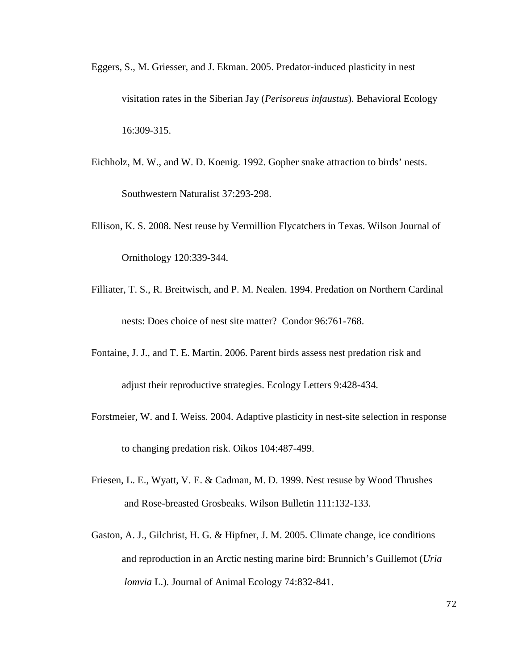- Eggers, S., M. Griesser, and J. Ekman. 2005. Predator-induced plasticity in nest visitation rates in the Siberian Jay (*Perisoreus infaustus*). Behavioral Ecology 16:309-315.
- Eichholz, M. W., and W. D. Koenig. 1992. Gopher snake attraction to birds' nests. Southwestern Naturalist 37:293-298.
- Ellison, K. S. 2008. Nest reuse by Vermillion Flycatchers in Texas. Wilson Journal of Ornithology 120:339-344.
- Filliater, T. S., R. Breitwisch, and P. M. Nealen. 1994. Predation on Northern Cardinal nests: Does choice of nest site matter? Condor 96:761-768.
- Fontaine, J. J., and T. E. Martin. 2006. Parent birds assess nest predation risk and adjust their reproductive strategies. Ecology Letters 9:428-434.
- Forstmeier, W. and I. Weiss. 2004. Adaptive plasticity in nest-site selection in response to changing predation risk. Oikos 104:487-499.
- Friesen, L. E., Wyatt, V. E. & Cadman, M. D. 1999. Nest resuse by Wood Thrushes and Rose-breasted Grosbeaks. Wilson Bulletin 111:132-133.
- Gaston, A. J., Gilchrist, H. G. & Hipfner, J. M. 2005. Climate change, ice conditions and reproduction in an Arctic nesting marine bird: Brunnich's Guillemot (*Uria lomvia* L.). Journal of Animal Ecology 74:832-841.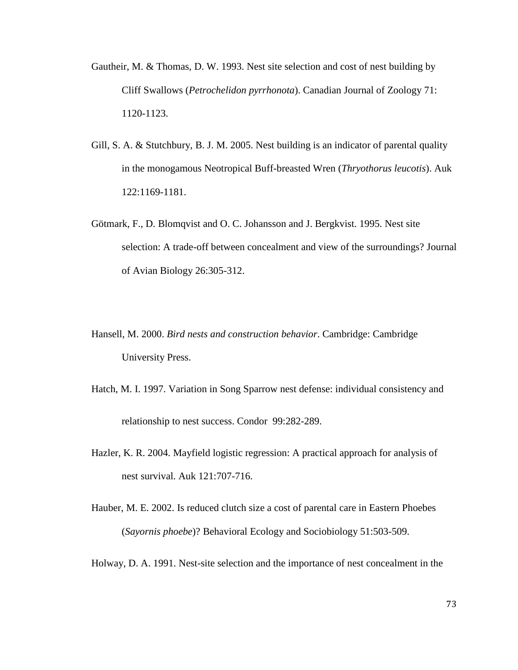- Gautheir, M. & Thomas, D. W. 1993. Nest site selection and cost of nest building by Cliff Swallows (*Petrochelidon pyrrhonota*). Canadian Journal of Zoology 71: 1120-1123.
- Gill, S. A. & Stutchbury, B. J. M. 2005. Nest building is an indicator of parental quality in the monogamous Neotropical Buff-breasted Wren (*Thryothorus leucotis*). Auk 122:1169-1181.
- Götmark, F., D. Blomqvist and O. C. Johansson and J. Bergkvist. 1995. Nest site selection: A trade-off between concealment and view of the surroundings? Journal of Avian Biology 26:305-312.
- Hansell, M. 2000. *Bird nests and construction behavior*. Cambridge: Cambridge University Press.
- Hatch, M. I. 1997. Variation in Song Sparrow nest defense: individual consistency and relationship to nest success. Condor 99:282-289.
- Hazler, K. R. 2004. Mayfield logistic regression: A practical approach for analysis of nest survival. Auk 121:707-716.
- Hauber, M. E. 2002. Is reduced clutch size a cost of parental care in Eastern Phoebes (*Sayornis phoebe*)? Behavioral Ecology and Sociobiology 51:503-509.

Holway, D. A. 1991. Nest-site selection and the importance of nest concealment in the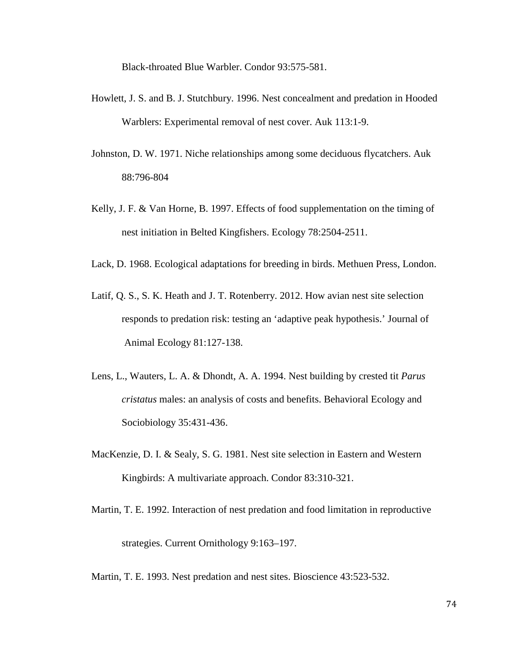Black-throated Blue Warbler. Condor 93:575-581.

- Howlett, J. S. and B. J. Stutchbury. 1996. Nest concealment and predation in Hooded Warblers: Experimental removal of nest cover. Auk 113:1-9.
- Johnston, D. W. 1971. Niche relationships among some deciduous flycatchers. Auk 88:796-804
- Kelly, J. F. & Van Horne, B. 1997. Effects of food supplementation on the timing of nest initiation in Belted Kingfishers. Ecology 78:2504-2511.
- Lack, D. 1968. Ecological adaptations for breeding in birds. Methuen Press, London.
- Latif, Q. S., S. K. Heath and J. T. Rotenberry. 2012. How avian nest site selection responds to predation risk: testing an 'adaptive peak hypothesis.' Journal of Animal Ecology 81:127-138.
- Lens, L., Wauters, L. A. & Dhondt, A. A. 1994. Nest building by crested tit *Parus cristatus* males: an analysis of costs and benefits. Behavioral Ecology and Sociobiology 35:431-436.
- MacKenzie, D. I. & Sealy, S. G. 1981. Nest site selection in Eastern and Western Kingbirds: A multivariate approach. Condor 83:310-321.
- Martin, T. E. 1992. Interaction of nest predation and food limitation in reproductive strategies. Current Ornithology 9:163–197.
- Martin, T. E. 1993. Nest predation and nest sites. Bioscience 43:523-532.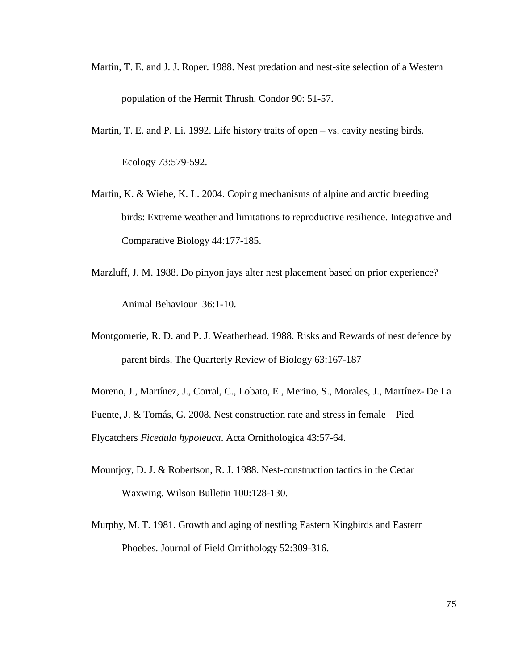- Martin, T. E. and J. J. Roper. 1988. Nest predation and nest-site selection of a Western population of the Hermit Thrush. Condor 90: 51-57.
- Martin, T. E. and P. Li. 1992. Life history traits of open vs. cavity nesting birds. Ecology 73:579-592.
- Martin, K. & Wiebe, K. L. 2004. Coping mechanisms of alpine and arctic breeding birds: Extreme weather and limitations to reproductive resilience. Integrative and Comparative Biology 44:177-185.
- Marzluff, J. M. 1988. Do pinyon jays alter nest placement based on prior experience? Animal Behaviour 36:1-10.
- Montgomerie, R. D. and P. J. Weatherhead. 1988. Risks and Rewards of nest defence by parent birds. The Quarterly Review of Biology 63:167-187
- Moreno, J., Martínez, J., Corral, C., Lobato, E., Merino, S., Morales, J., Martínez- De La Puente, J. & Tomás, G. 2008. Nest construction rate and stress in female Pied Flycatchers *Ficedula hypoleuca*. Acta Ornithologica 43:57-64.
- Mountjoy, D. J. & Robertson, R. J. 1988. Nest-construction tactics in the Cedar Waxwing. Wilson Bulletin 100:128-130.
- Murphy, M. T. 1981. Growth and aging of nestling Eastern Kingbirds and Eastern Phoebes. Journal of Field Ornithology 52:309-316.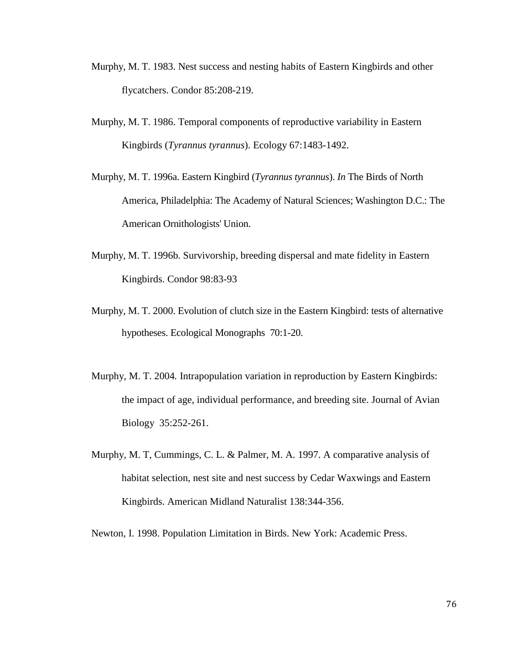- Murphy, M. T. 1983. Nest success and nesting habits of Eastern Kingbirds and other flycatchers. Condor 85:208-219.
- Murphy, M. T. 1986. Temporal components of reproductive variability in Eastern Kingbirds (*Tyrannus tyrannus*). Ecology 67:1483-1492.
- Murphy, M. T. 1996a. Eastern Kingbird (*Tyrannus tyrannus*). *In* The Birds of North America, Philadelphia: The Academy of Natural Sciences; Washington D.C.: The American Ornithologists' Union.
- Murphy, M. T. 1996b*.* Survivorship, breeding dispersal and mate fidelity in Eastern Kingbirds. Condor 98:83-93
- Murphy, M. T. 2000. Evolution of clutch size in the Eastern Kingbird: tests of alternative hypotheses. Ecological Monographs 70:1-20.
- Murphy, M. T. 2004*.* Intrapopulation variation in reproduction by Eastern Kingbirds: the impact of age, individual performance, and breeding site. Journal of Avian Biology 35:252-261.
- Murphy, M. T, Cummings, C. L. & Palmer, M. A. 1997. A comparative analysis of habitat selection, nest site and nest success by Cedar Waxwings and Eastern Kingbirds. American Midland Naturalist 138:344-356.

Newton, I. 1998. Population Limitation in Birds. New York: Academic Press.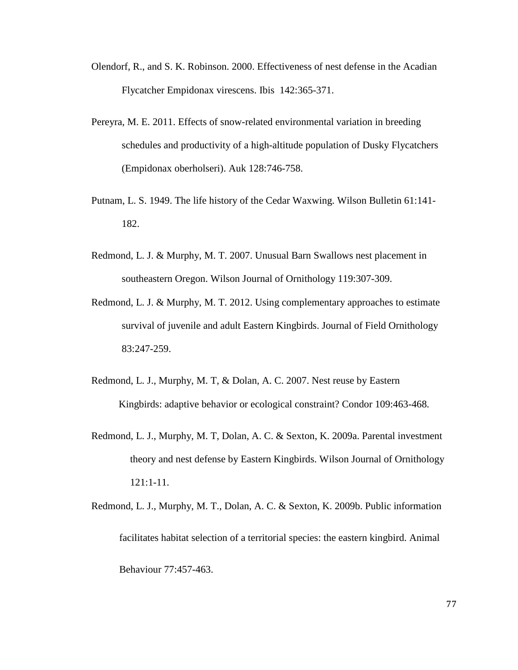- Olendorf, R., and S. K. Robinson. 2000. Effectiveness of nest defense in the Acadian Flycatcher Empidonax virescens. Ibis 142:365-371.
- Pereyra, M. E. 2011. Effects of snow-related environmental variation in breeding schedules and productivity of a high-altitude population of Dusky Flycatchers (Empidonax oberholseri). Auk 128:746-758.
- Putnam, L. S. 1949. The life history of the Cedar Waxwing. Wilson Bulletin 61:141- 182.
- Redmond, L. J. & Murphy, M. T. 2007. Unusual Barn Swallows nest placement in southeastern Oregon. Wilson Journal of Ornithology 119:307-309.
- Redmond, L. J. & Murphy, M. T. 2012. Using complementary approaches to estimate survival of juvenile and adult Eastern Kingbirds. Journal of Field Ornithology 83:247-259.
- Redmond, L. J., Murphy, M. T, & Dolan, A. C. 2007. Nest reuse by Eastern Kingbirds: adaptive behavior or ecological constraint? Condor 109:463-468.
- Redmond, L. J., Murphy, M. T, Dolan, A. C. & Sexton, K. 2009a. Parental investment theory and nest defense by Eastern Kingbirds. Wilson Journal of Ornithology 121:1-11.
- Redmond, L. J., Murphy, M. T., Dolan, A. C. & Sexton, K. 2009b. Public information facilitates habitat selection of a territorial species: the eastern kingbird. Animal Behaviour 77:457-463.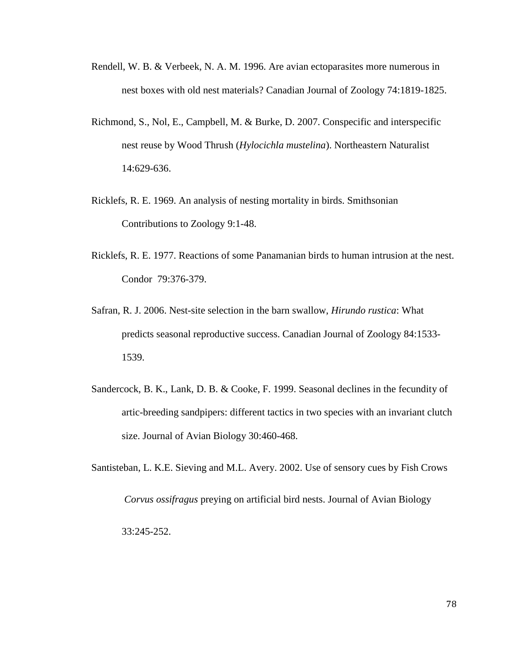- Rendell, W. B. & Verbeek, N. A. M. 1996. Are avian ectoparasites more numerous in nest boxes with old nest materials? Canadian Journal of Zoology 74:1819-1825.
- Richmond, S., Nol, E., Campbell, M. & Burke, D. 2007. Conspecific and interspecific nest reuse by Wood Thrush (*Hylocichla mustelina*). Northeastern Naturalist 14:629-636.
- Ricklefs, R. E. 1969. An analysis of nesting mortality in birds. Smithsonian Contributions to Zoology 9:1-48.
- Ricklefs, R. E. 1977. Reactions of some Panamanian birds to human intrusion at the nest. Condor 79:376-379.
- Safran, R. J. 2006. Nest-site selection in the barn swallow, *Hirundo rustica*: What predicts seasonal reproductive success. Canadian Journal of Zoology 84:1533- 1539.
- Sandercock, B. K., Lank, D. B. & Cooke, F. 1999. Seasonal declines in the fecundity of artic-breeding sandpipers: different tactics in two species with an invariant clutch size. Journal of Avian Biology 30:460-468.

Santisteban, L. K.E. Sieving and M.L. Avery. 2002. Use of sensory cues by Fish Crows  *Corvus ossifragus* preying on artificial bird nests. Journal of Avian Biology 33:245-252.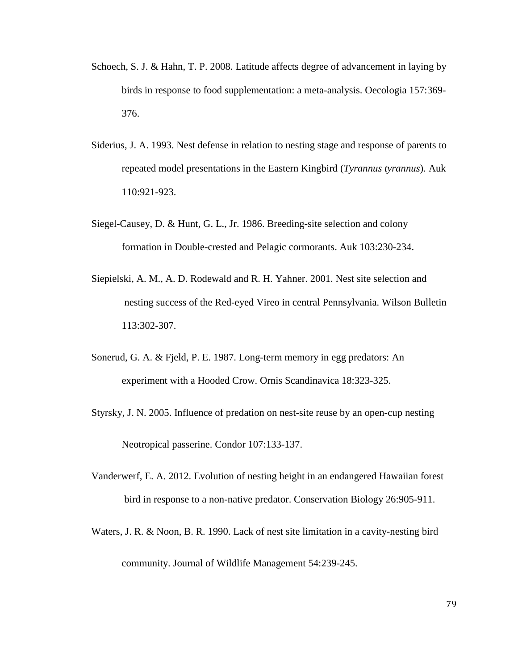- Schoech, S. J. & Hahn, T. P. 2008. Latitude affects degree of advancement in laying by birds in response to food supplementation: a meta-analysis. Oecologia 157:369- 376.
- Siderius, J. A. 1993. Nest defense in relation to nesting stage and response of parents to repeated model presentations in the Eastern Kingbird (*Tyrannus tyrannus*). Auk 110:921-923.
- Siegel-Causey, D. & Hunt, G. L., Jr. 1986. Breeding-site selection and colony formation in Double-crested and Pelagic cormorants. Auk 103:230-234.
- Siepielski, A. M., A. D. Rodewald and R. H. Yahner. 2001. Nest site selection and nesting success of the Red-eyed Vireo in central Pennsylvania. Wilson Bulletin 113:302-307.
- Sonerud, G. A. & Fjeld, P. E. 1987. Long-term memory in egg predators: An experiment with a Hooded Crow. Ornis Scandinavica 18:323-325.
- Styrsky, J. N. 2005. Influence of predation on nest-site reuse by an open-cup nesting Neotropical passerine. Condor 107:133-137.
- Vanderwerf, E. A. 2012. Evolution of nesting height in an endangered Hawaiian forest bird in response to a non-native predator. Conservation Biology 26:905-911.
- Waters, J. R. & Noon, B. R. 1990. Lack of nest site limitation in a cavity-nesting bird community. Journal of Wildlife Management 54:239-245.